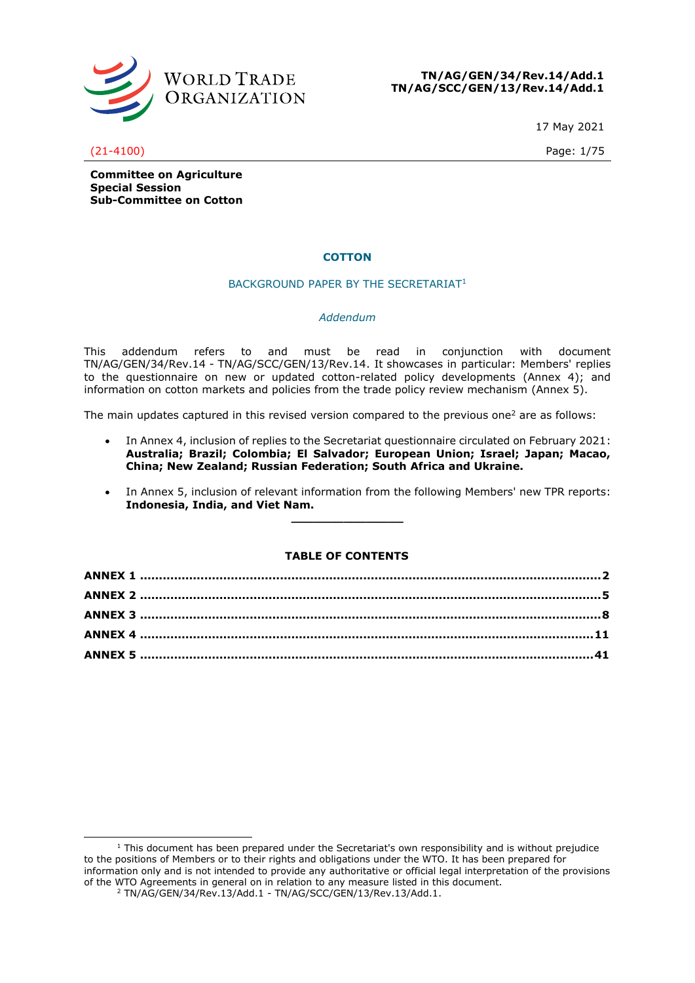

**TN/AG/GEN/34/Rev.14/Add.1 TN/AG/SCC/GEN/13/Rev.14/Add.1**

17 May 2021

(21-4100) Page: 1/75

**Committee on Agriculture Special Session Sub-Committee on Cotton**

## **COTTON**

## BACKGROUND PAPER BY THE SECRETARIAT<sup>1</sup>

## *Addendum*

This addendum refers to and must be read in conjunction with document TN/AG/GEN/34/Rev.14 - TN/AG/SCC/GEN/13/Rev.14. It showcases in particular: Members' replies to the questionnaire on new or updated cotton-related policy developments (Annex 4); and information on cotton markets and policies from the trade policy review mechanism (Annex 5).

The main updates captured in this revised version compared to the previous one<sup>2</sup> are as follows:

- In Annex 4, inclusion of replies to the Secretariat questionnaire circulated on February 2021: **Australia; Brazil; Colombia; El Salvador; European Union; Israel; Japan; Macao, China; New Zealand; Russian Federation; South Africa and Ukraine.**
- In Annex 5, inclusion of relevant information from the following Members' new TPR reports: **Indonesia, India, and Viet Nam.**

## **TABLE OF CONTENTS**

**\_\_\_\_\_\_\_\_\_\_\_\_\_\_\_**

 $1$  This document has been prepared under the Secretariat's own responsibility and is without prejudice to the positions of Members or to their rights and obligations under the WTO. It has been prepared for information only and is not intended to provide any authoritative or official legal interpretation of the provisions of the WTO Agreements in general on in relation to any measure listed in this document. <sup>2</sup> TN/AG/GEN/34/Rev.13/Add.1 - TN/AG/SCC/GEN/13/Rev.13/Add.1.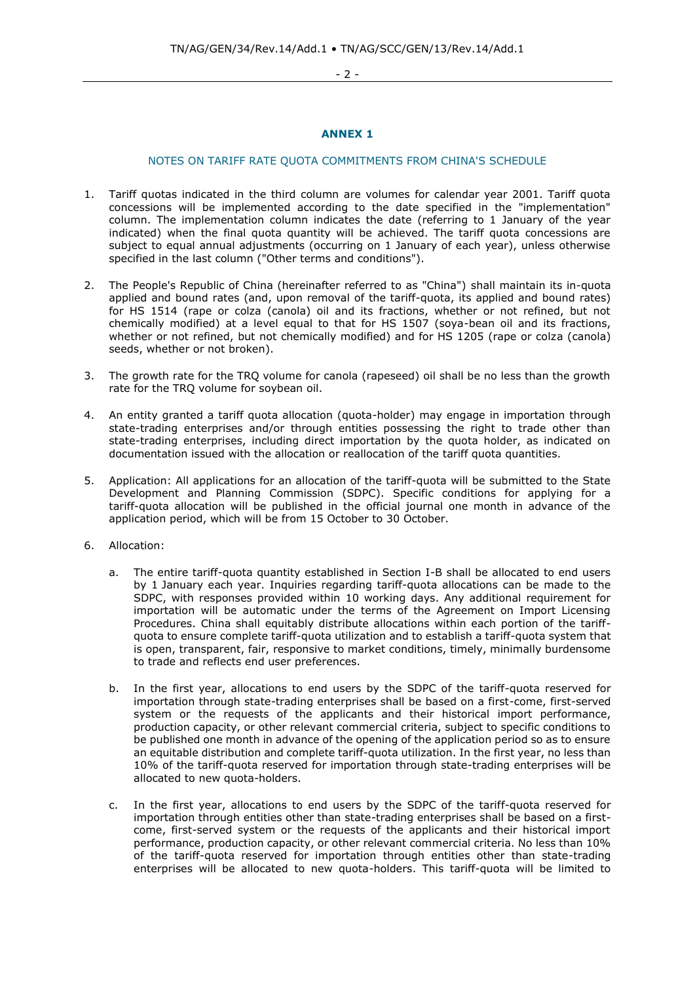- 2 -

## **ANNEX 1**

## <span id="page-1-0"></span>NOTES ON TARIFF RATE QUOTA COMMITMENTS FROM CHINA'S SCHEDULE

- 1. Tariff quotas indicated in the third column are volumes for calendar year 2001. Tariff quota concessions will be implemented according to the date specified in the "implementation" column. The implementation column indicates the date (referring to 1 January of the year indicated) when the final quota quantity will be achieved. The tariff quota concessions are subject to equal annual adjustments (occurring on 1 January of each year), unless otherwise specified in the last column ("Other terms and conditions").
- 2. The People's Republic of China (hereinafter referred to as "China") shall maintain its in-quota applied and bound rates (and, upon removal of the tariff-quota, its applied and bound rates) for HS 1514 (rape or colza (canola) oil and its fractions, whether or not refined, but not chemically modified) at a level equal to that for HS 1507 (soya-bean oil and its fractions, whether or not refined, but not chemically modified) and for HS 1205 (rape or colza (canola) seeds, whether or not broken).
- 3. The growth rate for the TRQ volume for canola (rapeseed) oil shall be no less than the growth rate for the TRQ volume for soybean oil.
- 4. An entity granted a tariff quota allocation (quota-holder) may engage in importation through state-trading enterprises and/or through entities possessing the right to trade other than state-trading enterprises, including direct importation by the quota holder, as indicated on documentation issued with the allocation or reallocation of the tariff quota quantities.
- 5. Application: All applications for an allocation of the tariff-quota will be submitted to the State Development and Planning Commission (SDPC). Specific conditions for applying for a tariff-quota allocation will be published in the official journal one month in advance of the application period, which will be from 15 October to 30 October.
- 6. Allocation:
	- a. The entire tariff-quota quantity established in Section I-B shall be allocated to end users by 1 January each year. Inquiries regarding tariff-quota allocations can be made to the SDPC, with responses provided within 10 working days. Any additional requirement for importation will be automatic under the terms of the Agreement on Import Licensing Procedures. China shall equitably distribute allocations within each portion of the tariffquota to ensure complete tariff-quota utilization and to establish a tariff-quota system that is open, transparent, fair, responsive to market conditions, timely, minimally burdensome to trade and reflects end user preferences.
	- b. In the first year, allocations to end users by the SDPC of the tariff-quota reserved for importation through state-trading enterprises shall be based on a first-come, first-served system or the requests of the applicants and their historical import performance, production capacity, or other relevant commercial criteria, subject to specific conditions to be published one month in advance of the opening of the application period so as to ensure an equitable distribution and complete tariff-quota utilization. In the first year, no less than 10% of the tariff-quota reserved for importation through state-trading enterprises will be allocated to new quota-holders.
	- c. In the first year, allocations to end users by the SDPC of the tariff-quota reserved for importation through entities other than state-trading enterprises shall be based on a firstcome, first-served system or the requests of the applicants and their historical import performance, production capacity, or other relevant commercial criteria. No less than 10% of the tariff-quota reserved for importation through entities other than state-trading enterprises will be allocated to new quota-holders. This tariff-quota will be limited to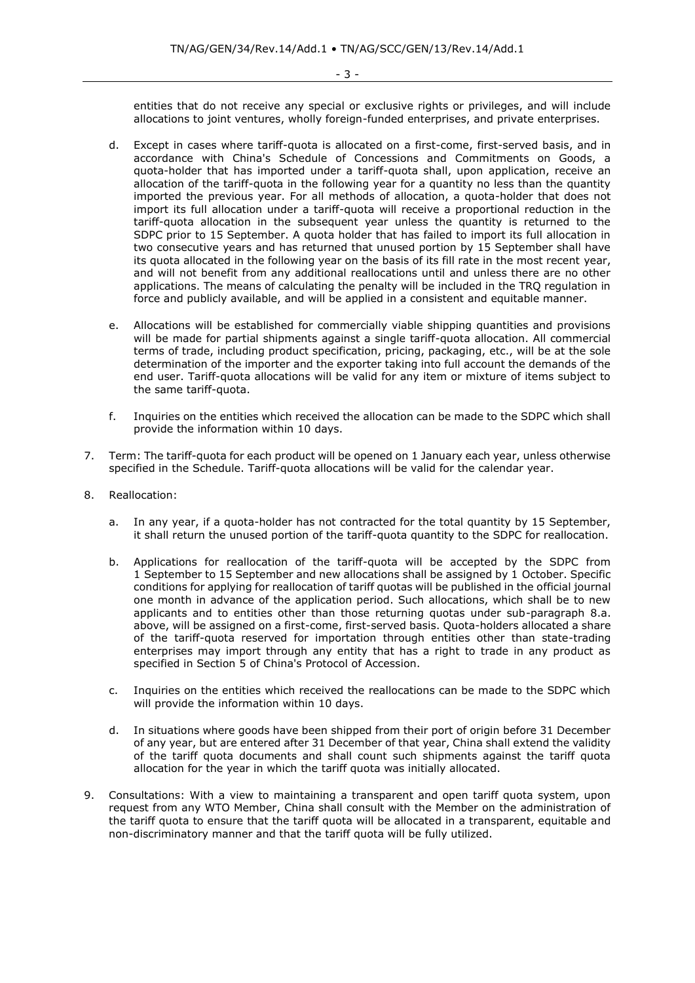entities that do not receive any special or exclusive rights or privileges, and will include allocations to joint ventures, wholly foreign-funded enterprises, and private enterprises.

- d. Except in cases where tariff-quota is allocated on a first-come, first-served basis, and in accordance with China's Schedule of Concessions and Commitments on Goods, a quota-holder that has imported under a tariff-quota shall, upon application, receive an allocation of the tariff-quota in the following year for a quantity no less than the quantity imported the previous year. For all methods of allocation, a quota-holder that does not import its full allocation under a tariff-quota will receive a proportional reduction in the tariff-quota allocation in the subsequent year unless the quantity is returned to the SDPC prior to 15 September. A quota holder that has failed to import its full allocation in two consecutive years and has returned that unused portion by 15 September shall have its quota allocated in the following year on the basis of its fill rate in the most recent year, and will not benefit from any additional reallocations until and unless there are no other applications. The means of calculating the penalty will be included in the TRQ regulation in force and publicly available, and will be applied in a consistent and equitable manner.
- e. Allocations will be established for commercially viable shipping quantities and provisions will be made for partial shipments against a single tariff-quota allocation. All commercial terms of trade, including product specification, pricing, packaging, etc., will be at the sole determination of the importer and the exporter taking into full account the demands of the end user. Tariff-quota allocations will be valid for any item or mixture of items subject to the same tariff-quota.
- f. Inquiries on the entities which received the allocation can be made to the SDPC which shall provide the information within 10 days.
- 7. Term: The tariff-quota for each product will be opened on 1 January each year, unless otherwise specified in the Schedule. Tariff-quota allocations will be valid for the calendar year.
- 8. Reallocation:
	- a. In any year, if a quota-holder has not contracted for the total quantity by 15 September, it shall return the unused portion of the tariff-quota quantity to the SDPC for reallocation.
	- b. Applications for reallocation of the tariff-quota will be accepted by the SDPC from 1 September to 15 September and new allocations shall be assigned by 1 October. Specific conditions for applying for reallocation of tariff quotas will be published in the official journal one month in advance of the application period. Such allocations, which shall be to new applicants and to entities other than those returning quotas under sub-paragraph 8.a. above, will be assigned on a first-come, first-served basis. Quota-holders allocated a share of the tariff-quota reserved for importation through entities other than state-trading enterprises may import through any entity that has a right to trade in any product as specified in Section 5 of China's Protocol of Accession.
	- c. Inquiries on the entities which received the reallocations can be made to the SDPC which will provide the information within 10 days.
	- d. In situations where goods have been shipped from their port of origin before 31 December of any year, but are entered after 31 December of that year, China shall extend the validity of the tariff quota documents and shall count such shipments against the tariff quota allocation for the year in which the tariff quota was initially allocated.
- 9. Consultations: With a view to maintaining a transparent and open tariff quota system, upon request from any WTO Member, China shall consult with the Member on the administration of the tariff quota to ensure that the tariff quota will be allocated in a transparent, equitable and non-discriminatory manner and that the tariff quota will be fully utilized.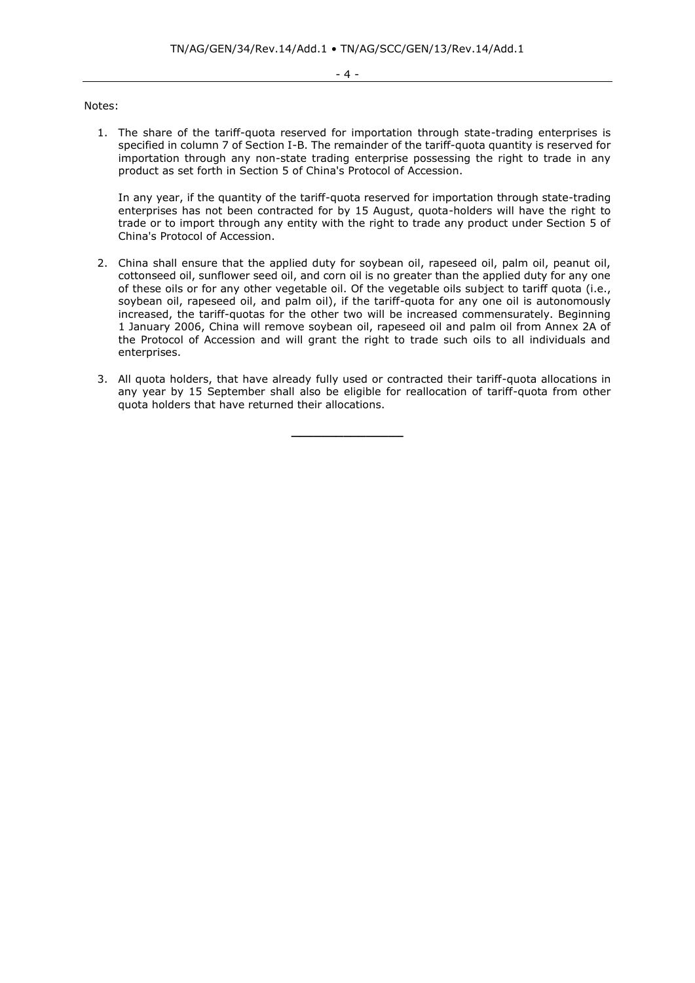#### - 4 -

#### Notes:

1. The share of the tariff-quota reserved for importation through state-trading enterprises is specified in column 7 of Section I-B. The remainder of the tariff-quota quantity is reserved for importation through any non-state trading enterprise possessing the right to trade in any product as set forth in Section 5 of China's Protocol of Accession.

In any year, if the quantity of the tariff-quota reserved for importation through state-trading enterprises has not been contracted for by 15 August, quota-holders will have the right to trade or to import through any entity with the right to trade any product under Section 5 of China's Protocol of Accession.

- 2. China shall ensure that the applied duty for soybean oil, rapeseed oil, palm oil, peanut oil, cottonseed oil, sunflower seed oil, and corn oil is no greater than the applied duty for any one of these oils or for any other vegetable oil. Of the vegetable oils subject to tariff quota (i.e., soybean oil, rapeseed oil, and palm oil), if the tariff-quota for any one oil is autonomously increased, the tariff-quotas for the other two will be increased commensurately. Beginning 1 January 2006, China will remove soybean oil, rapeseed oil and palm oil from Annex 2A of the Protocol of Accession and will grant the right to trade such oils to all individuals and enterprises.
- 3. All quota holders, that have already fully used or contracted their tariff-quota allocations in any year by 15 September shall also be eligible for reallocation of tariff-quota from other quota holders that have returned their allocations.

**\_\_\_\_\_\_\_\_\_\_\_\_\_\_\_**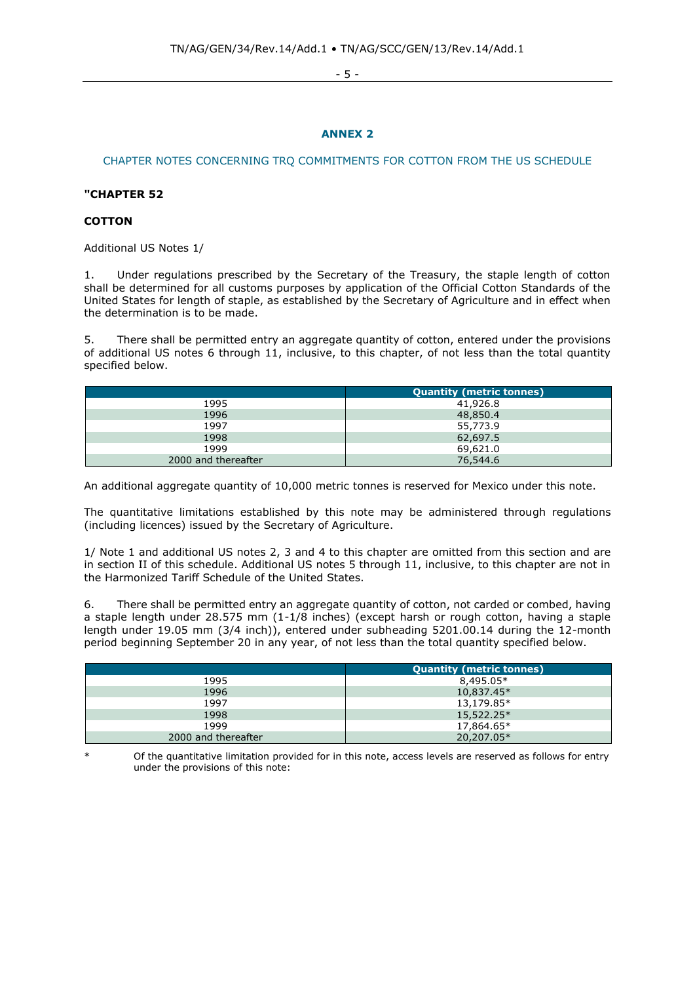- 5 -

## **ANNEX 2**

## <span id="page-4-0"></span>CHAPTER NOTES CONCERNING TRQ COMMITMENTS FOR COTTON FROM THE US SCHEDULE

## **"CHAPTER 52**

## **COTTON**

Additional US Notes 1/

1. Under regulations prescribed by the Secretary of the Treasury, the staple length of cotton shall be determined for all customs purposes by application of the Official Cotton Standards of the United States for length of staple, as established by the Secretary of Agriculture and in effect when the determination is to be made.

5. There shall be permitted entry an aggregate quantity of cotton, entered under the provisions of additional US notes 6 through 11, inclusive, to this chapter, of not less than the total quantity specified below.

|                     | <b>Quantity (metric tonnes)</b> |
|---------------------|---------------------------------|
| 1995                | 41,926.8                        |
| 1996                | 48,850.4                        |
| 1997                | 55,773.9                        |
| 1998                | 62,697.5                        |
| 1999                | 69,621.0                        |
| 2000 and thereafter | 76,544.6                        |

An additional aggregate quantity of 10,000 metric tonnes is reserved for Mexico under this note.

The quantitative limitations established by this note may be administered through regulations (including licences) issued by the Secretary of Agriculture.

1/ Note 1 and additional US notes 2, 3 and 4 to this chapter are omitted from this section and are in section II of this schedule. Additional US notes 5 through 11, inclusive, to this chapter are not in the Harmonized Tariff Schedule of the United States.

6. There shall be permitted entry an aggregate quantity of cotton, not carded or combed, having a staple length under 28.575 mm (1-1/8 inches) (except harsh or rough cotton, having a staple length under 19.05 mm (3/4 inch)), entered under subheading 5201.00.14 during the 12-month period beginning September 20 in any year, of not less than the total quantity specified below.

|                     | <b>Quantity (metric tonnes)</b> |
|---------------------|---------------------------------|
| 1995                | 8,495.05*                       |
| 1996                | $10,837.45*$                    |
| 1997                | 13,179.85*                      |
| 1998                | $15,522.25*$                    |
| 1999                | 17,864.65*                      |
| 2000 and thereafter | 20,207.05*                      |

Of the quantitative limitation provided for in this note, access levels are reserved as follows for entry under the provisions of this note: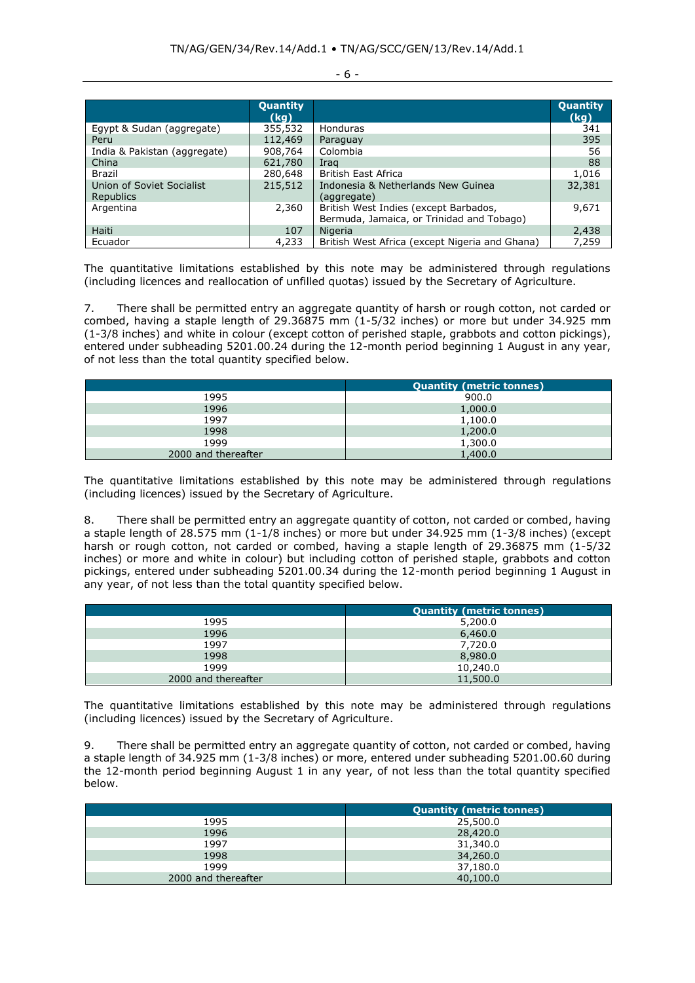|                                        | Quantity<br>(kg) |                                                                                    | Quantity<br>(kg) |
|----------------------------------------|------------------|------------------------------------------------------------------------------------|------------------|
| Egypt & Sudan (aggregate)              | 355,532          | Honduras                                                                           | 341              |
| Peru                                   | 112,469          | Paraguay                                                                           | 395              |
| India & Pakistan (aggregate)           | 908,764          | Colombia                                                                           | 56               |
| China                                  | 621,780          | Irag                                                                               | 88               |
| Brazil                                 | 280,648          | <b>British East Africa</b>                                                         | 1,016            |
| Union of Soviet Socialist<br>Republics | 215,512          | Indonesia & Netherlands New Guinea<br>(aggregate)                                  | 32,381           |
| Argentina                              | 2,360            | British West Indies (except Barbados,<br>Bermuda, Jamaica, or Trinidad and Tobago) | 9,671            |
| Haiti                                  | 107              | Nigeria                                                                            | 2,438            |
| Ecuador                                | 4,233            | British West Africa (except Nigeria and Ghana)                                     | 7,259            |

The quantitative limitations established by this note may be administered through regulations (including licences and reallocation of unfilled quotas) issued by the Secretary of Agriculture.

7. There shall be permitted entry an aggregate quantity of harsh or rough cotton, not carded or combed, having a staple length of 29.36875 mm (1-5/32 inches) or more but under 34.925 mm (1-3/8 inches) and white in colour (except cotton of perished staple, grabbots and cotton pickings), entered under subheading 5201.00.24 during the 12-month period beginning 1 August in any year, of not less than the total quantity specified below.

|                     | <b>Quantity (metric tonnes)</b> |
|---------------------|---------------------------------|
| 1995                | 900.0                           |
| 1996                | 1,000.0                         |
| 1997                | 1,100.0                         |
| 1998                | 1,200.0                         |
| 1999                | 1,300.0                         |
| 2000 and thereafter | 1,400.0                         |

The quantitative limitations established by this note may be administered through regulations (including licences) issued by the Secretary of Agriculture.

8. There shall be permitted entry an aggregate quantity of cotton, not carded or combed, having a staple length of 28.575 mm (1-1/8 inches) or more but under 34.925 mm (1-3/8 inches) (except harsh or rough cotton, not carded or combed, having a staple length of 29.36875 mm (1-5/32 inches) or more and white in colour) but including cotton of perished staple, grabbots and cotton pickings, entered under subheading 5201.00.34 during the 12-month period beginning 1 August in any year, of not less than the total quantity specified below.

|                     | <b>Quantity (metric tonnes)</b> |
|---------------------|---------------------------------|
| 1995                | 5,200.0                         |
| 1996                | 6,460.0                         |
| 1997                | 7,720.0                         |
| 1998                | 8,980.0                         |
| 1999                | 10,240.0                        |
| 2000 and thereafter | 11,500.0                        |

The quantitative limitations established by this note may be administered through regulations (including licences) issued by the Secretary of Agriculture.

9. There shall be permitted entry an aggregate quantity of cotton, not carded or combed, having a staple length of 34.925 mm (1-3/8 inches) or more, entered under subheading 5201.00.60 during the 12-month period beginning August 1 in any year, of not less than the total quantity specified below.

|                     | <b>Quantity (metric tonnes)</b> |
|---------------------|---------------------------------|
| 1995                | 25,500.0                        |
| 1996                | 28,420.0                        |
| 1997                | 31,340.0                        |
| 1998                | 34,260.0                        |
| 1999                | 37,180.0                        |
| 2000 and thereafter | 40,100.0                        |

## - 6 -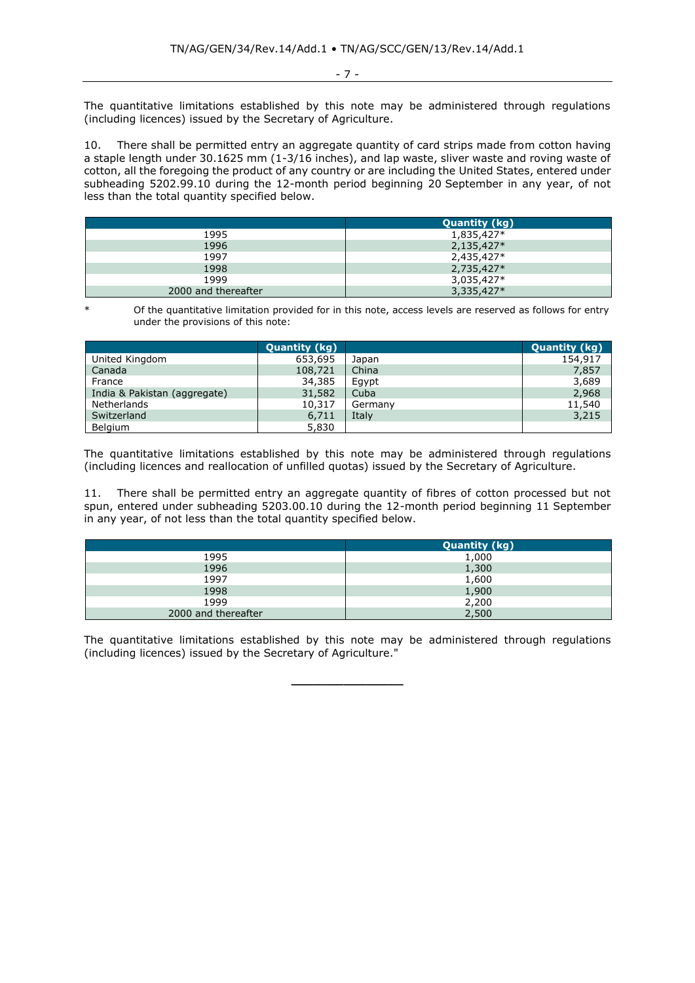- 7 -

The quantitative limitations established by this note may be administered through regulations (including licences) issued by the Secretary of Agriculture.

10. There shall be permitted entry an aggregate quantity of card strips made from cotton having a staple length under 30.1625 mm (1-3/16 inches), and lap waste, sliver waste and roving waste of cotton, all the foregoing the product of any country or are including the United States, entered under subheading 5202.99.10 during the 12-month period beginning 20 September in any year, of not less than the total quantity specified below.

|                     | <b>Quantity (kg)</b> |
|---------------------|----------------------|
| 1995                | 1,835,427*           |
| 1996                | $2,135,427*$         |
| 1997                | 2,435,427*           |
| 1998                | 2,735,427*           |
| 1999                | 3,035,427*           |
| 2000 and thereafter | 3,335,427*           |

Of the quantitative limitation provided for in this note, access levels are reserved as follows for entry under the provisions of this note:

|                              | <b>Quantity (kg)</b> |         | <b>Quantity (kg)</b> |
|------------------------------|----------------------|---------|----------------------|
| United Kingdom               | 653,695              | Japan   | 154,917              |
| Canada                       | 108,721              | China   | 7,857                |
| France                       | 34,385               | Egypt   | 3,689                |
| India & Pakistan (aggregate) | 31,582               | Cuba    | 2,968                |
| Netherlands                  | 10,317               | Germany | 11,540               |
| Switzerland                  | 6,711                | Italy   | 3,215                |
| <b>Belgium</b>               | 5,830                |         |                      |

The quantitative limitations established by this note may be administered through regulations (including licences and reallocation of unfilled quotas) issued by the Secretary of Agriculture.

11. There shall be permitted entry an aggregate quantity of fibres of cotton processed but not spun, entered under subheading 5203.00.10 during the 12-month period beginning 11 September in any year, of not less than the total quantity specified below.

|                     | <b>Quantity (kg)</b> |
|---------------------|----------------------|
| 1995                | 1,000                |
| 1996                | 1,300                |
| 1997                | 1,600                |
| 1998                | 1,900                |
| 1999                | 2,200                |
| 2000 and thereafter | 2,500                |

The quantitative limitations established by this note may be administered through regulations (including licences) issued by the Secretary of Agriculture."

**\_\_\_\_\_\_\_\_\_\_\_\_\_\_\_**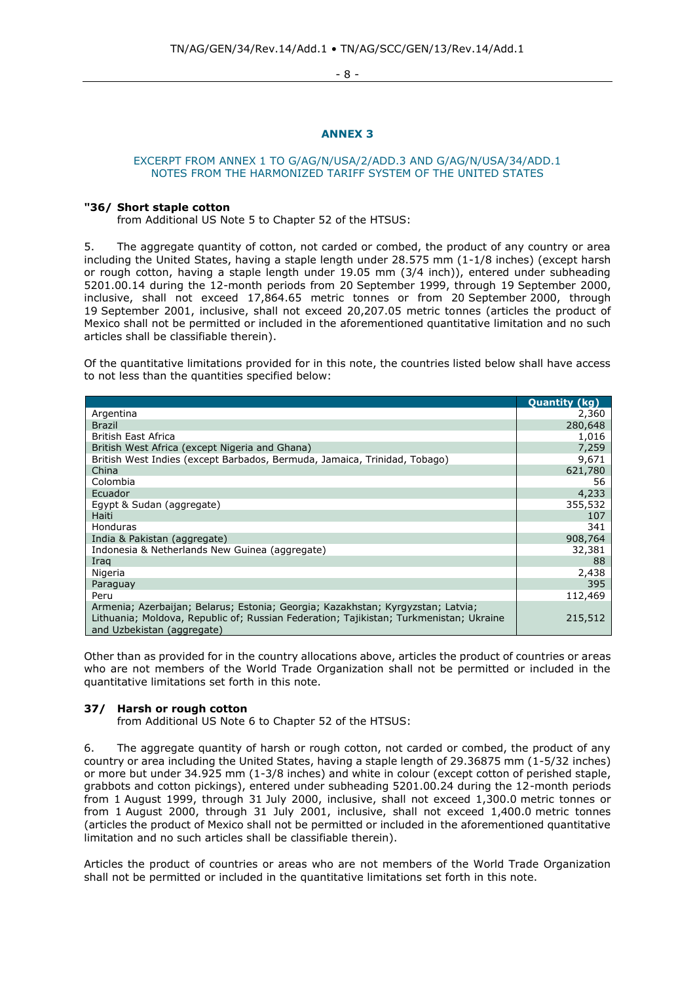- 8 -

## **ANNEX 3**

### <span id="page-7-0"></span>EXCERPT FROM ANNEX 1 TO G/AG/N/USA/2/ADD.3 AND G/AG/N/USA/34/ADD.1 NOTES FROM THE HARMONIZED TARIFF SYSTEM OF THE UNITED STATES

#### **"36/ Short staple cotton**

from Additional US Note 5 to Chapter 52 of the HTSUS:

5. The aggregate quantity of cotton, not carded or combed, the product of any country or area including the United States, having a staple length under 28.575 mm (1-1/8 inches) (except harsh or rough cotton, having a staple length under 19.05 mm (3/4 inch)), entered under subheading 5201.00.14 during the 12-month periods from 20 September 1999, through 19 September 2000, inclusive, shall not exceed 17,864.65 metric tonnes or from 20 September 2000, through 19 September 2001, inclusive, shall not exceed 20,207.05 metric tonnes (articles the product of Mexico shall not be permitted or included in the aforementioned quantitative limitation and no such articles shall be classifiable therein).

Of the quantitative limitations provided for in this note, the countries listed below shall have access to not less than the quantities specified below:

|                                                                                                                                                                                                         | <b>Quantity (kg)</b> |
|---------------------------------------------------------------------------------------------------------------------------------------------------------------------------------------------------------|----------------------|
| Argentina                                                                                                                                                                                               | 2,360                |
| <b>Brazil</b>                                                                                                                                                                                           | 280,648              |
| <b>British East Africa</b>                                                                                                                                                                              | 1,016                |
| British West Africa (except Nigeria and Ghana)                                                                                                                                                          | 7,259                |
| British West Indies (except Barbados, Bermuda, Jamaica, Trinidad, Tobago)                                                                                                                               | 9,671                |
| China                                                                                                                                                                                                   | 621,780              |
| Colombia                                                                                                                                                                                                | 56                   |
| Ecuador                                                                                                                                                                                                 | 4,233                |
| Egypt & Sudan (aggregate)                                                                                                                                                                               | 355,532              |
| Haiti                                                                                                                                                                                                   | 107                  |
| <b>Honduras</b>                                                                                                                                                                                         | 341                  |
| India & Pakistan (aggregate)                                                                                                                                                                            | 908,764              |
| Indonesia & Netherlands New Guinea (aggregate)                                                                                                                                                          | 32,381               |
| Iraq                                                                                                                                                                                                    | 88                   |
| Nigeria                                                                                                                                                                                                 | 2,438                |
| Paraguay                                                                                                                                                                                                | 395                  |
| Peru                                                                                                                                                                                                    | 112,469              |
| Armenia; Azerbaijan; Belarus; Estonia; Georgia; Kazakhstan; Kyrgyzstan; Latvia;<br>Lithuania; Moldova, Republic of; Russian Federation; Tajikistan; Turkmenistan; Ukraine<br>and Uzbekistan (aggregate) | 215,512              |

Other than as provided for in the country allocations above, articles the product of countries or areas who are not members of the World Trade Organization shall not be permitted or included in the quantitative limitations set forth in this note.

## **37/ Harsh or rough cotton**

from Additional US Note 6 to Chapter 52 of the HTSUS:

6. The aggregate quantity of harsh or rough cotton, not carded or combed, the product of any country or area including the United States, having a staple length of 29.36875 mm (1-5/32 inches) or more but under 34.925 mm (1-3/8 inches) and white in colour (except cotton of perished staple, grabbots and cotton pickings), entered under subheading 5201.00.24 during the 12-month periods from 1 August 1999, through 31 July 2000, inclusive, shall not exceed 1,300.0 metric tonnes or from 1 August 2000, through 31 July 2001, inclusive, shall not exceed 1,400.0 metric tonnes (articles the product of Mexico shall not be permitted or included in the aforementioned quantitative limitation and no such articles shall be classifiable therein).

Articles the product of countries or areas who are not members of the World Trade Organization shall not be permitted or included in the quantitative limitations set forth in this note.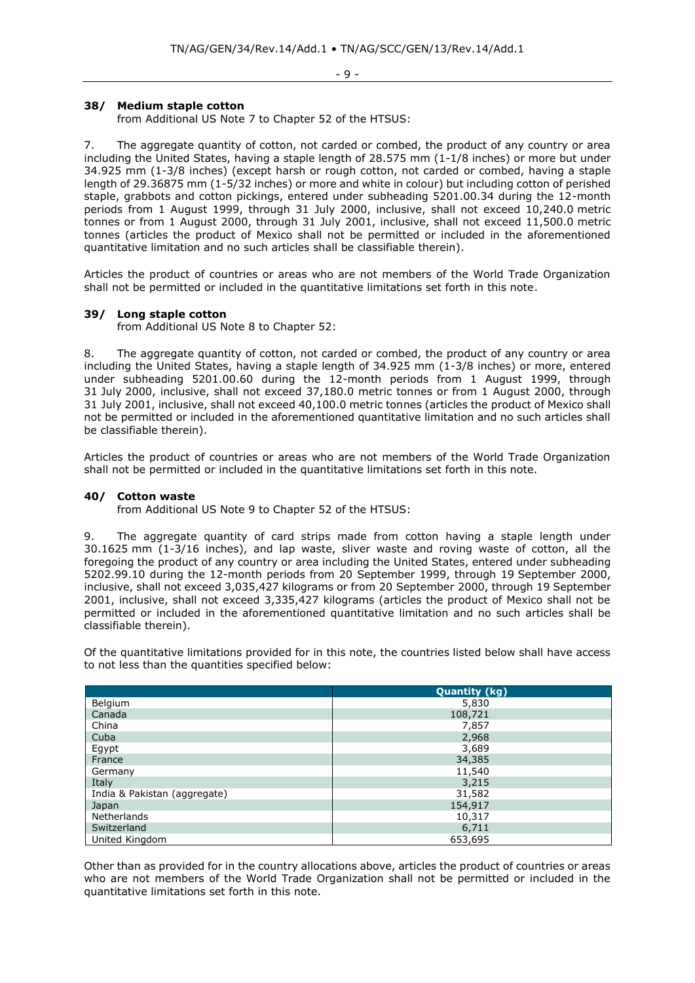## **38/ Medium staple cotton**

from Additional US Note 7 to Chapter 52 of the HTSUS:

7. The aggregate quantity of cotton, not carded or combed, the product of any country or area including the United States, having a staple length of 28.575 mm (1-1/8 inches) or more but under 34.925 mm (1-3/8 inches) (except harsh or rough cotton, not carded or combed, having a staple length of 29.36875 mm (1-5/32 inches) or more and white in colour) but including cotton of perished staple, grabbots and cotton pickings, entered under subheading 5201.00.34 during the 12-month periods from 1 August 1999, through 31 July 2000, inclusive, shall not exceed 10,240.0 metric tonnes or from 1 August 2000, through 31 July 2001, inclusive, shall not exceed 11,500.0 metric tonnes (articles the product of Mexico shall not be permitted or included in the aforementioned quantitative limitation and no such articles shall be classifiable therein).

Articles the product of countries or areas who are not members of the World Trade Organization shall not be permitted or included in the quantitative limitations set forth in this note.

### **39/ Long staple cotton**

from Additional US Note 8 to Chapter 52:

8. The aggregate quantity of cotton, not carded or combed, the product of any country or area including the United States, having a staple length of 34.925 mm (1-3/8 inches) or more, entered under subheading 5201.00.60 during the 12-month periods from 1 August 1999, through 31 July 2000, inclusive, shall not exceed 37,180.0 metric tonnes or from 1 August 2000, through 31 July 2001, inclusive, shall not exceed 40,100.0 metric tonnes (articles the product of Mexico shall not be permitted or included in the aforementioned quantitative limitation and no such articles shall be classifiable therein).

Articles the product of countries or areas who are not members of the World Trade Organization shall not be permitted or included in the quantitative limitations set forth in this note.

### **40/ Cotton waste**

from Additional US Note 9 to Chapter 52 of the HTSUS:

9. The aggregate quantity of card strips made from cotton having a staple length under 30.1625 mm (1-3/16 inches), and lap waste, sliver waste and roving waste of cotton, all the foregoing the product of any country or area including the United States, entered under subheading 5202.99.10 during the 12-month periods from 20 September 1999, through 19 September 2000, inclusive, shall not exceed 3,035,427 kilograms or from 20 September 2000, through 19 September 2001, inclusive, shall not exceed 3,335,427 kilograms (articles the product of Mexico shall not be permitted or included in the aforementioned quantitative limitation and no such articles shall be classifiable therein).

Of the quantitative limitations provided for in this note, the countries listed below shall have access to not less than the quantities specified below:

|                              | <b>Quantity (kg)</b> |
|------------------------------|----------------------|
| Belgium                      | 5,830                |
| Canada                       | 108,721              |
| China                        | 7,857                |
| Cuba                         | 2,968                |
| Egypt                        | 3,689                |
| France                       | 34,385               |
| Germany                      | 11,540               |
| Italy                        | 3,215                |
| India & Pakistan (aggregate) | 31,582               |
| Japan                        | 154,917              |
| Netherlands                  | 10,317               |
| Switzerland                  | 6,711                |
| United Kingdom               | 653,695              |

Other than as provided for in the country allocations above, articles the product of countries or areas who are not members of the World Trade Organization shall not be permitted or included in the quantitative limitations set forth in this note.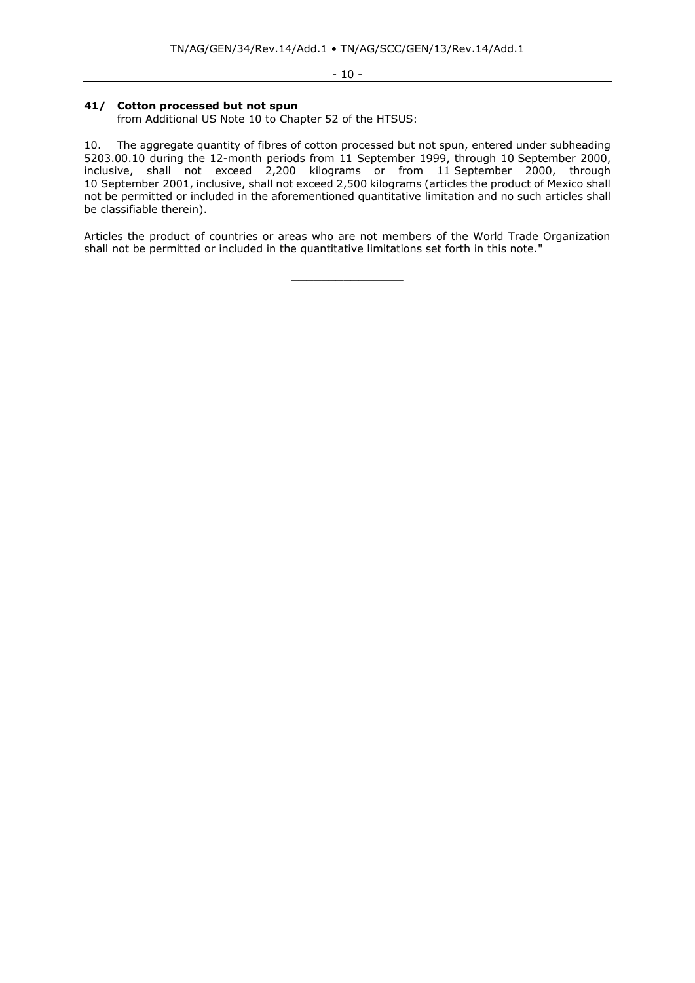## **41/ Cotton processed but not spun**

from Additional US Note 10 to Chapter 52 of the HTSUS:

10. The aggregate quantity of fibres of cotton processed but not spun, entered under subheading 5203.00.10 during the 12-month periods from 11 September 1999, through 10 September 2000, inclusive, shall not exceed 2,200 kilograms or from 11 September 2000, through 10 September 2001, inclusive, shall not exceed 2,500 kilograms (articles the product of Mexico shall not be permitted or included in the aforementioned quantitative limitation and no such articles shall be classifiable therein).

Articles the product of countries or areas who are not members of the World Trade Organization shall not be permitted or included in the quantitative limitations set forth in this note."

**\_\_\_\_\_\_\_\_\_\_\_\_\_\_\_**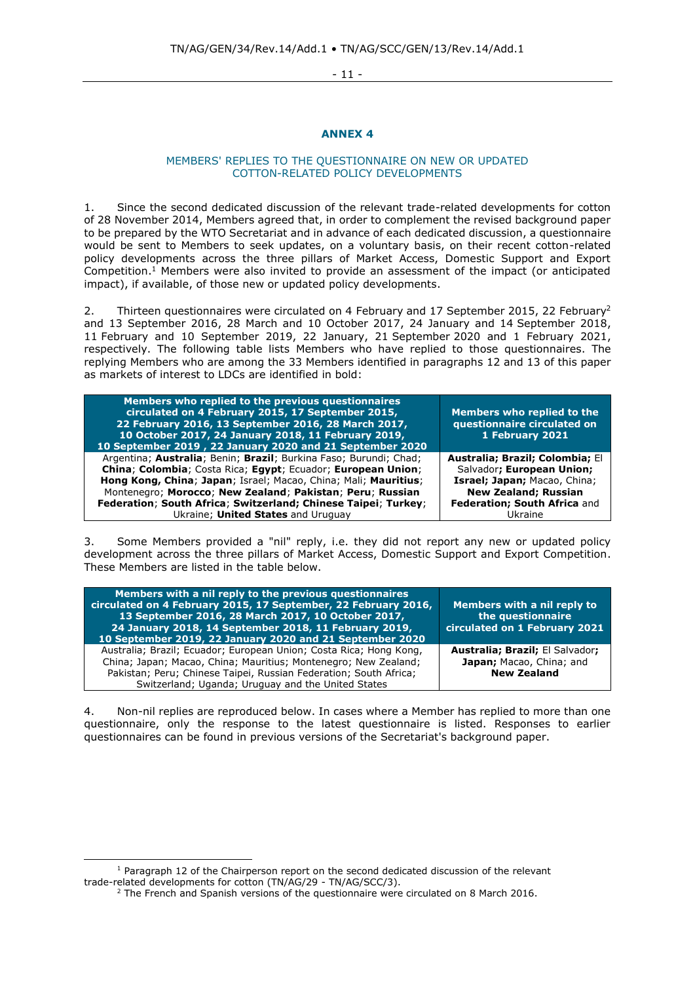- 11 -

## **ANNEX 4**

## MEMBERS' REPLIES TO THE QUESTIONNAIRE ON NEW OR UPDATED COTTON-RELATED POLICY DEVELOPMENTS

<span id="page-10-0"></span>1. Since the second dedicated discussion of the relevant trade-related developments for cotton of 28 November 2014, Members agreed that, in order to complement the revised background paper to be prepared by the WTO Secretariat and in advance of each dedicated discussion, a questionnaire would be sent to Members to seek updates, on a voluntary basis, on their recent cotton-related policy developments across the three pillars of Market Access, Domestic Support and Export Competition. <sup>1</sup> Members were also invited to provide an assessment of the impact (or anticipated impact), if available, of those new or updated policy developments.

2. Thirteen questionnaires were circulated on 4 February and 17 September 2015, 22 February<sup>2</sup> and 13 September 2016, 28 March and 10 October 2017, 24 January and 14 September 2018, 11 February and 10 September 2019, 22 January, 21 September 2020 and 1 February 2021, respectively. The following table lists Members who have replied to those questionnaires. The replying Members who are among the 33 Members identified in paragraphs 12 and 13 of this paper as markets of interest to LDCs are identified in bold:

| Members who replied to the previous questionnaires<br>circulated on 4 February 2015, 17 September 2015,<br>22 February 2016, 13 September 2016, 28 March 2017,<br>10 October 2017, 24 January 2018, 11 February 2019,<br>10 September 2019, 22 January 2020 and 21 September 2020 | <b>Members who replied to the</b><br>questionnaire circulated on<br>1 February 2021 |
|-----------------------------------------------------------------------------------------------------------------------------------------------------------------------------------------------------------------------------------------------------------------------------------|-------------------------------------------------------------------------------------|
| Argentina; Australia; Benin; Brazil; Burkina Faso; Burundi; Chad;                                                                                                                                                                                                                 | Australia; Brazil; Colombia; El                                                     |
| China; Colombia; Costa Rica; Egypt; Ecuador; European Union;                                                                                                                                                                                                                      | Salvador; European Union;                                                           |
| Hong Kong, China; Japan; Israel; Macao, China; Mali; Mauritius;                                                                                                                                                                                                                   | Israel; Japan; Macao, China;                                                        |
| Montenegro; Morocco; New Zealand; Pakistan; Peru; Russian                                                                                                                                                                                                                         | <b>New Zealand; Russian</b>                                                         |
| Federation; South Africa; Switzerland; Chinese Taipei; Turkey;                                                                                                                                                                                                                    | Federation; South Africa and                                                        |
| Ukraine; United States and Uruguay                                                                                                                                                                                                                                                | Ukraine                                                                             |

3. Some Members provided a "nil" reply, i.e. they did not report any new or updated policy development across the three pillars of Market Access, Domestic Support and Export Competition. These Members are listed in the table below.

| Members with a nil reply to the previous questionnaires<br>circulated on 4 February 2015, 17 September, 22 February 2016,<br>13 September 2016, 28 March 2017, 10 October 2017,<br>24 January 2018, 14 September 2018, 11 February 2019,<br>10 September 2019, 22 January 2020 and 21 September 2020 | Members with a nil reply to<br>the questionnaire<br>circulated on 1 February 2021 |
|------------------------------------------------------------------------------------------------------------------------------------------------------------------------------------------------------------------------------------------------------------------------------------------------------|-----------------------------------------------------------------------------------|
| Australia; Brazil; Ecuador; European Union; Costa Rica; Hong Kong,<br>China; Japan; Macao, China; Mauritius; Montenegro; New Zealand;<br>Pakistan; Peru; Chinese Taipei, Russian Federation; South Africa;<br>Switzerland; Uganda; Uruguay and the United States                                     | Australia; Brazil; El Salvador;<br>Japan; Macao, China; and<br><b>New Zealand</b> |

4. Non-nil replies are reproduced below. In cases where a Member has replied to more than one questionnaire, only the response to the latest questionnaire is listed. Responses to earlier questionnaires can be found in previous versions of the Secretariat's background paper.

<sup>&</sup>lt;sup>1</sup> Paragraph 12 of the Chairperson report on the second dedicated discussion of the relevant trade-related developments for cotton (TN/AG/29 - TN/AG/SCC/3).

<sup>&</sup>lt;sup>2</sup> The French and Spanish versions of the questionnaire were circulated on 8 March 2016.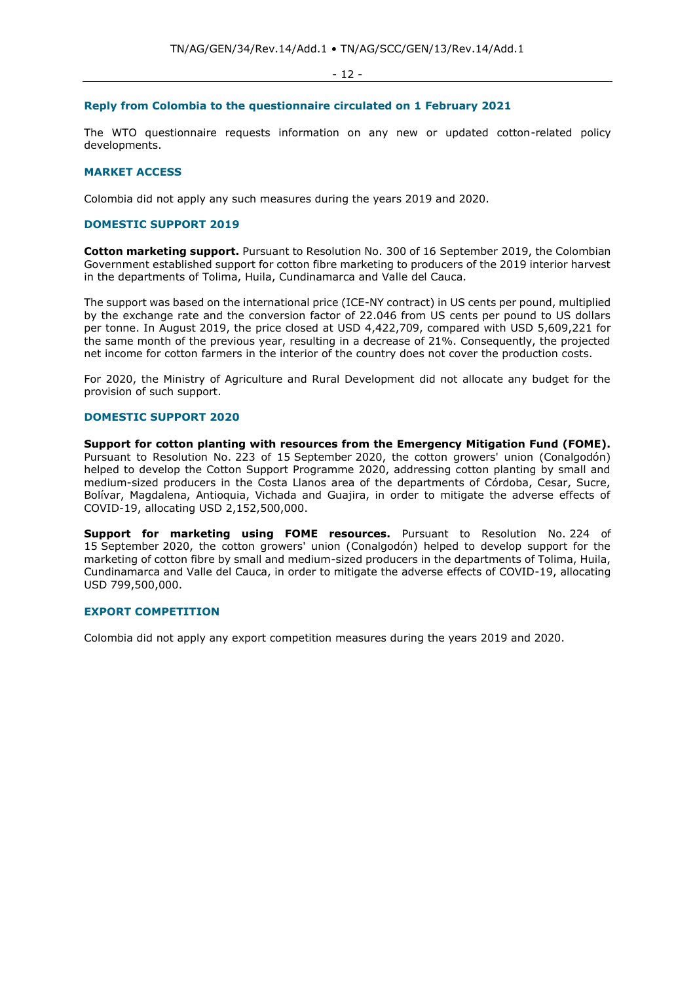#### **Reply from Colombia to the questionnaire circulated on 1 February 2021**

The WTO questionnaire requests information on any new or updated cotton-related policy developments.

## **MARKET ACCESS**

Colombia did not apply any such measures during the years 2019 and 2020.

#### **DOMESTIC SUPPORT 2019**

**Cotton marketing support.** Pursuant to Resolution No. 300 of 16 September 2019, the Colombian Government established support for cotton fibre marketing to producers of the 2019 interior harvest in the departments of Tolima, Huila, Cundinamarca and Valle del Cauca.

The support was based on the international price (ICE-NY contract) in US cents per pound, multiplied by the exchange rate and the conversion factor of 22.046 from US cents per pound to US dollars per tonne. In August 2019, the price closed at USD 4,422,709, compared with USD 5,609,221 for the same month of the previous year, resulting in a decrease of 21%. Consequently, the projected net income for cotton farmers in the interior of the country does not cover the production costs.

For 2020, the Ministry of Agriculture and Rural Development did not allocate any budget for the provision of such support.

## **DOMESTIC SUPPORT 2020**

**Support for cotton planting with resources from the Emergency Mitigation Fund (FOME).**  Pursuant to Resolution No. 223 of 15 September 2020, the cotton growers' union (Conalgodón) helped to develop the Cotton Support Programme 2020, addressing cotton planting by small and medium-sized producers in the Costa Llanos area of the departments of Córdoba, Cesar, Sucre, Bolívar, Magdalena, Antioquia, Vichada and Guajira, in order to mitigate the adverse effects of COVID-19, allocating USD 2,152,500,000.

**Support for marketing using FOME resources.** Pursuant to Resolution No. 224 of 15 September 2020, the cotton growers' union (Conalgodón) helped to develop support for the marketing of cotton fibre by small and medium-sized producers in the departments of Tolima, Huila, Cundinamarca and Valle del Cauca, in order to mitigate the adverse effects of COVID-19, allocating USD 799,500,000.

## **EXPORT COMPETITION**

Colombia did not apply any export competition measures during the years 2019 and 2020.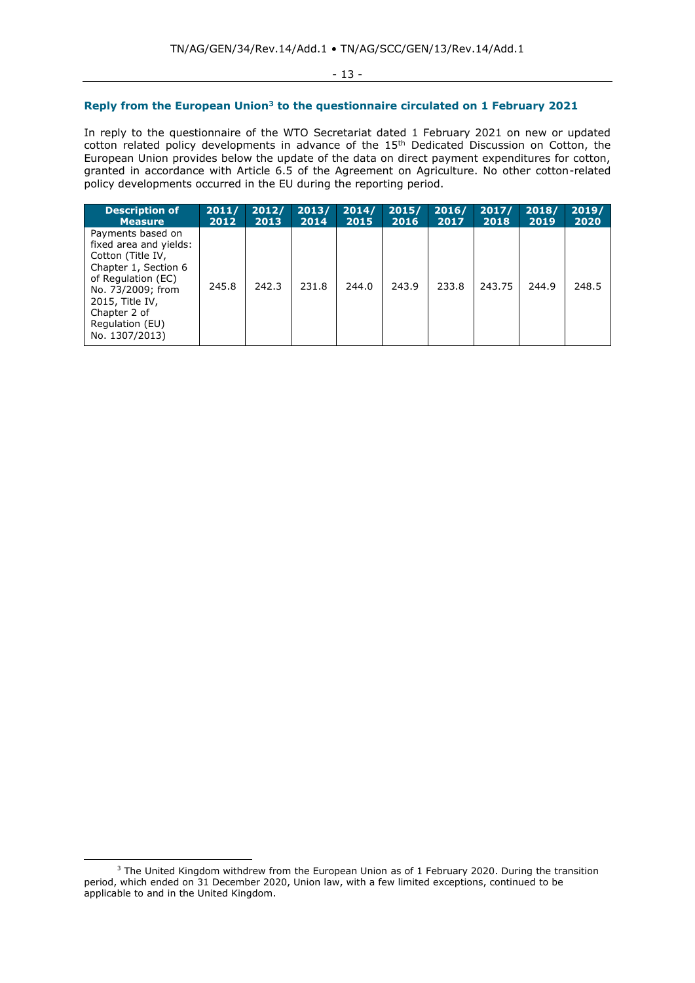## **Reply from the European Union<sup>3</sup> to the questionnaire circulated on 1 February 2021**

In reply to the questionnaire of the WTO Secretariat dated 1 February 2021 on new or updated cotton related policy developments in advance of the 15<sup>th</sup> Dedicated Discussion on Cotton, the European Union provides below the update of the data on direct payment expenditures for cotton, granted in accordance with Article 6.5 of the Agreement on Agriculture. No other cotton-related policy developments occurred in the EU during the reporting period.

| <b>Description of</b>                                                                                                                                                                                       | 2011/ | 2012/ | 2013/ | 2014/ | 2015/ | 2016/ | 2017/  | 2018/ | 2019/ |
|-------------------------------------------------------------------------------------------------------------------------------------------------------------------------------------------------------------|-------|-------|-------|-------|-------|-------|--------|-------|-------|
| <b>Measure</b>                                                                                                                                                                                              | 2012  | 2013  | 2014  | 2015  | 2016  | 2017  | 2018   | 2019  | 2020  |
| Payments based on<br>fixed area and yields:<br>Cotton (Title IV,<br>Chapter 1, Section 6<br>of Regulation (EC)<br>No. 73/2009; from<br>2015, Title IV,<br>Chapter 2 of<br>Regulation (EU)<br>No. 1307/2013) | 245.8 | 242.3 | 231.8 | 244.0 | 243.9 | 233.8 | 243.75 | 244.9 | 248.5 |

<sup>&</sup>lt;sup>3</sup> The United Kingdom withdrew from the European Union as of 1 February 2020. During the transition period, which ended on 31 December 2020, Union law, with a few limited exceptions, continued to be applicable to and in the United Kingdom.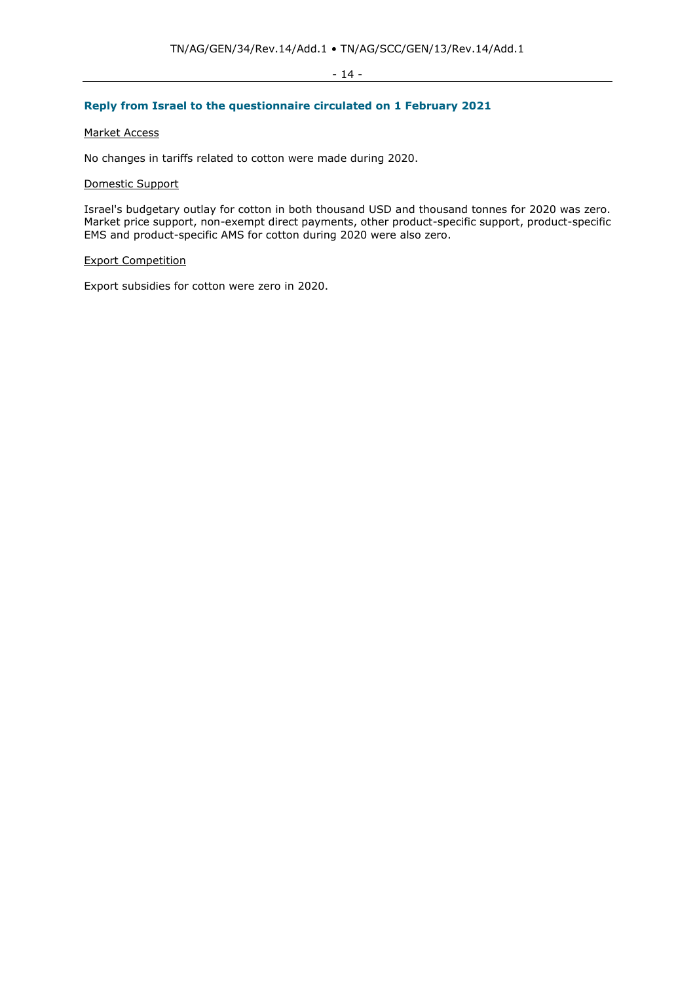### - 14 -

## **Reply from Israel to the questionnaire circulated on 1 February 2021**

## Market Access

No changes in tariffs related to cotton were made during 2020.

### Domestic Support

Israel's budgetary outlay for cotton in both thousand USD and thousand tonnes for 2020 was zero. Market price support, non-exempt direct payments, other product-specific support, product-specific EMS and product-specific AMS for cotton during 2020 were also zero.

## Export Competition

Export subsidies for cotton were zero in 2020.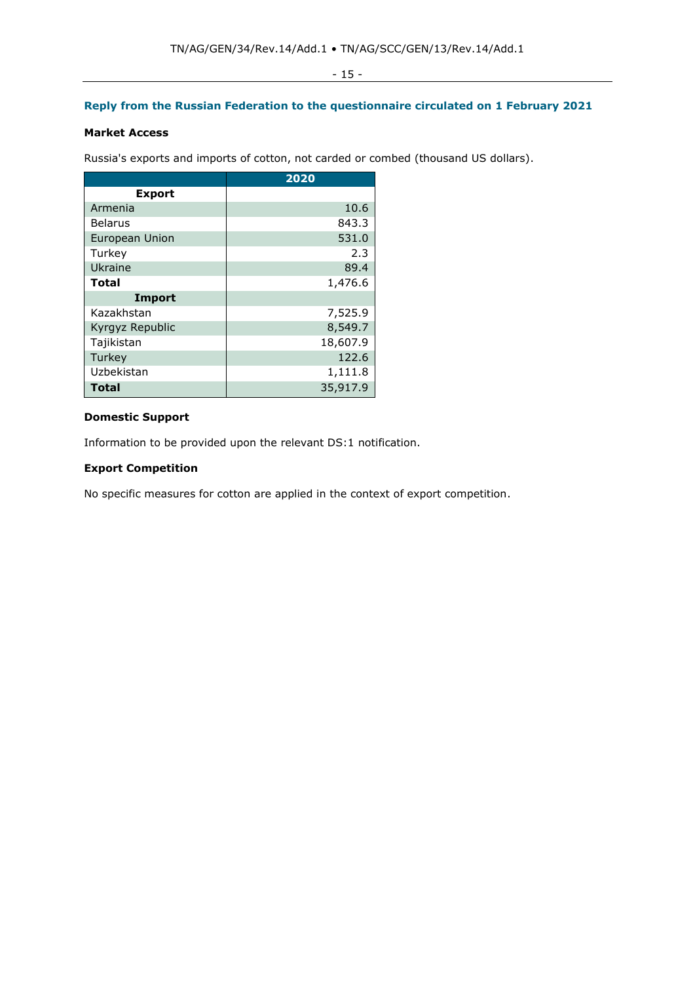## **Reply from the Russian Federation to the questionnaire circulated on 1 February 2021**

## **Market Access**

Russia's exports and imports of cotton, not carded or combed (thousand US dollars).

|                 | 2020     |
|-----------------|----------|
| <b>Export</b>   |          |
| Armenia         | 10.6     |
| <b>Belarus</b>  | 843.3    |
| European Union  | 531.0    |
| Turkey          | 2.3      |
| Ukraine         | 89.4     |
| <b>Total</b>    | 1,476.6  |
| <b>Import</b>   |          |
| Kazakhstan      | 7,525.9  |
| Kyrgyz Republic | 8,549.7  |
| Tajikistan      | 18,607.9 |
| Turkey          | 122.6    |
| Uzbekistan      | 1,111.8  |
| <b>Total</b>    | 35,917.9 |

## **Domestic Support**

Information to be provided upon the relevant DS:1 notification.

## **Export Competition**

No specific measures for cotton are applied in the context of export competition.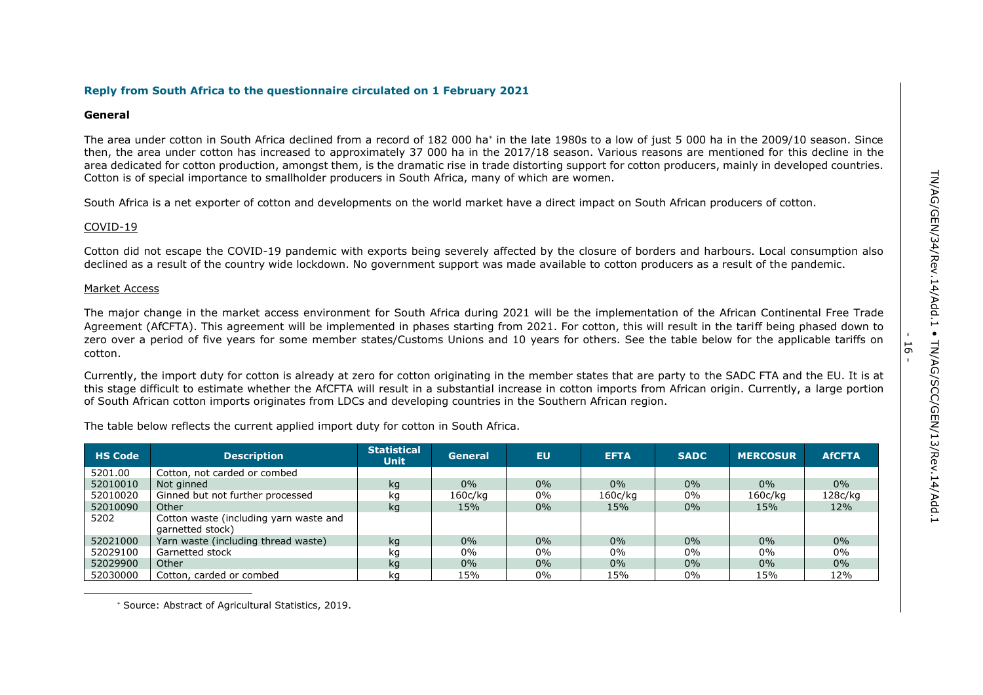- 16 -

#### **Reply from South Africa to the questionnaire circulated on 1 February 2021**

#### **General**

The area under cotton in South Africa declined from a record of 182 000 ha<sup>\*</sup> in the late 1980s to a low of just 5 000 ha in the 2009/10 season. Since then, the area under cotton has increased to approximately 37 000 ha in the 2017/18 season. Various reasons are mentioned for this decline in the area dedicated for cotton production, amongst them, is the dramatic rise in trade distorting support for cotton producers, mainly in developed countries. Cotton is of special importance to smallholder producers in South Africa, many of which are women.

South Africa is a net exporter of cotton and developments on the world market have a direct impact on South African producers of cotton.

#### COVID-19

Cotton did not escape the COVID-19 pandemic with exports being severely affected by the closure of borders and harbours. Local consumption also declined as a result of the country wide lockdown. No government support was made available to cotton producers as a result of the pandemic.

#### Market Access

The major change in the market access environment for South Africa during 2021 will be the implementation of the African Continental Free Trade Agreement (AfCFTA). This agreement will be implemented in phases starting from 2021. For cotton, this will result in the tariff being phased down to zero over a period of five years for some member states/Customs Unions and 10 years for others. See the table below for the applicable tariffs on cotton.

Currently, the import duty for cotton is already at zero for cotton originating in the member states that are party to the SADC FTA and the EU. It is at this stage difficult to estimate whether the AfCFTA will result in a substantial increase in cotton imports from African origin. Currently, a large portion of South African cotton imports originates from LDCs and developing countries in the Southern African region.

The table below reflects the current applied import duty for cotton in South Africa.

| <b>HS Code</b> | <b>Description</b>                                         | <b>Statistical</b><br><b>Unit</b> | <b>General</b> | <b>EU</b> | <b>EFTA</b> | <b>SADC</b> | <b>MERCOSUR</b> | <b>AfCFTA</b> |
|----------------|------------------------------------------------------------|-----------------------------------|----------------|-----------|-------------|-------------|-----------------|---------------|
| 5201.00        | Cotton, not carded or combed                               |                                   |                |           |             |             |                 |               |
| 52010010       | Not ginned                                                 | kg                                | $0\%$          | 0%        | $0\%$       | $0\%$       | $0\%$           | $0\%$         |
| 52010020       | Ginned but not further processed                           | kg                                | 160c/kg        | 0%        | 160c/kg     | 0%          | 160c/kg         | 128c/kg       |
| 52010090       | Other                                                      | kq                                | 15%            | 0%        | 15%         | $0\%$       | 15%             | 12%           |
| 5202           | Cotton waste (including yarn waste and<br>garnetted stock) |                                   |                |           |             |             |                 |               |
| 52021000       | Yarn waste (including thread waste)                        | kg                                | $0\%$          | 0%        | $0\%$       | $0\%$       | $0\%$           | $0\%$         |
| 52029100       | Garnetted stock                                            | kg                                | $0\%$          | 0%        | 0%          | $0\%$       | 0%              | 0%            |
| 52029900       | Other                                                      | kg                                | $0\%$          | 0%        | $0\%$       | $0\%$       | $0\%$           | $0\%$         |
| 52030000       | Cotton, carded or combed                                   | ka                                | 15%            | 0%        | 15%         | $0\%$       | 15%             | 12%           |

Source: Abstract of Agricultural Statistics, 2019.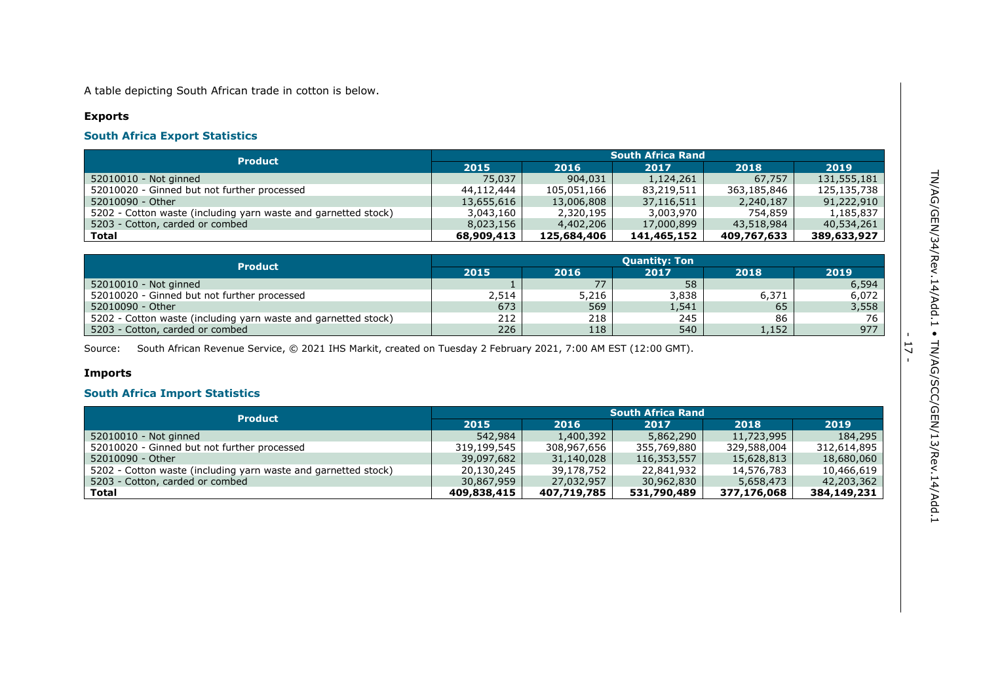A table depicting South African trade in cotton is below.

## **Exports**

## **South Africa Export Statistics**

| <b>Product</b>                                                 | <b>South Africa Rand</b> |             |             |             |             |  |
|----------------------------------------------------------------|--------------------------|-------------|-------------|-------------|-------------|--|
|                                                                | 2015                     | 2016        | 2017        | 2018        | 2019        |  |
| 52010010 - Not ginned                                          | 75,037                   | 904,031     | 1,124,261   | 67.757      | 131,555,181 |  |
| 52010020 - Ginned but not further processed                    | 44,112,444               | 105,051,166 | 83,219,511  | 363,185,846 | 125,135,738 |  |
| 52010090 - Other                                               | 13,655,616               | 13,006,808  | 37,116,511  | 2,240,187   | 91,222,910  |  |
| 5202 - Cotton waste (including yarn waste and garnetted stock) | 3,043,160                | 2,320,195   | 3,003,970   | 754,859     | 1,185,837   |  |
| 5203 - Cotton, carded or combed                                | 8,023,156                | 4,402,206   | 17,000,899  | 43,518,984  | 40,534,261  |  |
| Total                                                          | 68,909,413               | 125,684,406 | 141,465,152 | 409,767,633 | 389,633,927 |  |

| <b>Product</b>                                                 | <b>Quantity: Ton</b> |       |       |       |       |  |  |
|----------------------------------------------------------------|----------------------|-------|-------|-------|-------|--|--|
|                                                                | 2015                 | 2016  | 2017  | 2018  | 2019  |  |  |
| 52010010 - Not ginned                                          |                      | 77    | 58    |       | 6,594 |  |  |
| 52010020 - Ginned but not further processed                    | 2,514                | 5,216 | 3,838 | 6,371 | 6,072 |  |  |
| 52010090 - Other                                               | 673                  | 569   | 1,541 | 65    | 3,558 |  |  |
| 5202 - Cotton waste (including yarn waste and garnetted stock) | 212                  | 218   | 245   | 86    | 76    |  |  |
| 5203 - Cotton, carded or combed                                | 226                  | 118   | 540   | 1,152 | 977   |  |  |

Source: South African Revenue Service, © 2021 IHS Markit, created on Tuesday 2 February 2021, 7:00 AM EST (12:00 GMT).

## **Imports**

## **South Africa Import Statistics**

| <b>Product</b>                                                 | <b>South Africa Rand</b> |             |             |             |             |  |
|----------------------------------------------------------------|--------------------------|-------------|-------------|-------------|-------------|--|
|                                                                | 2015                     | 2016        | 2017        | 2018        | 2019        |  |
| 52010010 - Not ginned                                          | 542,984                  | 1,400,392   | 5,862,290   | 11,723,995  | 184,295     |  |
| 52010020 - Ginned but not further processed                    | 319,199,545              | 308,967,656 | 355,769,880 | 329,588,004 | 312,614,895 |  |
| 52010090 - Other                                               | 39,097,682               | 31,140,028  | 116,353,557 | 15,628,813  | 18,680,060  |  |
| 5202 - Cotton waste (including yarn waste and garnetted stock) | 20.130.245               | 39,178,752  | 22,841,932  | 14,576,783  | 10,466,619  |  |
| 5203 - Cotton, carded or combed                                | 30,867,959               | 27,032,957  | 30,962,830  | 5,658,473   | 42,203,362  |  |
| Total                                                          | 409,838,415              | 407,719,785 | 531,790,489 | 377,176,068 | 384,149,231 |  |

- 17 -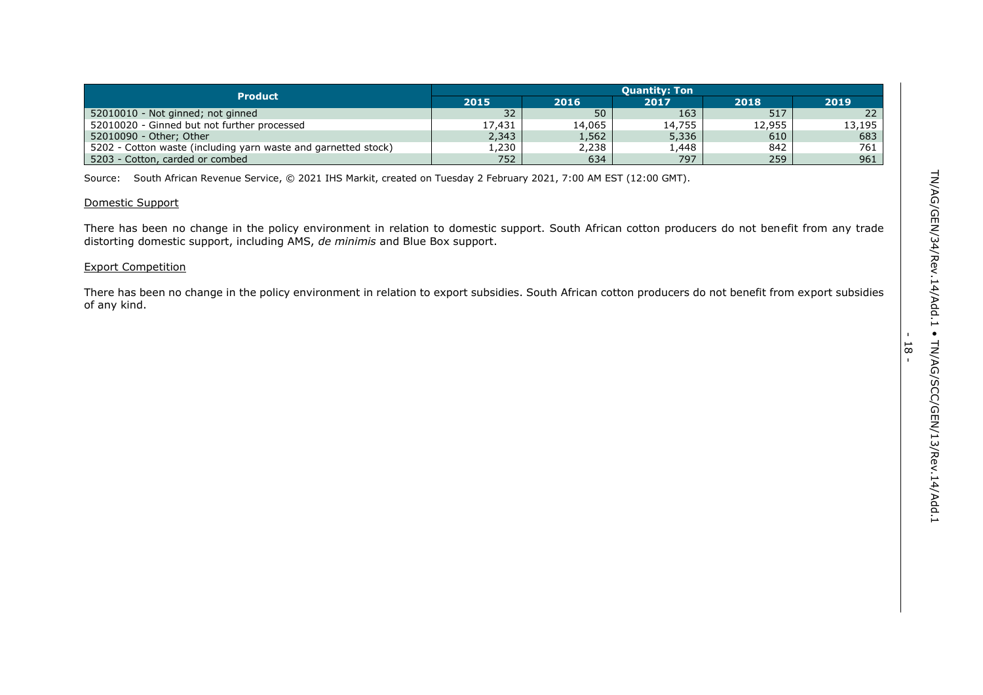|                                                                | Ouantitv: Ton |        |        |        |                 |  |  |
|----------------------------------------------------------------|---------------|--------|--------|--------|-----------------|--|--|
| <b>Product</b>                                                 | 2015          | 2016   | 2017   | 2018   | 2019            |  |  |
| 52010010 - Not ginned; not ginned                              | 32            | 50     | 163    | 517    | 22 <sup>2</sup> |  |  |
| 52010020 - Ginned but not further processed                    | 17.431        | 14,065 | 14,755 | 12,955 | 13,195          |  |  |
| 52010090 - Other; Other                                        | 2,343         | 1,562' | 5,336  | 610    | 683             |  |  |
| 5202 - Cotton waste (including yarn waste and garnetted stock) | 1,230         | 2,238  | 448، ۱ | 842    | 761             |  |  |
| 5203 - Cotton, carded or combed                                | 752           | 634    | 797    | 259    | 961             |  |  |

Source: South African Revenue Service, © 2021 IHS Markit, created on Tuesday 2 February 2021, 7:00 AM EST (12:00 GMT).

## Domestic Support

There has been no change in the policy environment in relation to domestic support. South African cotton producers do not benefit from any trade distorting domestic support, including AMS, *de minimis* and Blue Box support.

## Export Competition

There has been no change in the policy environment in relation to export subsidies. South African cotton producers do not benefit from export subsidies of any kind.

- 18 -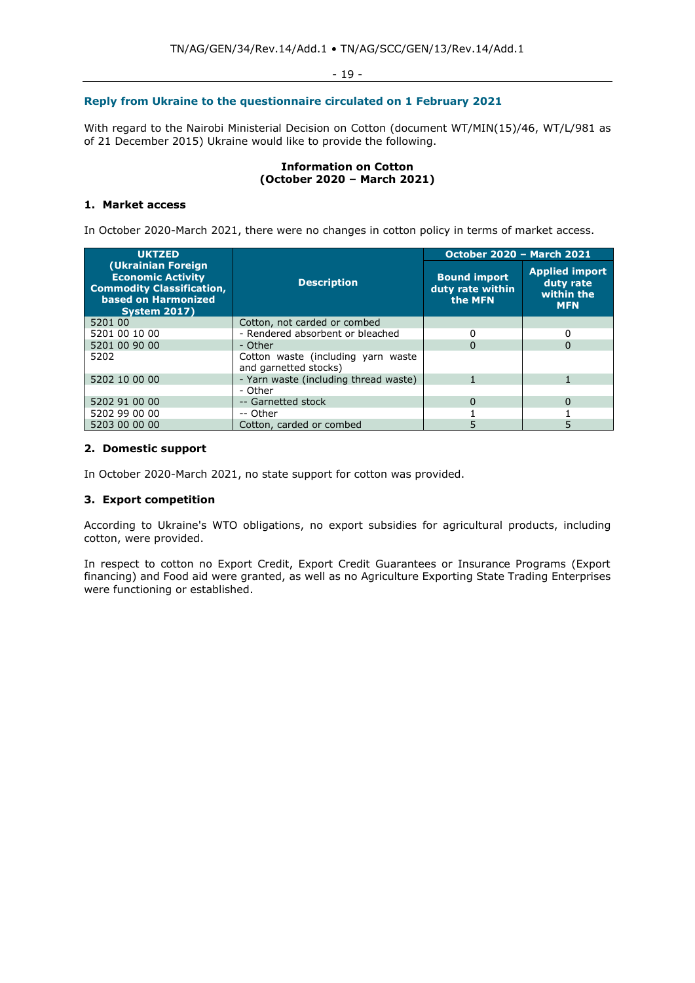- 19 -

## **Reply from Ukraine to the questionnaire circulated on 1 February 2021**

With regard to the Nairobi Ministerial Decision on Cotton (document WT/MIN(15)/46, WT/L/981 as of 21 December 2015) Ukraine would like to provide the following.

### **Information on Cotton (October 2020 – March 2021)**

## **1. Market access**

In October 2020-March 2021, there were no changes in cotton policy in terms of market access.

| <b>UKTZED</b>                                                                                                                     |                                                             | <b>October 2020 - March 2021</b>                   |                                                                |
|-----------------------------------------------------------------------------------------------------------------------------------|-------------------------------------------------------------|----------------------------------------------------|----------------------------------------------------------------|
| (Ukrainian Foreign)<br><b>Economic Activity</b><br><b>Commodity Classification,</b><br>based on Harmonized<br><b>System 2017)</b> | <b>Description</b>                                          | <b>Bound import</b><br>duty rate within<br>the MFN | <b>Applied import</b><br>duty rate<br>within the<br><b>MFN</b> |
| 5201 00                                                                                                                           | Cotton, not carded or combed                                |                                                    |                                                                |
| 5201 00 10 00                                                                                                                     | - Rendered absorbent or bleached                            |                                                    |                                                                |
| 5201 00 90 00                                                                                                                     | - Other                                                     | $\mathbf{U}$                                       | 0                                                              |
| 5202                                                                                                                              | Cotton waste (including yarn waste<br>and garnetted stocks) |                                                    |                                                                |
| 5202 10 00 00                                                                                                                     | - Yarn waste (including thread waste)                       |                                                    |                                                                |
|                                                                                                                                   | - Other                                                     |                                                    |                                                                |
| 5202 91 00 00                                                                                                                     | -- Garnetted stock                                          | O                                                  | $\Omega$                                                       |
| 5202 99 00 00                                                                                                                     | -- Other                                                    |                                                    |                                                                |
| 5203 00 00 00                                                                                                                     | Cotton, carded or combed                                    |                                                    |                                                                |

## **2. Domestic support**

In October 2020-March 2021, no state support for cotton was provided.

## **3. Export competition**

According to Ukraine's WTO obligations, no export subsidies for agricultural products, including cotton, were provided.

In respect to cotton no Export Credit, Export Credit Guarantees or Insurance Programs (Export financing) and Food aid were granted, as well as no Agriculture Exporting State Trading Enterprises were functioning or established.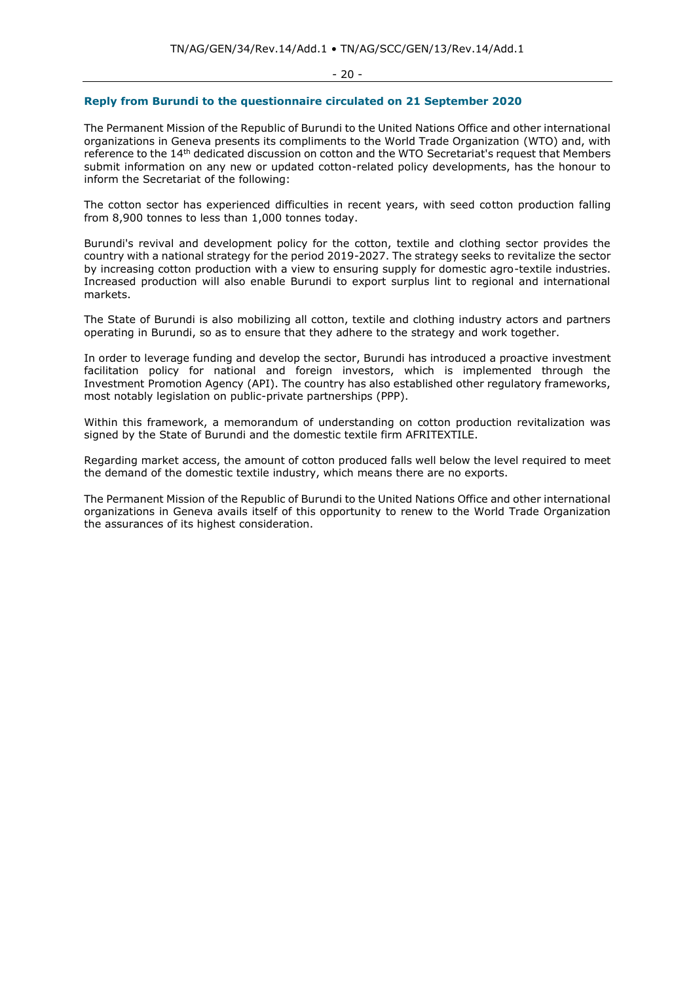- 20 -

### **Reply from Burundi to the questionnaire circulated on 21 September 2020**

The Permanent Mission of the Republic of Burundi to the United Nations Office and other international organizations in Geneva presents its compliments to the World Trade Organization (WTO) and, with reference to the 14th dedicated discussion on cotton and the WTO Secretariat's request that Members submit information on any new or updated cotton-related policy developments, has the honour to inform the Secretariat of the following:

The cotton sector has experienced difficulties in recent years, with seed cotton production falling from 8,900 tonnes to less than 1,000 tonnes today.

Burundi's revival and development policy for the cotton, textile and clothing sector provides the country with a national strategy for the period 2019-2027. The strategy seeks to revitalize the sector by increasing cotton production with a view to ensuring supply for domestic agro-textile industries. Increased production will also enable Burundi to export surplus lint to regional and international markets.

The State of Burundi is also mobilizing all cotton, textile and clothing industry actors and partners operating in Burundi, so as to ensure that they adhere to the strategy and work together.

In order to leverage funding and develop the sector, Burundi has introduced a proactive investment facilitation policy for national and foreign investors, which is implemented through the Investment Promotion Agency (API). The country has also established other regulatory frameworks, most notably legislation on public-private partnerships (PPP).

Within this framework, a memorandum of understanding on cotton production revitalization was signed by the State of Burundi and the domestic textile firm AFRITEXTILE.

Regarding market access, the amount of cotton produced falls well below the level required to meet the demand of the domestic textile industry, which means there are no exports.

The Permanent Mission of the Republic of Burundi to the United Nations Office and other international organizations in Geneva avails itself of this opportunity to renew to the World Trade Organization the assurances of its highest consideration.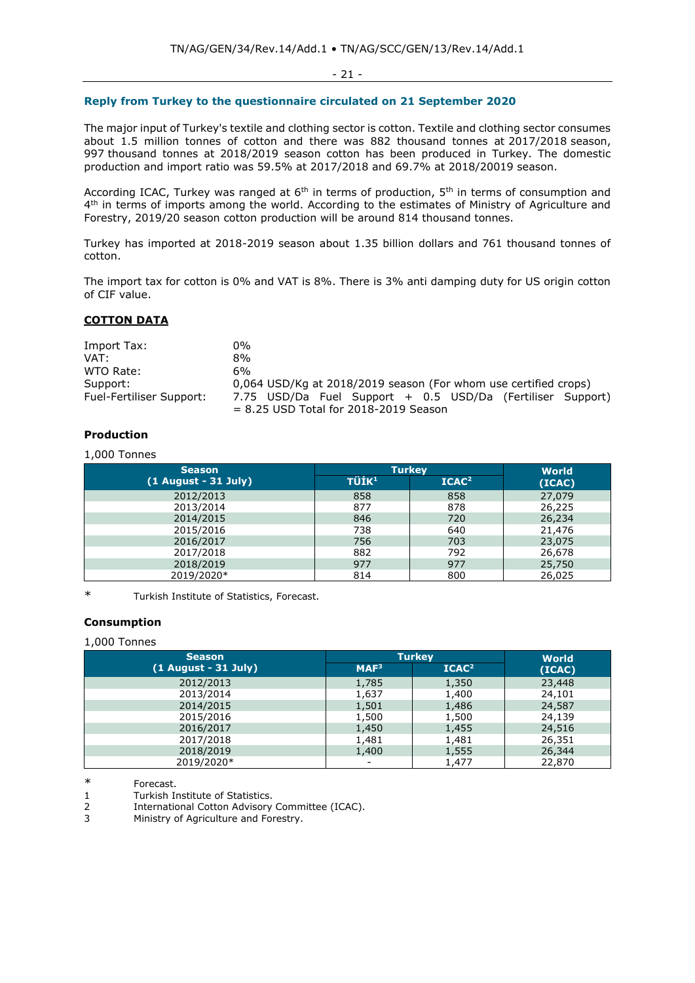- 21 -

## **Reply from Turkey to the questionnaire circulated on 21 September 2020**

The major input of Turkey's textile and clothing sector is cotton. Textile and clothing sector consumes about 1.5 million tonnes of cotton and there was 882 thousand tonnes at 2017/2018 season, 997 thousand tonnes at 2018/2019 season cotton has been produced in Turkey. The domestic production and import ratio was 59.5% at 2017/2018 and 69.7% at 2018/20019 season.

According ICAC, Turkey was ranged at  $6<sup>th</sup>$  in terms of production,  $5<sup>th</sup>$  in terms of consumption and 4<sup>th</sup> in terms of imports among the world. According to the estimates of Ministry of Agriculture and Forestry, 2019/20 season cotton production will be around 814 thousand tonnes.

Turkey has imported at 2018-2019 season about 1.35 billion dollars and 761 thousand tonnes of cotton.

The import tax for cotton is 0% and VAT is 8%. There is 3% anti damping duty for US origin cotton of CIF value.

### **COTTON DATA**

| Import Tax:              | 0%                                                                                                    |
|--------------------------|-------------------------------------------------------------------------------------------------------|
| VAT:                     | 8%                                                                                                    |
| WTO Rate:                | 6%                                                                                                    |
| Support:                 | 0,064 USD/Kg at 2018/2019 season (For whom use certified crops)                                       |
| Fuel-Fertiliser Support: | 7.75 USD/Da Fuel Support + 0.5 USD/Da (Fertiliser Support)<br>$= 8.25$ USD Total for 2018-2019 Season |

## **Production**

## 1,000 Tonnes

| <b>Season</b>          | <b>Turkey</b>     | <b>World</b>      |        |
|------------------------|-------------------|-------------------|--------|
| $(1$ August - 31 July) | TÜİK <sup>1</sup> | ICAC <sup>2</sup> | (ICAC) |
| 2012/2013              | 858               | 858               | 27,079 |
| 2013/2014              | 877               | 878               | 26,225 |
| 2014/2015              | 846               | 720               | 26,234 |
| 2015/2016              | 738               | 640               | 21,476 |
| 2016/2017              | 756               | 703               | 23,075 |
| 2017/2018              | 882               | 792               | 26,678 |
| 2018/2019              | 977               | 977               | 25,750 |
| 2019/2020*             | 814               | 800               | 26,025 |

\* Turkish Institute of Statistics, Forecast.

## **Consumption**

#### 1,000 Tonnes

| <b>Season</b>          | <b>Turkey</b>            |                   | <b>World</b> |  |
|------------------------|--------------------------|-------------------|--------------|--|
| $(1$ August - 31 July) | MAF <sup>3</sup>         | ICAC <sup>2</sup> | (ICAC)       |  |
| 2012/2013              | 1,785                    | 1,350             | 23,448       |  |
| 2013/2014              | 1,637                    | 1,400             | 24,101       |  |
| 2014/2015              | 1,501                    | 1,486             | 24,587       |  |
| 2015/2016              | 1,500                    | 1,500             | 24,139       |  |
| 2016/2017              | 1,450                    | 1,455             | 24,516       |  |
| 2017/2018              | 1,481                    | 1,481             | 26,351       |  |
| 2018/2019              | 1,400                    | 1,555             | 26,344       |  |
| 2019/2020*             | $\overline{\phantom{a}}$ | 1,477             | 22,870       |  |

\* Forecast.

1 Turkish Institute of Statistics.

2 International Cotton Advisory Committee (ICAC).

3 Ministry of Agriculture and Forestry.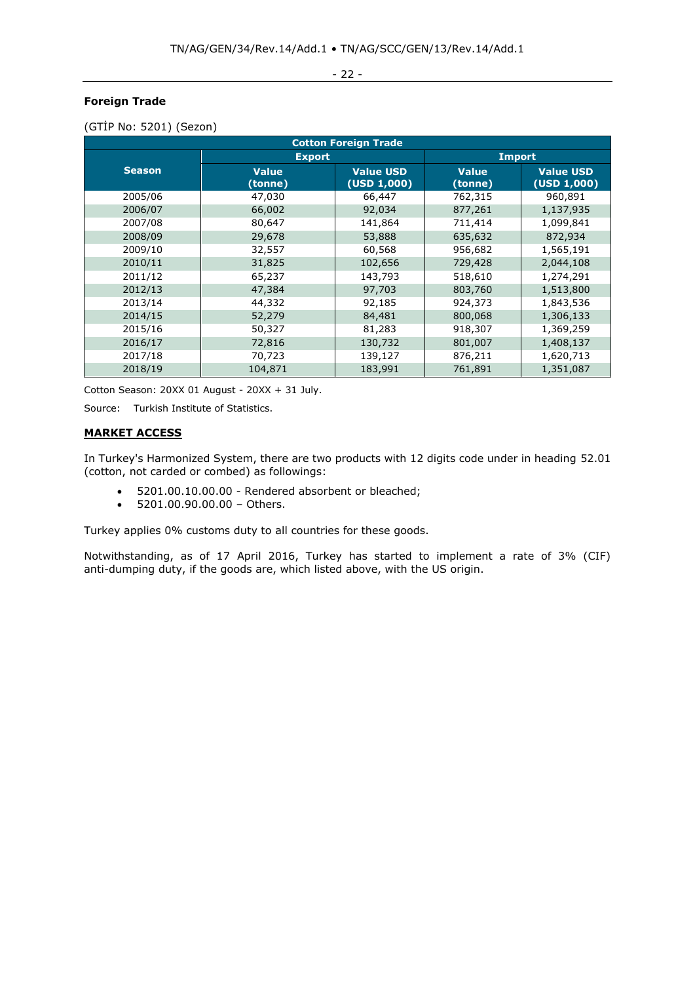- 22 -

## **Foreign Trade**

| <b>Cotton Foreign Trade</b> |                         |                                 |                         |                                 |  |
|-----------------------------|-------------------------|---------------------------------|-------------------------|---------------------------------|--|
|                             | <b>Export</b>           |                                 | <b>Import</b>           |                                 |  |
| <b>Season</b>               | <b>Value</b><br>(tonne) | <b>Value USD</b><br>(USD 1,000) | <b>Value</b><br>(tonne) | <b>Value USD</b><br>(USD 1,000) |  |
| 2005/06                     | 47,030                  | 66,447                          | 762,315                 | 960,891                         |  |
| 2006/07                     | 66,002                  | 92,034                          | 877,261                 | 1,137,935                       |  |
| 2007/08                     | 80,647                  | 141,864                         | 711,414                 | 1,099,841                       |  |
| 2008/09                     | 29,678                  | 53,888                          | 635,632                 | 872,934                         |  |
| 2009/10                     | 32,557                  | 60,568                          | 956,682                 | 1,565,191                       |  |
| 2010/11                     | 31,825                  | 102,656                         | 729,428                 | 2,044,108                       |  |
| 2011/12                     | 65,237                  | 143,793                         | 518,610                 | 1,274,291                       |  |
| 2012/13                     | 47,384                  | 97,703                          | 803,760                 | 1,513,800                       |  |
| 2013/14                     | 44,332                  | 92,185                          | 924,373                 | 1,843,536                       |  |
| 2014/15                     | 52,279                  | 84,481                          | 800,068                 | 1,306,133                       |  |
| 2015/16                     | 50,327                  | 81,283                          | 918,307                 | 1,369,259                       |  |
| 2016/17                     | 72,816                  | 130,732                         | 801,007                 | 1,408,137                       |  |
| 2017/18                     | 70,723                  | 139,127                         | 876,211                 | 1,620,713                       |  |
| 2018/19                     | 104,871                 | 183,991                         | 761,891                 | 1,351,087                       |  |

(GTİP No: 5201) (Sezon)

Cotton Season: 20XX 01 August - 20XX + 31 July.

Source: Turkish Institute of Statistics.

## **MARKET ACCESS**

In Turkey's Harmonized System, there are two products with 12 digits code under in heading 52.01 (cotton, not carded or combed) as followings:

- 5201.00.10.00.00 Rendered absorbent or bleached;
- 5201.00.90.00.00 Others.

Turkey applies 0% customs duty to all countries for these goods.

Notwithstanding, as of 17 April 2016, Turkey has started to implement a rate of 3% (CIF) anti-dumping duty, if the goods are, which listed above, with the US origin.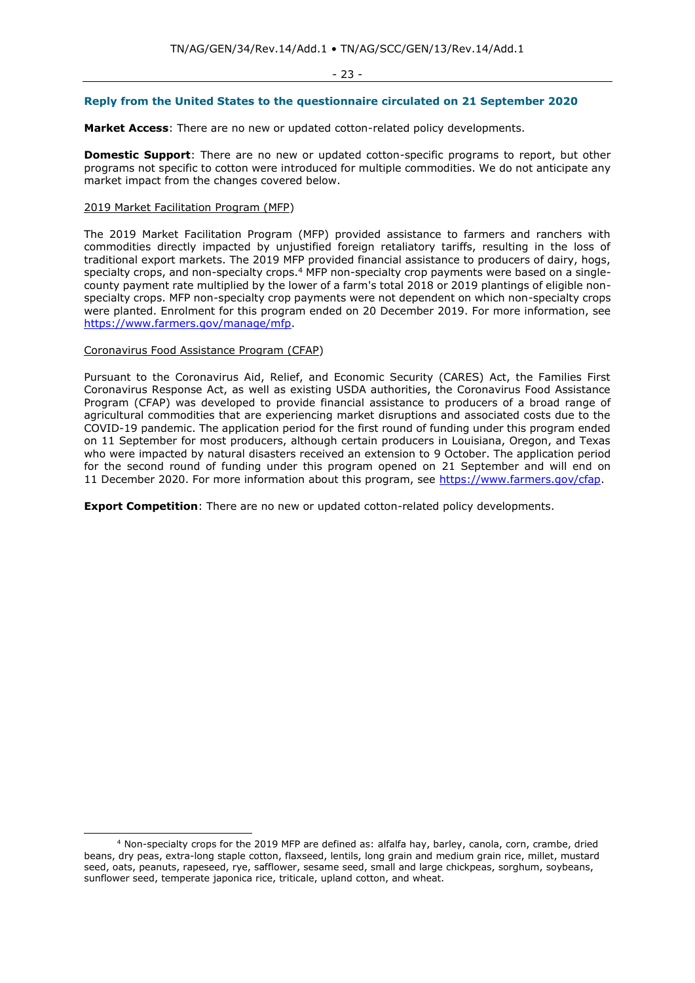### **Reply from the United States to the questionnaire circulated on 21 September 2020**

**Market Access**: There are no new or updated cotton-related policy developments.

**Domestic Support**: There are no new or updated cotton-specific programs to report, but other programs not specific to cotton were introduced for multiple commodities. We do not anticipate any market impact from the changes covered below.

### 2019 Market Facilitation Program (MFP)

The 2019 Market Facilitation Program (MFP) provided assistance to farmers and ranchers with commodities directly impacted by unjustified foreign retaliatory tariffs, resulting in the loss of traditional export markets. The 2019 MFP provided financial assistance to producers of dairy, hogs, specialty crops, and non-specialty crops.<sup>4</sup> MFP non-specialty crop payments were based on a singlecounty payment rate multiplied by the lower of a farm's total 2018 or 2019 plantings of eligible nonspecialty crops. MFP non-specialty crop payments were not dependent on which non-specialty crops were planted. Enrolment for this program ended on 20 December 2019. For more information, see [https://www.farmers.gov/manage/mfp.](https://www.farmers.gov/manage/mfp)

## Coronavirus Food Assistance Program (CFAP)

Pursuant to the Coronavirus Aid, Relief, and Economic Security (CARES) Act, the Families First Coronavirus Response Act, as well as existing USDA authorities, the Coronavirus Food Assistance Program (CFAP) was developed to provide financial assistance to producers of a broad range of agricultural commodities that are experiencing market disruptions and associated costs due to the COVID-19 pandemic. The application period for the first round of funding under this program ended on 11 September for most producers, although certain producers in Louisiana, Oregon, and Texas who were impacted by natural disasters received an extension to 9 October. The application period for the second round of funding under this program opened on 21 September and will end on 11 December 2020. For more information about this program, see [https://www.farmers.gov/cfap.](https://www.farmers.gov/cfap)

**Export Competition**: There are no new or updated cotton-related policy developments.

<sup>4</sup> Non-specialty crops for the 2019 MFP are defined as: alfalfa hay, barley, canola, corn, crambe, dried beans, dry peas, extra-long staple cotton, flaxseed, lentils, long grain and medium grain rice, millet, mustard seed, oats, peanuts, rapeseed, rye, safflower, sesame seed, small and large chickpeas, sorghum, soybeans, sunflower seed, temperate japonica rice, triticale, upland cotton, and wheat.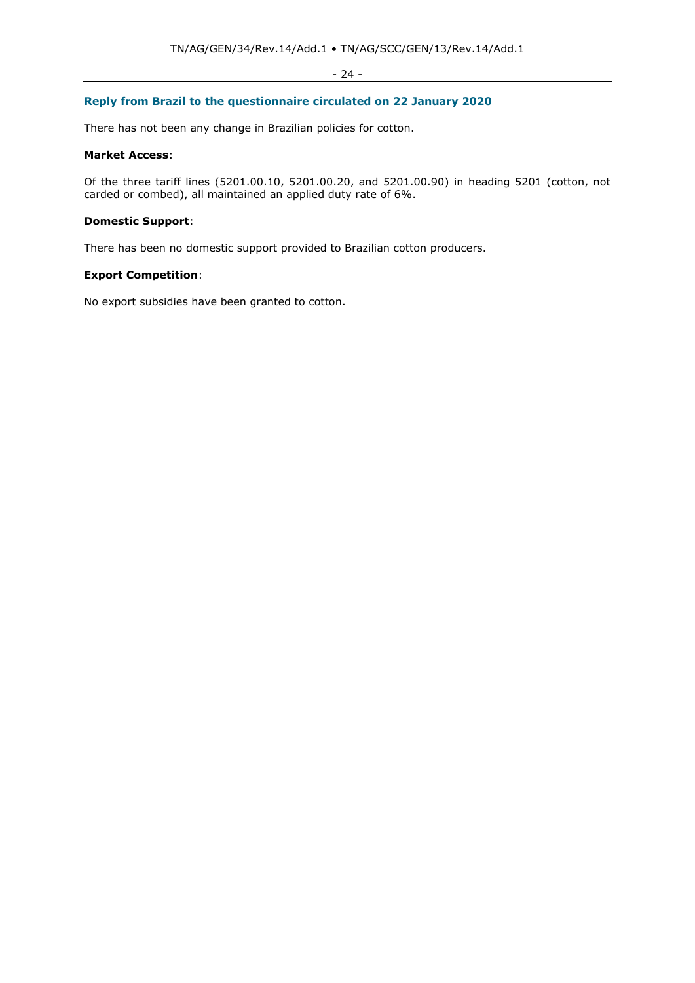## - 24 -

## **Reply from Brazil to the questionnaire circulated on 22 January 2020**

There has not been any change in Brazilian policies for cotton.

### **Market Access**:

Of the three tariff lines (5201.00.10, 5201.00.20, and 5201.00.90) in heading 5201 (cotton, not carded or combed), all maintained an applied duty rate of 6%.

## **Domestic Support**:

There has been no domestic support provided to Brazilian cotton producers.

## **Export Competition**:

No export subsidies have been granted to cotton.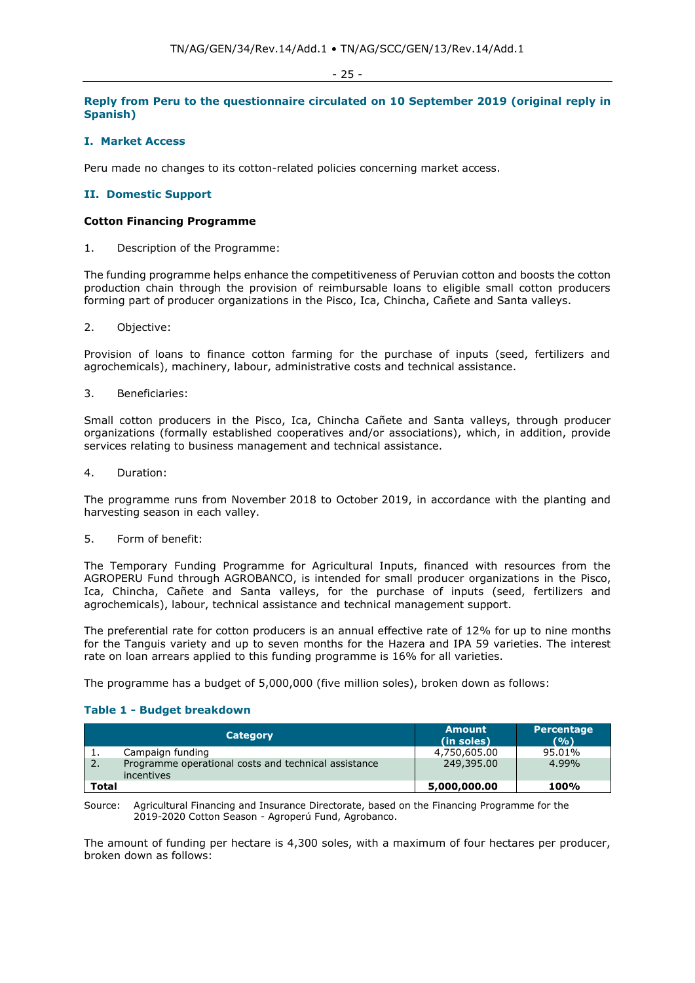#### - 25 -

## **Reply from Peru to the questionnaire circulated on 10 September 2019 (original reply in Spanish)**

## **I. Market Access**

Peru made no changes to its cotton-related policies concerning market access.

## **II. Domestic Support**

### **Cotton Financing Programme**

1. Description of the Programme:

The funding programme helps enhance the competitiveness of Peruvian cotton and boosts the cotton production chain through the provision of reimbursable loans to eligible small cotton producers forming part of producer organizations in the Pisco, Ica, Chincha, Cañete and Santa valleys.

2. Objective:

Provision of loans to finance cotton farming for the purchase of inputs (seed, fertilizers and agrochemicals), machinery, labour, administrative costs and technical assistance.

3. Beneficiaries:

Small cotton producers in the Pisco, Ica, Chincha Cañete and Santa valleys, through producer organizations (formally established cooperatives and/or associations), which, in addition, provide services relating to business management and technical assistance.

4. Duration:

The programme runs from November 2018 to October 2019, in accordance with the planting and harvesting season in each valley.

5. Form of benefit:

The Temporary Funding Programme for Agricultural Inputs, financed with resources from the AGROPERU Fund through AGROBANCO, is intended for small producer organizations in the Pisco, Ica, Chincha, Cañete and Santa valleys, for the purchase of inputs (seed, fertilizers and agrochemicals), labour, technical assistance and technical management support.

The preferential rate for cotton producers is an annual effective rate of 12% for up to nine months for the Tanguis variety and up to seven months for the Hazera and IPA 59 varieties. The interest rate on loan arrears applied to this funding programme is 16% for all varieties.

The programme has a budget of 5,000,000 (five million soles), broken down as follows:

## **Table 1 - Budget breakdown**

|              | <b>Category</b>                                                    | <b>Amount</b><br>(in soles) | <b>Percentage</b><br>(9/6) |
|--------------|--------------------------------------------------------------------|-----------------------------|----------------------------|
| <b>.</b>     | Campaign funding                                                   | 4,750,605.00                | 95.01%                     |
| 2.           | Programme operational costs and technical assistance<br>incentives | 249,395.00                  | 4.99%                      |
| <b>Total</b> |                                                                    | 5,000,000.00                | 100%                       |

Source: Agricultural Financing and Insurance Directorate, based on the Financing Programme for the 2019-2020 Cotton Season - Agroperú Fund, Agrobanco.

The amount of funding per hectare is 4,300 soles, with a maximum of four hectares per producer, broken down as follows: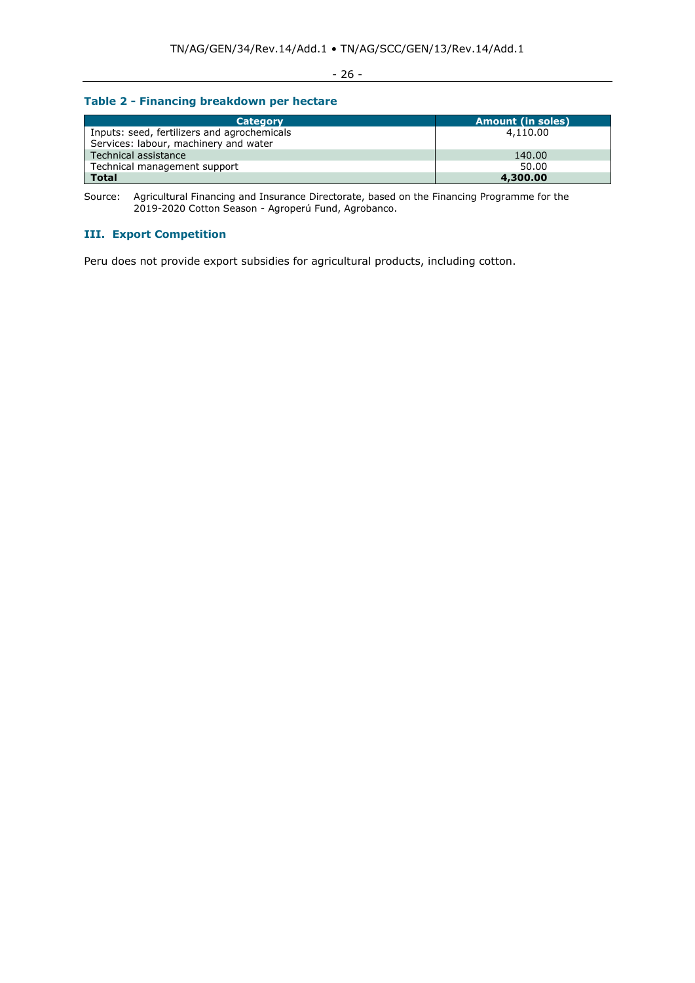## - 26 -

## **Table 2 - Financing breakdown per hectare**

| <b>Category</b>                             | <b>Amount (in soles)</b> |
|---------------------------------------------|--------------------------|
| Inputs: seed, fertilizers and agrochemicals | 4,110.00                 |
| Services: labour, machinery and water       |                          |
| Technical assistance                        | 140.00                   |
| Technical management support                | 50.00                    |
| <b>Total</b>                                | 4,300.00                 |

Source: Agricultural Financing and Insurance Directorate, based on the Financing Programme for the 2019-2020 Cotton Season - Agroperú Fund, Agrobanco.

## **III. Export Competition**

Peru does not provide export subsidies for agricultural products, including cotton.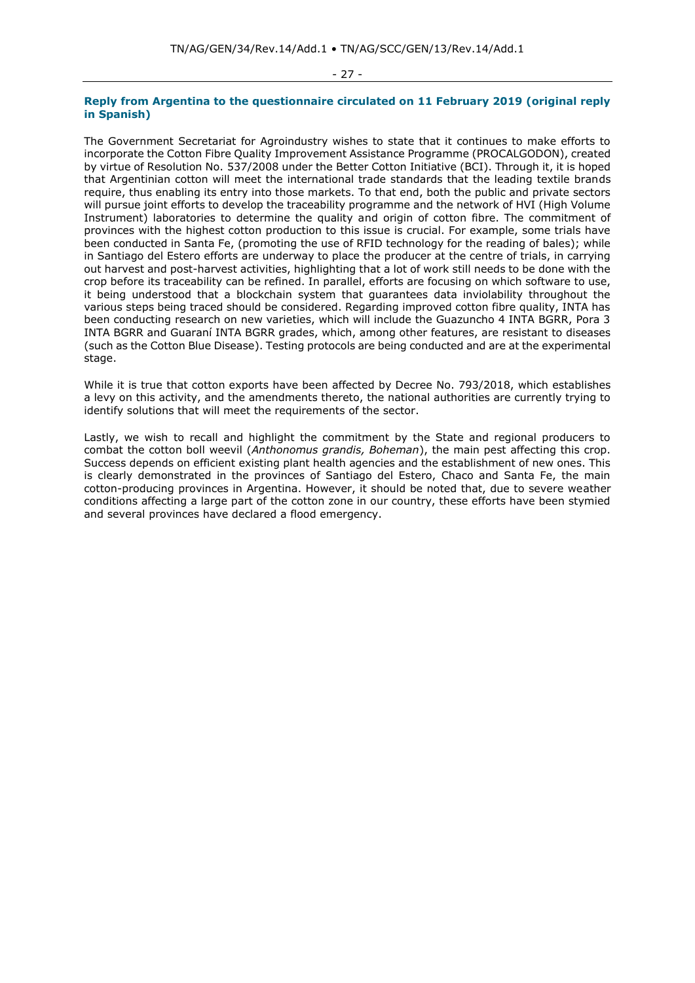#### - 27 -

#### **Reply from Argentina to the questionnaire circulated on 11 February 2019 (original reply in Spanish)**

The Government Secretariat for Agroindustry wishes to state that it continues to make efforts to incorporate the Cotton Fibre Quality Improvement Assistance Programme (PROCALGODON), created by virtue of Resolution No. 537/2008 under the Better Cotton Initiative (BCI). Through it, it is hoped that Argentinian cotton will meet the international trade standards that the leading textile brands require, thus enabling its entry into those markets. To that end, both the public and private sectors will pursue joint efforts to develop the traceability programme and the network of HVI (High Volume Instrument) laboratories to determine the quality and origin of cotton fibre. The commitment of provinces with the highest cotton production to this issue is crucial. For example, some trials have been conducted in Santa Fe, (promoting the use of RFID technology for the reading of bales); while in Santiago del Estero efforts are underway to place the producer at the centre of trials, in carrying out harvest and post-harvest activities, highlighting that a lot of work still needs to be done with the crop before its traceability can be refined. In parallel, efforts are focusing on which software to use, it being understood that a blockchain system that guarantees data inviolability throughout the various steps being traced should be considered. Regarding improved cotton fibre quality, INTA has been conducting research on new varieties, which will include the Guazuncho 4 INTA BGRR, Pora 3 INTA BGRR and Guaraní INTA BGRR grades, which, among other features, are resistant to diseases (such as the Cotton Blue Disease). Testing protocols are being conducted and are at the experimental stage.

While it is true that cotton exports have been affected by Decree No. 793/2018, which establishes a levy on this activity, and the amendments thereto, the national authorities are currently trying to identify solutions that will meet the requirements of the sector.

Lastly, we wish to recall and highlight the commitment by the State and regional producers to combat the cotton boll weevil (*Anthonomus grandis, Boheman*), the main pest affecting this crop. Success depends on efficient existing plant health agencies and the establishment of new ones. This is clearly demonstrated in the provinces of Santiago del Estero, Chaco and Santa Fe, the main cotton-producing provinces in Argentina. However, it should be noted that, due to severe weather conditions affecting a large part of the cotton zone in our country, these efforts have been stymied and several provinces have declared a flood emergency.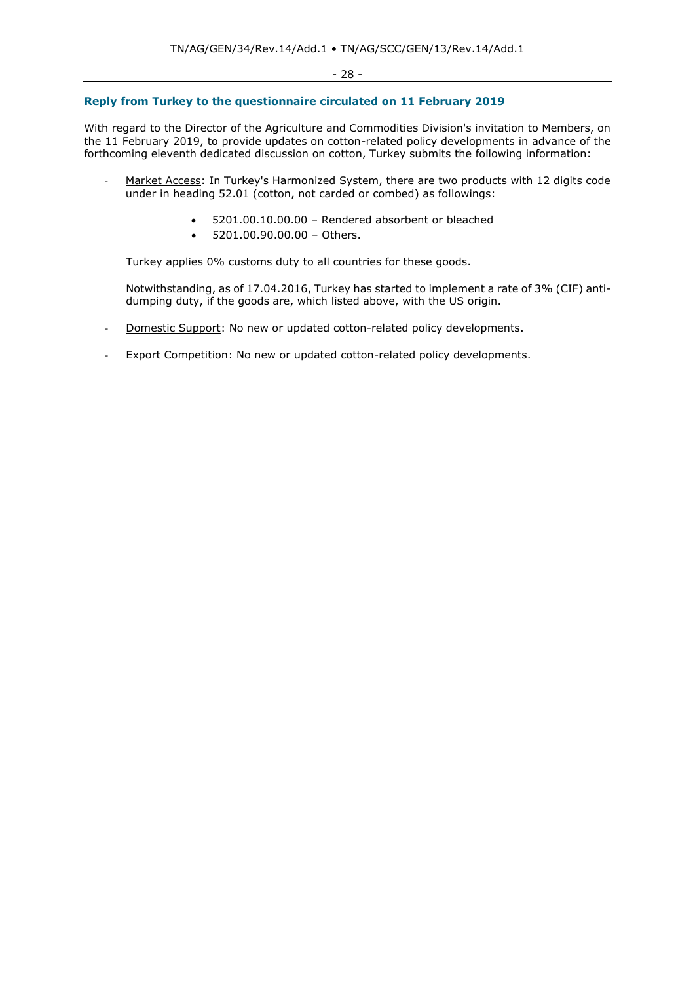## **Reply from Turkey to the questionnaire circulated on 11 February 2019**

With regard to the Director of the Agriculture and Commodities Division's invitation to Members, on the 11 February 2019, to provide updates on cotton-related policy developments in advance of the forthcoming eleventh dedicated discussion on cotton, Turkey submits the following information:

- Market Access: In Turkey's Harmonized System, there are two products with 12 digits code under in heading 52.01 (cotton, not carded or combed) as followings:
	- 5201.00.10.00.00 Rendered absorbent or bleached
	- 5201.00.90.00.00 Others.

Turkey applies 0% customs duty to all countries for these goods.

Notwithstanding, as of 17.04.2016, Turkey has started to implement a rate of 3% (CIF) antidumping duty, if the goods are, which listed above, with the US origin.

- Domestic Support: No new or updated cotton-related policy developments.
- Export Competition: No new or updated cotton-related policy developments.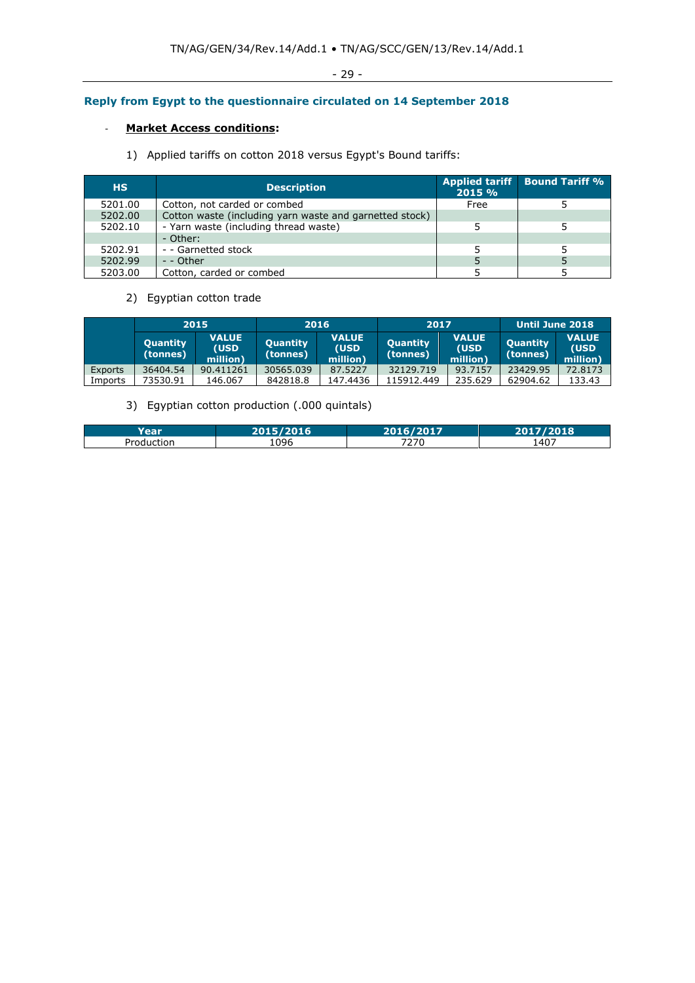## **Reply from Egypt to the questionnaire circulated on 14 September 2018**

## - **Market Access conditions:**

1) Applied tariffs on cotton 2018 versus Egypt's Bound tariffs:

| <b>HS</b> | <b>Description</b>                                      | 2015 % | Applied tariff Bound Tariff % |
|-----------|---------------------------------------------------------|--------|-------------------------------|
| 5201.00   | Cotton, not carded or combed                            | Free   |                               |
| 5202.00   | Cotton waste (including yarn waste and garnetted stock) |        |                               |
| 5202.10   | - Yarn waste (including thread waste)                   |        |                               |
|           | - Other:                                                |        |                               |
| 5202.91   | - - Garnetted stock                                     |        |                               |
| 5202.99   | - - Other                                               |        |                               |
| 5203.00   | Cotton, carded or combed                                |        |                               |

## 2) Egyptian cotton trade

|         |                             | 2015                             | 2016                        |                                   | 2017                        |                                   | Until June 2018             |                                   |
|---------|-----------------------------|----------------------------------|-----------------------------|-----------------------------------|-----------------------------|-----------------------------------|-----------------------------|-----------------------------------|
|         | <b>Quantity</b><br>(tonnes) | <b>VALUE</b><br>(USD<br>million) | <b>Quantity</b><br>(tonnes) | <b>VALUE</b><br>(USD)<br>million) | <b>Quantity</b><br>(tonnes) | <b>VALUE</b><br>(USD)<br>million) | <b>Quantity</b><br>(tonnes) | <b>VALUE</b><br>(USD)<br>million) |
| Exports | 36404.54                    | 90.411261                        | 30565.039                   | 87.5227                           | 32129.719                   | 93.7157                           | 23429.95                    | 72.8173                           |
| Imports | 73530.91                    | 146.067                          | 842818.8                    | 147.4436                          | 115912.449                  | 235.629                           | 62904.62                    | 133.43                            |

## 3) Egyptian cotton production (.000 quintals)

|                       | $\begin{array}{c} \n\bullet \bullet \bullet \bullet \bullet \end{array}$ | $2017$       | 2018 |
|-----------------------|--------------------------------------------------------------------------|--------------|------|
| Jrr<br>iction<br>∍∩∩، | 1096                                                                     | 7770<br>21 U | 1407 |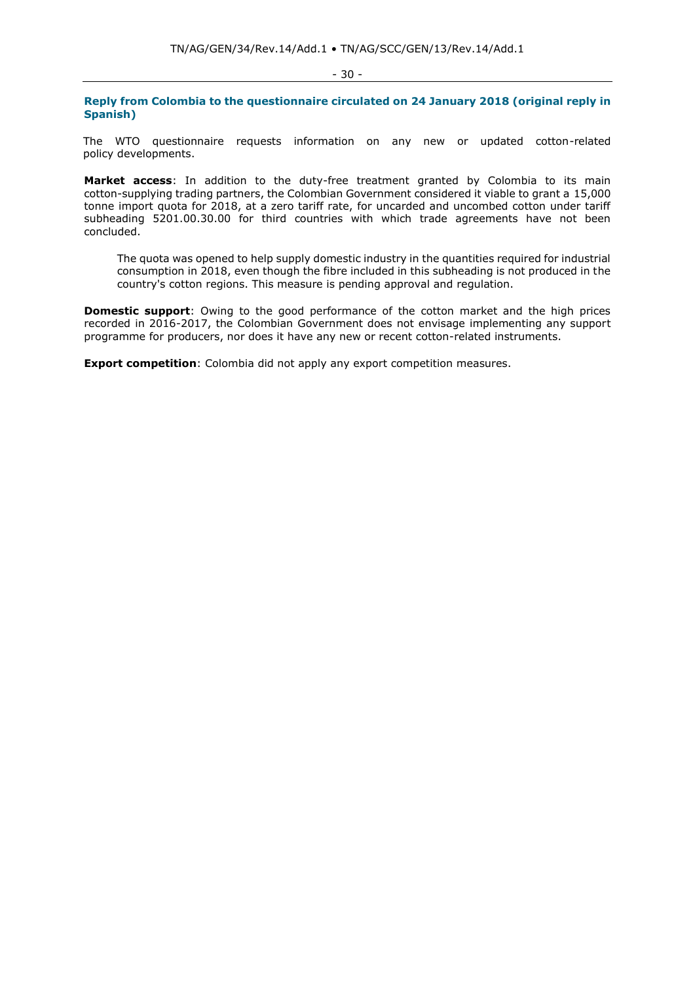- 30 -

**Reply from Colombia to the questionnaire circulated on 24 January 2018 (original reply in Spanish)**

The WTO questionnaire requests information on any new or updated cotton-related policy developments.

**Market access**: In addition to the duty-free treatment granted by Colombia to its main cotton-supplying trading partners, the Colombian Government considered it viable to grant a 15,000 tonne import quota for 2018, at a zero tariff rate, for uncarded and uncombed cotton under tariff subheading 5201.00.30.00 for third countries with which trade agreements have not been concluded.

The quota was opened to help supply domestic industry in the quantities required for industrial consumption in 2018, even though the fibre included in this subheading is not produced in the country's cotton regions. This measure is pending approval and regulation.

**Domestic support**: Owing to the good performance of the cotton market and the high prices recorded in 2016-2017, the Colombian Government does not envisage implementing any support programme for producers, nor does it have any new or recent cotton-related instruments.

**Export competition**: Colombia did not apply any export competition measures.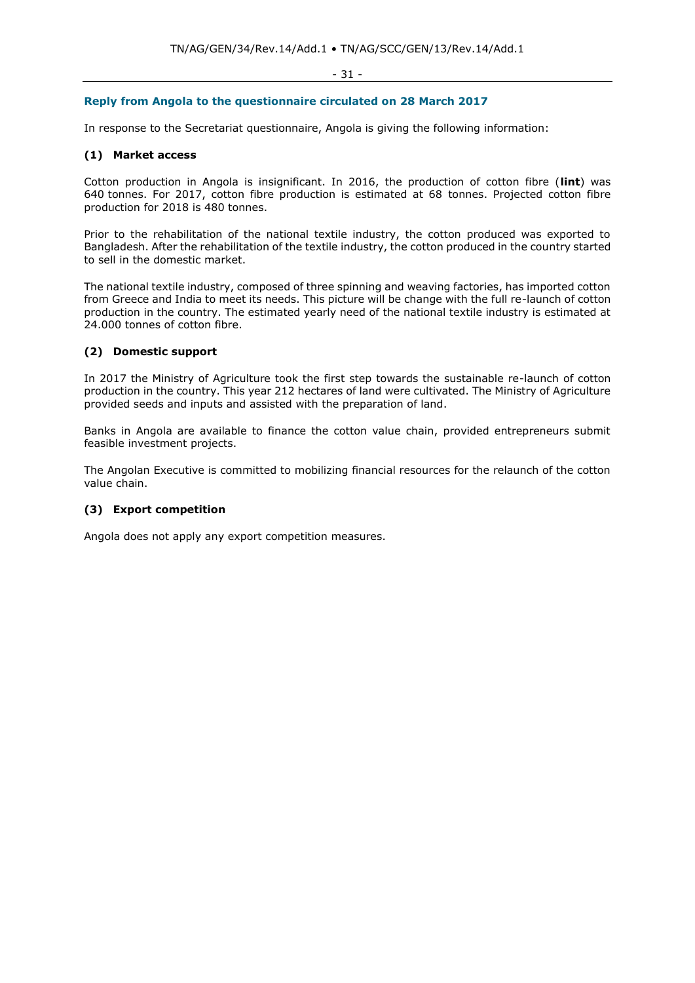#### - 31 -

## **Reply from Angola to the questionnaire circulated on 28 March 2017**

In response to the Secretariat questionnaire, Angola is giving the following information:

## **(1) Market access**

Cotton production in Angola is insignificant. In 2016, the production of cotton fibre (**lint**) was 640 tonnes. For 2017, cotton fibre production is estimated at 68 tonnes. Projected cotton fibre production for 2018 is 480 tonnes.

Prior to the rehabilitation of the national textile industry, the cotton produced was exported to Bangladesh. After the rehabilitation of the textile industry, the cotton produced in the country started to sell in the domestic market.

The national textile industry, composed of three spinning and weaving factories, has imported cotton from Greece and India to meet its needs. This picture will be change with the full re-launch of cotton production in the country. The estimated yearly need of the national textile industry is estimated at 24.000 tonnes of cotton fibre.

## **(2) Domestic support**

In 2017 the Ministry of Agriculture took the first step towards the sustainable re-launch of cotton production in the country. This year 212 hectares of land were cultivated. The Ministry of Agriculture provided seeds and inputs and assisted with the preparation of land.

Banks in Angola are available to finance the cotton value chain, provided entrepreneurs submit feasible investment projects.

The Angolan Executive is committed to mobilizing financial resources for the relaunch of the cotton value chain.

## **(3) Export competition**

Angola does not apply any export competition measures.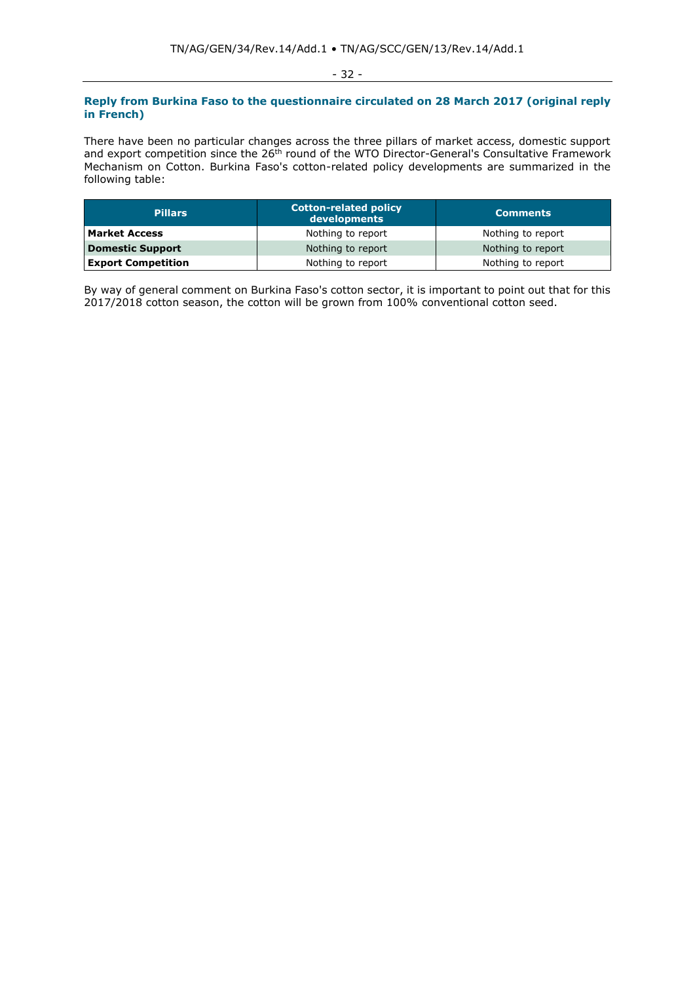#### - 32 -

## **Reply from Burkina Faso to the questionnaire circulated on 28 March 2017 (original reply in French)**

There have been no particular changes across the three pillars of market access, domestic support and export competition since the 26<sup>th</sup> round of the WTO Director-General's Consultative Framework Mechanism on Cotton. Burkina Faso's cotton-related policy developments are summarized in the following table:

| <b>Pillars</b>            | <b>Cotton-related policy</b><br>developments | <b>Comments</b>   |
|---------------------------|----------------------------------------------|-------------------|
| <b>Market Access</b>      | Nothing to report                            | Nothing to report |
| Domestic Support          | Nothing to report                            | Nothing to report |
| <b>Export Competition</b> | Nothing to report                            | Nothing to report |

By way of general comment on Burkina Faso's cotton sector, it is important to point out that for this 2017/2018 cotton season, the cotton will be grown from 100% conventional cotton seed.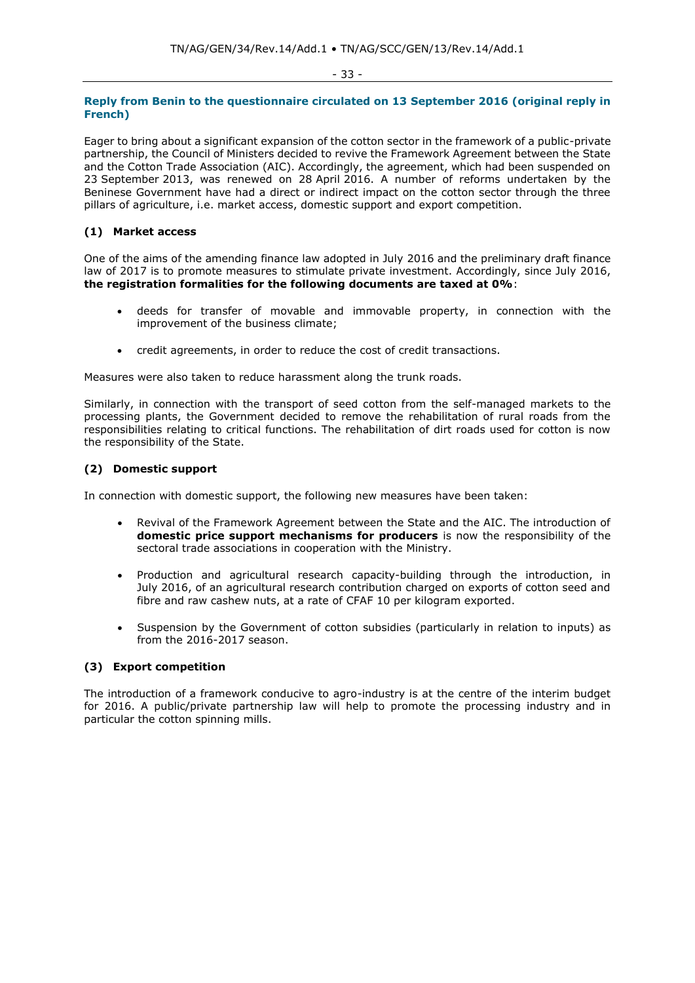## **Reply from Benin to the questionnaire circulated on 13 September 2016 (original reply in French)**

Eager to bring about a significant expansion of the cotton sector in the framework of a public-private partnership, the Council of Ministers decided to revive the Framework Agreement between the State and the Cotton Trade Association (AIC). Accordingly, the agreement, which had been suspended on 23 September 2013, was renewed on 28 April 2016. A number of reforms undertaken by the Beninese Government have had a direct or indirect impact on the cotton sector through the three pillars of agriculture, i.e. market access, domestic support and export competition.

## **(1) Market access**

One of the aims of the amending finance law adopted in July 2016 and the preliminary draft finance law of 2017 is to promote measures to stimulate private investment. Accordingly, since July 2016, **the registration formalities for the following documents are taxed at 0%**:

- deeds for transfer of movable and immovable property, in connection with the improvement of the business climate;
- credit agreements, in order to reduce the cost of credit transactions.

Measures were also taken to reduce harassment along the trunk roads.

Similarly, in connection with the transport of seed cotton from the self-managed markets to the processing plants, the Government decided to remove the rehabilitation of rural roads from the responsibilities relating to critical functions. The rehabilitation of dirt roads used for cotton is now the responsibility of the State.

## **(2) Domestic support**

In connection with domestic support, the following new measures have been taken:

- Revival of the Framework Agreement between the State and the AIC. The introduction of **domestic price support mechanisms for producers** is now the responsibility of the sectoral trade associations in cooperation with the Ministry.
- Production and agricultural research capacity-building through the introduction, in July 2016, of an agricultural research contribution charged on exports of cotton seed and fibre and raw cashew nuts, at a rate of CFAF 10 per kilogram exported.
- Suspension by the Government of cotton subsidies (particularly in relation to inputs) as from the 2016-2017 season.

## **(3) Export competition**

The introduction of a framework conducive to agro-industry is at the centre of the interim budget for 2016. A public/private partnership law will help to promote the processing industry and in particular the cotton spinning mills.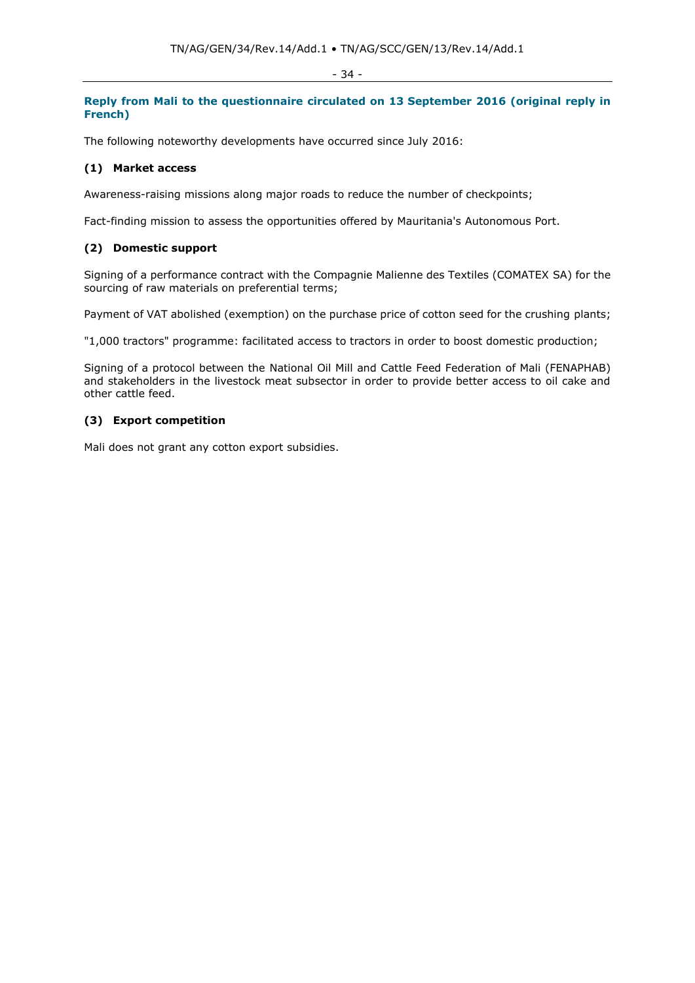#### - 34 -

## **Reply from Mali to the questionnaire circulated on 13 September 2016 (original reply in French)**

The following noteworthy developments have occurred since July 2016:

## **(1) Market access**

Awareness-raising missions along major roads to reduce the number of checkpoints;

Fact-finding mission to assess the opportunities offered by Mauritania's Autonomous Port.

## **(2) Domestic support**

Signing of a performance contract with the Compagnie Malienne des Textiles (COMATEX SA) for the sourcing of raw materials on preferential terms;

Payment of VAT abolished (exemption) on the purchase price of cotton seed for the crushing plants;

"1,000 tractors" programme: facilitated access to tractors in order to boost domestic production;

Signing of a protocol between the National Oil Mill and Cattle Feed Federation of Mali (FENAPHAB) and stakeholders in the livestock meat subsector in order to provide better access to oil cake and other cattle feed.

## **(3) Export competition**

Mali does not grant any cotton export subsidies.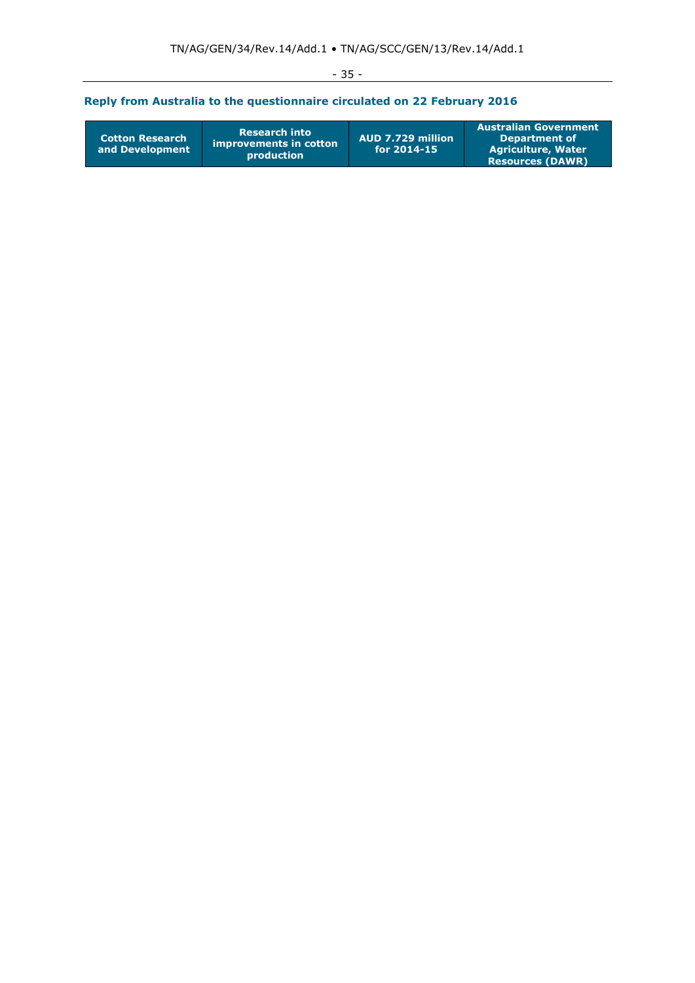| $\sim$<br>$\sim$ |  |
|------------------|--|
|------------------|--|

# **Reply from Australia to the questionnaire circulated on 22 February 2016**

| <b>Research into</b><br><b>Cotton Research</b><br>improvements in cotton<br>and Development<br><b>production</b> | AUD 7.729 million<br>for $2014 - 15$ | <b>Australian Government</b><br>Department of<br><b>Agriculture, Water</b><br><b>Resources (DAWR)</b> |
|------------------------------------------------------------------------------------------------------------------|--------------------------------------|-------------------------------------------------------------------------------------------------------|
|------------------------------------------------------------------------------------------------------------------|--------------------------------------|-------------------------------------------------------------------------------------------------------|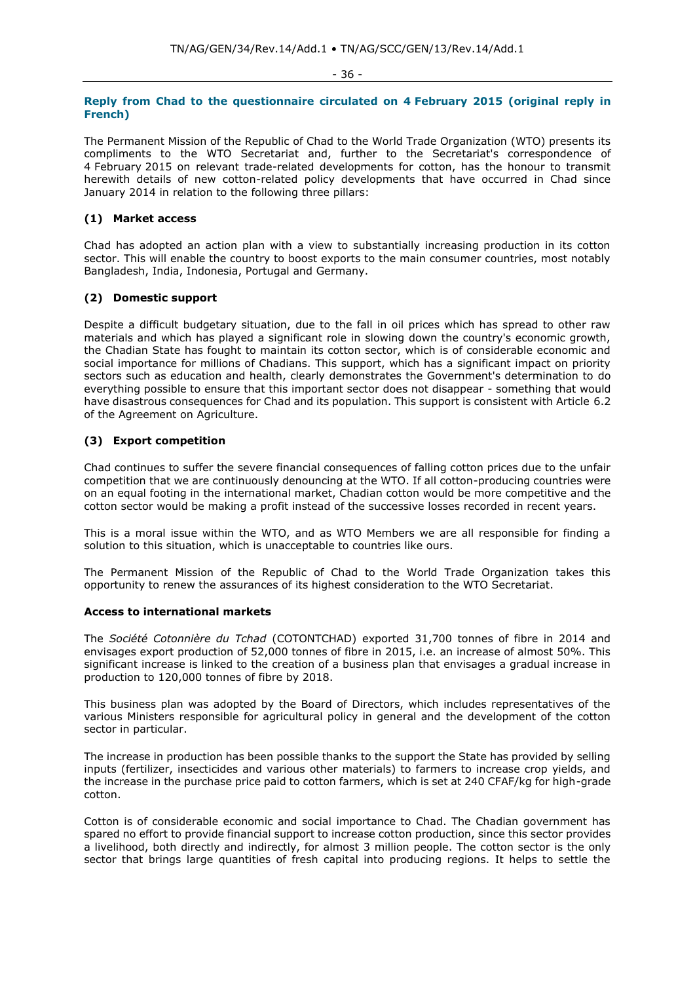#### - 36 -

## **Reply from Chad to the questionnaire circulated on 4 February 2015 (original reply in French)**

The Permanent Mission of the Republic of Chad to the World Trade Organization (WTO) presents its compliments to the WTO Secretariat and, further to the Secretariat's correspondence of 4 February 2015 on relevant trade-related developments for cotton, has the honour to transmit herewith details of new cotton-related policy developments that have occurred in Chad since January 2014 in relation to the following three pillars:

## **(1) Market access**

Chad has adopted an action plan with a view to substantially increasing production in its cotton sector. This will enable the country to boost exports to the main consumer countries, most notably Bangladesh, India, Indonesia, Portugal and Germany.

## **(2) Domestic support**

Despite a difficult budgetary situation, due to the fall in oil prices which has spread to other raw materials and which has played a significant role in slowing down the country's economic growth, the Chadian State has fought to maintain its cotton sector, which is of considerable economic and social importance for millions of Chadians. This support, which has a significant impact on priority sectors such as education and health, clearly demonstrates the Government's determination to do everything possible to ensure that this important sector does not disappear - something that would have disastrous consequences for Chad and its population. This support is consistent with Article 6.2 of the Agreement on Agriculture.

## **(3) Export competition**

Chad continues to suffer the severe financial consequences of falling cotton prices due to the unfair competition that we are continuously denouncing at the WTO. If all cotton-producing countries were on an equal footing in the international market, Chadian cotton would be more competitive and the cotton sector would be making a profit instead of the successive losses recorded in recent years.

This is a moral issue within the WTO, and as WTO Members we are all responsible for finding a solution to this situation, which is unacceptable to countries like ours.

The Permanent Mission of the Republic of Chad to the World Trade Organization takes this opportunity to renew the assurances of its highest consideration to the WTO Secretariat.

## **Access to international markets**

The *Société Cotonnière du Tchad* (COTONTCHAD) exported 31,700 tonnes of fibre in 2014 and envisages export production of 52,000 tonnes of fibre in 2015, i.e. an increase of almost 50%. This significant increase is linked to the creation of a business plan that envisages a gradual increase in production to 120,000 tonnes of fibre by 2018.

This business plan was adopted by the Board of Directors, which includes representatives of the various Ministers responsible for agricultural policy in general and the development of the cotton sector in particular.

The increase in production has been possible thanks to the support the State has provided by selling inputs (fertilizer, insecticides and various other materials) to farmers to increase crop yields, and the increase in the purchase price paid to cotton farmers, which is set at 240 CFAF/kg for high-grade cotton.

Cotton is of considerable economic and social importance to Chad. The Chadian government has spared no effort to provide financial support to increase cotton production, since this sector provides a livelihood, both directly and indirectly, for almost 3 million people. The cotton sector is the only sector that brings large quantities of fresh capital into producing regions. It helps to settle the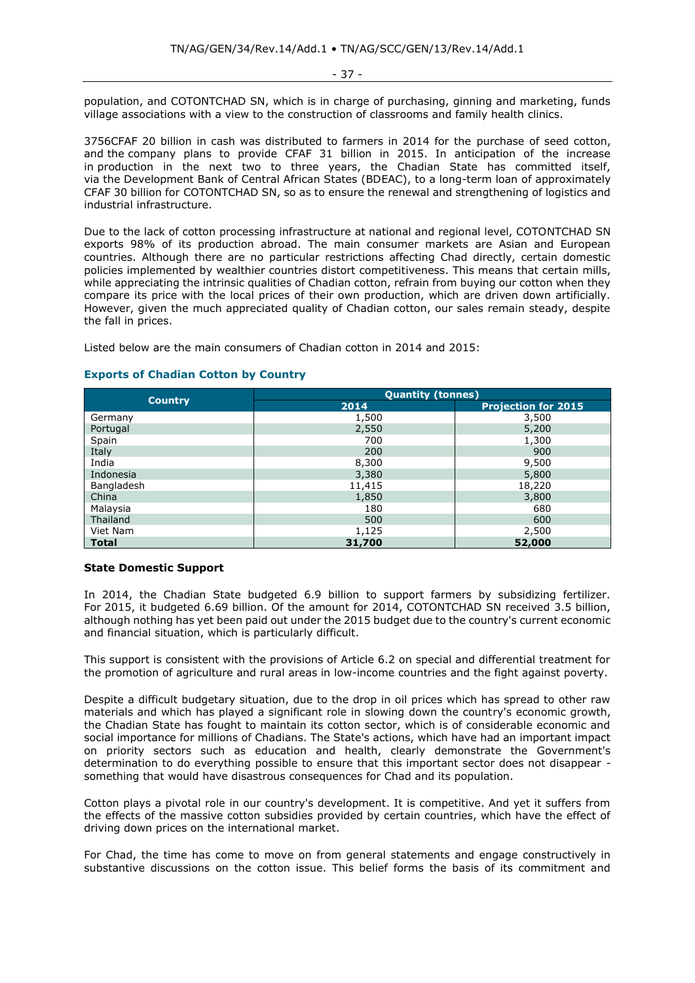- 37 -

population, and COTONTCHAD SN, which is in charge of purchasing, ginning and marketing, funds village associations with a view to the construction of classrooms and family health clinics.

3756CFAF 20 billion in cash was distributed to farmers in 2014 for the purchase of seed cotton, and the company plans to provide CFAF 31 billion in 2015. In anticipation of the increase in production in the next two to three years, the Chadian State has committed itself, via the Development Bank of Central African States (BDEAC), to a long-term loan of approximately CFAF 30 billion for COTONTCHAD SN, so as to ensure the renewal and strengthening of logistics and industrial infrastructure.

Due to the lack of cotton processing infrastructure at national and regional level, COTONTCHAD SN exports 98% of its production abroad. The main consumer markets are Asian and European countries. Although there are no particular restrictions affecting Chad directly, certain domestic policies implemented by wealthier countries distort competitiveness. This means that certain mills, while appreciating the intrinsic qualities of Chadian cotton, refrain from buying our cotton when they compare its price with the local prices of their own production, which are driven down artificially. However, given the much appreciated quality of Chadian cotton, our sales remain steady, despite the fall in prices.

Listed below are the main consumers of Chadian cotton in 2014 and 2015:

|                | <b>Quantity (tonnes)</b> |                            |  |  |  |
|----------------|--------------------------|----------------------------|--|--|--|
| <b>Country</b> | 2014                     | <b>Projection for 2015</b> |  |  |  |
| Germany        | 1,500                    | 3,500                      |  |  |  |
| Portugal       | 2,550                    | 5,200                      |  |  |  |
| Spain          | 700                      | 1,300                      |  |  |  |
| Italy          | 200                      | 900                        |  |  |  |
| India          | 8,300                    | 9,500                      |  |  |  |
| Indonesia      | 3,380                    | 5,800                      |  |  |  |
| Bangladesh     | 11,415                   | 18,220                     |  |  |  |
| China          | 1,850                    | 3,800                      |  |  |  |
| Malaysia       | 180                      | 680                        |  |  |  |
| Thailand       | 500                      | 600                        |  |  |  |
| Viet Nam       | 1,125                    | 2,500                      |  |  |  |
| <b>Total</b>   | 31,700                   | 52,000                     |  |  |  |

# **Exports of Chadian Cotton by Country**

## **State Domestic Support**

In 2014, the Chadian State budgeted 6.9 billion to support farmers by subsidizing fertilizer. For 2015, it budgeted 6.69 billion. Of the amount for 2014, COTONTCHAD SN received 3.5 billion, although nothing has yet been paid out under the 2015 budget due to the country's current economic and financial situation, which is particularly difficult.

This support is consistent with the provisions of Article 6.2 on special and differential treatment for the promotion of agriculture and rural areas in low-income countries and the fight against poverty.

Despite a difficult budgetary situation, due to the drop in oil prices which has spread to other raw materials and which has played a significant role in slowing down the country's economic growth, the Chadian State has fought to maintain its cotton sector, which is of considerable economic and social importance for millions of Chadians. The State's actions, which have had an important impact on priority sectors such as education and health, clearly demonstrate the Government's determination to do everything possible to ensure that this important sector does not disappear something that would have disastrous consequences for Chad and its population.

Cotton plays a pivotal role in our country's development. It is competitive. And yet it suffers from the effects of the massive cotton subsidies provided by certain countries, which have the effect of driving down prices on the international market.

For Chad, the time has come to move on from general statements and engage constructively in substantive discussions on the cotton issue. This belief forms the basis of its commitment and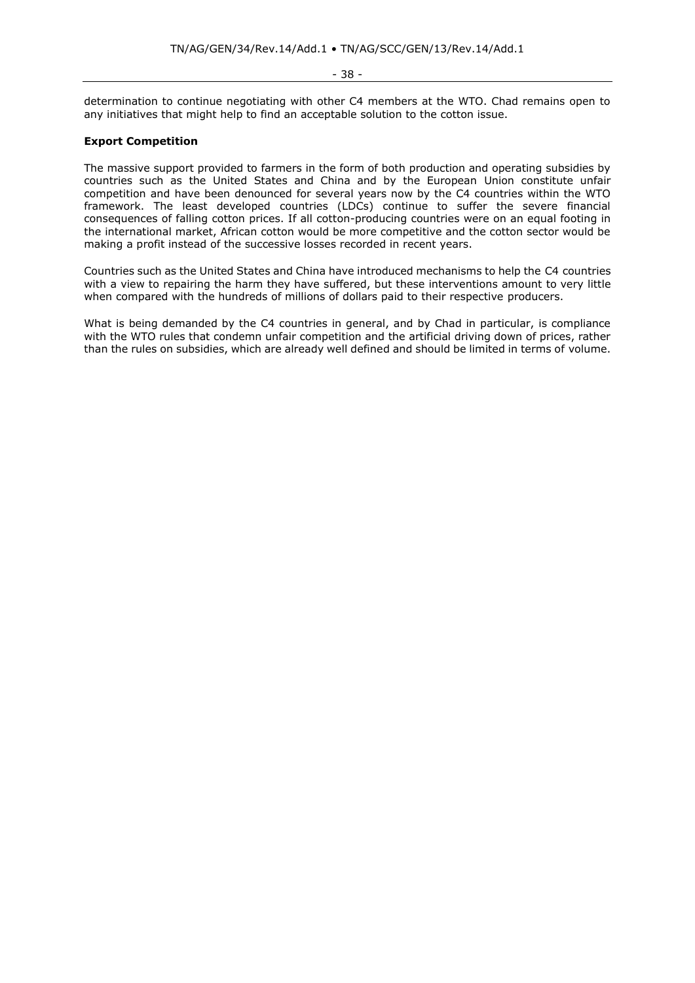- 38 -

determination to continue negotiating with other C4 members at the WTO. Chad remains open to any initiatives that might help to find an acceptable solution to the cotton issue.

# **Export Competition**

The massive support provided to farmers in the form of both production and operating subsidies by countries such as the United States and China and by the European Union constitute unfair competition and have been denounced for several years now by the C4 countries within the WTO framework. The least developed countries (LDCs) continue to suffer the severe financial consequences of falling cotton prices. If all cotton-producing countries were on an equal footing in the international market, African cotton would be more competitive and the cotton sector would be making a profit instead of the successive losses recorded in recent years.

Countries such as the United States and China have introduced mechanisms to help the C4 countries with a view to repairing the harm they have suffered, but these interventions amount to very little when compared with the hundreds of millions of dollars paid to their respective producers.

What is being demanded by the C4 countries in general, and by Chad in particular, is compliance with the WTO rules that condemn unfair competition and the artificial driving down of prices, rather than the rules on subsidies, which are already well defined and should be limited in terms of volume.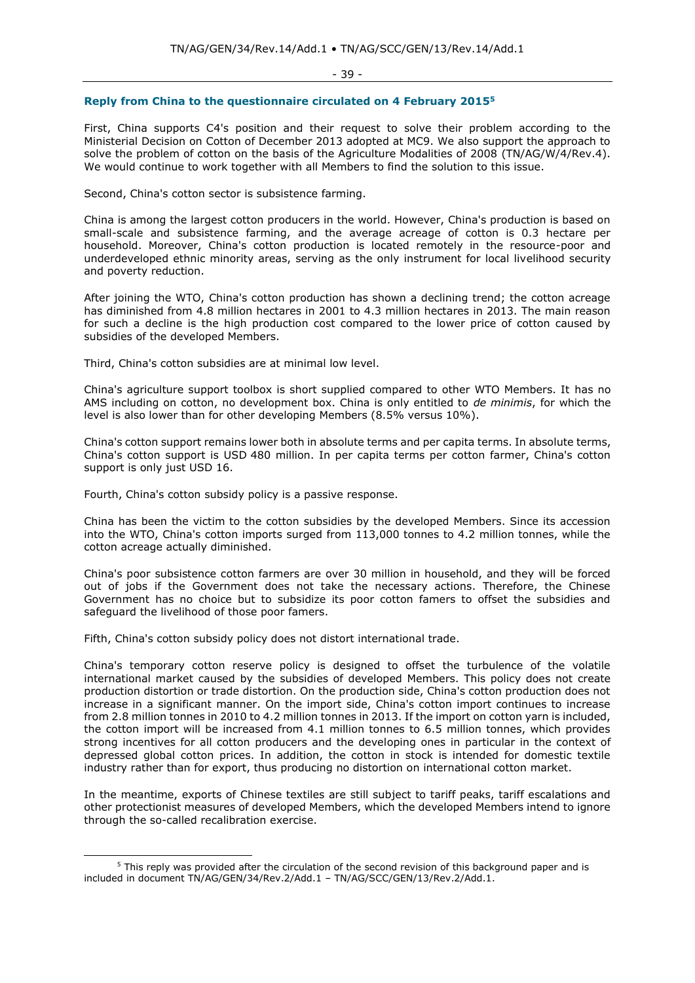- 39 -

## **Reply from China to the questionnaire circulated on 4 February 2015<sup>5</sup>**

First, China supports C4's position and their request to solve their problem according to the Ministerial Decision on Cotton of December 2013 adopted at MC9. We also support the approach to solve the problem of cotton on the basis of the Agriculture Modalities of 2008 (TN/AG/W/4/Rev.4). We would continue to work together with all Members to find the solution to this issue.

Second, China's cotton sector is subsistence farming.

China is among the largest cotton producers in the world. However, China's production is based on small-scale and subsistence farming, and the average acreage of cotton is 0.3 hectare per household. Moreover, China's cotton production is located remotely in the resource-poor and underdeveloped ethnic minority areas, serving as the only instrument for local livelihood security and poverty reduction.

After joining the WTO, China's cotton production has shown a declining trend; the cotton acreage has diminished from 4.8 million hectares in 2001 to 4.3 million hectares in 2013. The main reason for such a decline is the high production cost compared to the lower price of cotton caused by subsidies of the developed Members.

Third, China's cotton subsidies are at minimal low level.

China's agriculture support toolbox is short supplied compared to other WTO Members. It has no AMS including on cotton, no development box. China is only entitled to *de minimis*, for which the level is also lower than for other developing Members (8.5% versus 10%).

China's cotton support remains lower both in absolute terms and per capita terms. In absolute terms, China's cotton support is USD 480 million. In per capita terms per cotton farmer, China's cotton support is only just USD 16.

Fourth, China's cotton subsidy policy is a passive response.

China has been the victim to the cotton subsidies by the developed Members. Since its accession into the WTO, China's cotton imports surged from 113,000 tonnes to 4.2 million tonnes, while the cotton acreage actually diminished.

China's poor subsistence cotton farmers are over 30 million in household, and they will be forced out of jobs if the Government does not take the necessary actions. Therefore, the Chinese Government has no choice but to subsidize its poor cotton famers to offset the subsidies and safeguard the livelihood of those poor famers.

Fifth, China's cotton subsidy policy does not distort international trade.

China's temporary cotton reserve policy is designed to offset the turbulence of the volatile international market caused by the subsidies of developed Members. This policy does not create production distortion or trade distortion. On the production side, China's cotton production does not increase in a significant manner. On the import side, China's cotton import continues to increase from 2.8 million tonnes in 2010 to 4.2 million tonnes in 2013. If the import on cotton yarn is included, the cotton import will be increased from 4.1 million tonnes to 6.5 million tonnes, which provides strong incentives for all cotton producers and the developing ones in particular in the context of depressed global cotton prices. In addition, the cotton in stock is intended for domestic textile industry rather than for export, thus producing no distortion on international cotton market.

In the meantime, exports of Chinese textiles are still subject to tariff peaks, tariff escalations and other protectionist measures of developed Members, which the developed Members intend to ignore through the so-called recalibration exercise.

 $5$  This reply was provided after the circulation of the second revision of this background paper and is included in document TN/AG/GEN/34/Rev.2/Add.1 – TN/AG/SCC/GEN/13/Rev.2/Add.1.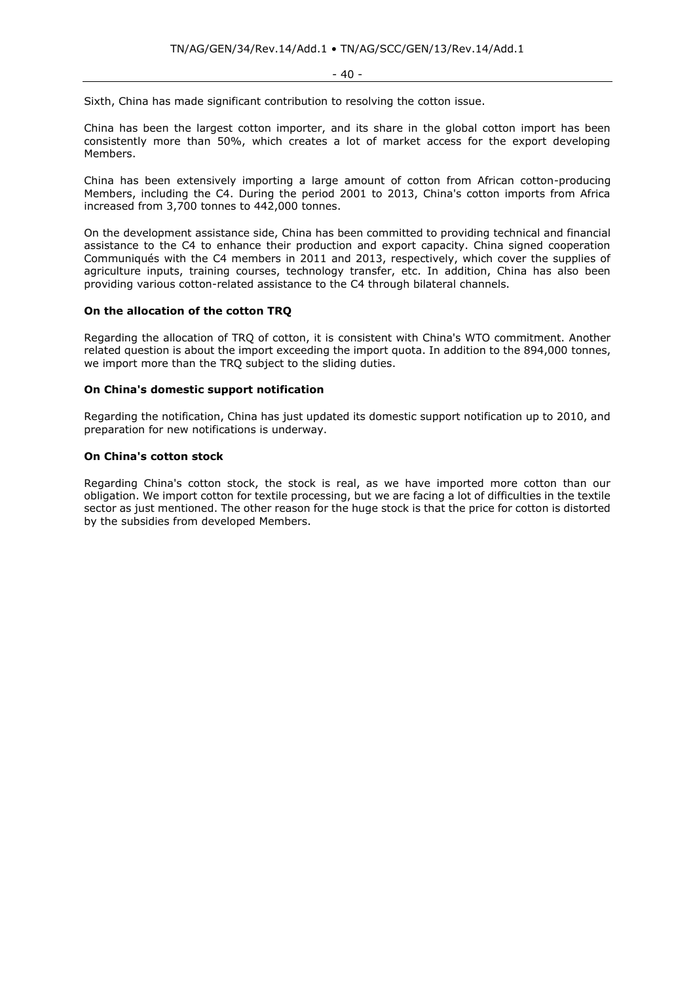Sixth, China has made significant contribution to resolving the cotton issue.

China has been the largest cotton importer, and its share in the global cotton import has been consistently more than 50%, which creates a lot of market access for the export developing Members.

China has been extensively importing a large amount of cotton from African cotton-producing Members, including the C4. During the period 2001 to 2013, China's cotton imports from Africa increased from 3,700 tonnes to 442,000 tonnes.

On the development assistance side, China has been committed to providing technical and financial assistance to the C4 to enhance their production and export capacity. China signed cooperation Communiqués with the C4 members in 2011 and 2013, respectively, which cover the supplies of agriculture inputs, training courses, technology transfer, etc. In addition, China has also been providing various cotton-related assistance to the C4 through bilateral channels.

#### **On the allocation of the cotton TRQ**

Regarding the allocation of TRQ of cotton, it is consistent with China's WTO commitment. Another related question is about the import exceeding the import quota. In addition to the 894,000 tonnes, we import more than the TRQ subject to the sliding duties.

#### **On China's domestic support notification**

Regarding the notification, China has just updated its domestic support notification up to 2010, and preparation for new notifications is underway.

## **On China's cotton stock**

Regarding China's cotton stock, the stock is real, as we have imported more cotton than our obligation. We import cotton for textile processing, but we are facing a lot of difficulties in the textile sector as just mentioned. The other reason for the huge stock is that the price for cotton is distorted by the subsidies from developed Members.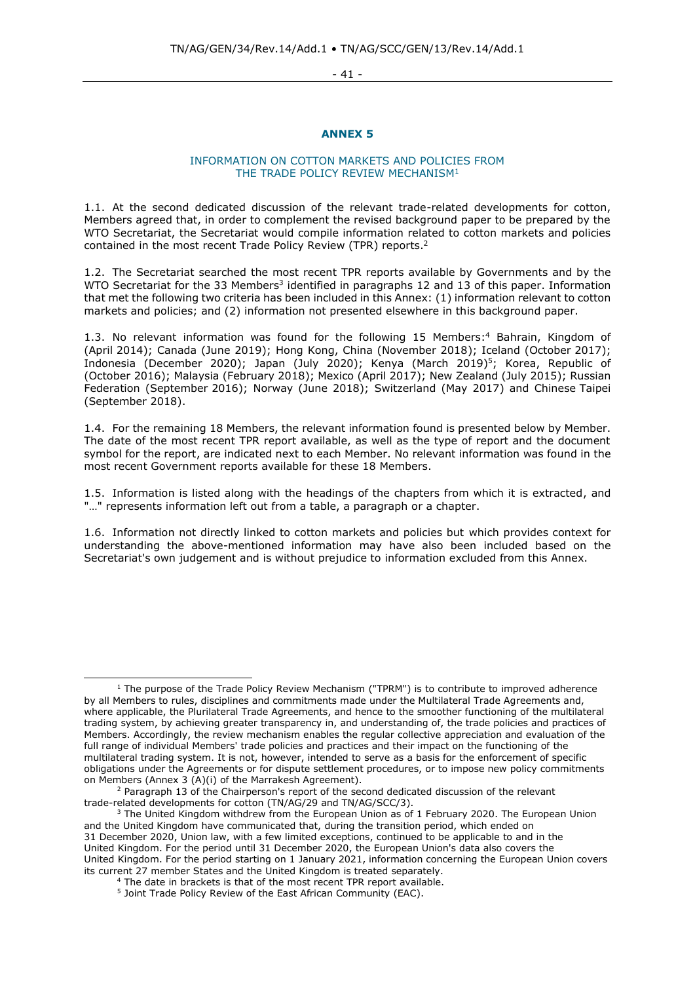- 41 -

## **ANNEX 5**

## INFORMATION ON COTTON MARKETS AND POLICIES FROM THE TRADE POLICY REVIEW MECHANISM<sup>1</sup>

1.1. At the second dedicated discussion of the relevant trade-related developments for cotton, Members agreed that, in order to complement the revised background paper to be prepared by the WTO Secretariat, the Secretariat would compile information related to cotton markets and policies contained in the most recent Trade Policy Review (TPR) reports.<sup>2</sup>

1.2. The Secretariat searched the most recent TPR reports available by Governments and by the WTO Secretariat for the 33 Members<sup>3</sup> identified in paragraphs 12 and 13 of this paper. Information that met the following two criteria has been included in this Annex: (1) information relevant to cotton markets and policies; and (2) information not presented elsewhere in this background paper.

1.3. No relevant information was found for the following 15 Members: <sup>4</sup> Bahrain, Kingdom of (April 2014); Canada (June 2019); Hong Kong, China (November 2018); Iceland (October 2017); Indonesia (December 2020); Japan (July 2020); Kenya (March 2019) <sup>5</sup>; Korea, Republic of (October 2016); Malaysia (February 2018); Mexico (April 2017); New Zealand (July 2015); Russian Federation (September 2016); Norway (June 2018); Switzerland (May 2017) and Chinese Taipei (September 2018).

1.4. For the remaining 18 Members, the relevant information found is presented below by Member. The date of the most recent TPR report available, as well as the type of report and the document symbol for the report, are indicated next to each Member. No relevant information was found in the most recent Government reports available for these 18 Members.

1.5. Information is listed along with the headings of the chapters from which it is extracted, and "..." represents information left out from a table, a paragraph or a chapter.

1.6. Information not directly linked to cotton markets and policies but which provides context for understanding the above-mentioned information may have also been included based on the Secretariat's own judgement and is without prejudice to information excluded from this Annex.

 $1$  The purpose of the Trade Policy Review Mechanism ("TPRM") is to contribute to improved adherence by all Members to rules, disciplines and commitments made under the Multilateral Trade Agreements and, where applicable, the Plurilateral Trade Agreements, and hence to the smoother functioning of the multilateral trading system, by achieving greater transparency in, and understanding of, the trade policies and practices of Members. Accordingly, the review mechanism enables the regular collective appreciation and evaluation of the full range of individual Members' trade policies and practices and their impact on the functioning of the multilateral trading system. It is not, however, intended to serve as a basis for the enforcement of specific obligations under the Agreements or for dispute settlement procedures, or to impose new policy commitments on Members (Annex 3 (A)(i) of the Marrakesh Agreement).

<sup>&</sup>lt;sup>2</sup> Paragraph 13 of the Chairperson's report of the second dedicated discussion of the relevant trade-related developments for cotton (TN/AG/29 and TN/AG/SCC/3).

 $3$  The United Kingdom withdrew from the European Union as of 1 February 2020. The European Union and the United Kingdom have communicated that, during the transition period, which ended on 31 December 2020, Union law, with a few limited exceptions, continued to be applicable to and in the United Kingdom. For the period until 31 December 2020, the European Union's data also covers the United Kingdom. For the period starting on 1 January 2021, information concerning the European Union covers its current 27 member States and the United Kingdom is treated separately.

<sup>&</sup>lt;sup>4</sup> The date in brackets is that of the most recent TPR report available.

<sup>&</sup>lt;sup>5</sup> Joint Trade Policy Review of the East African Community (EAC).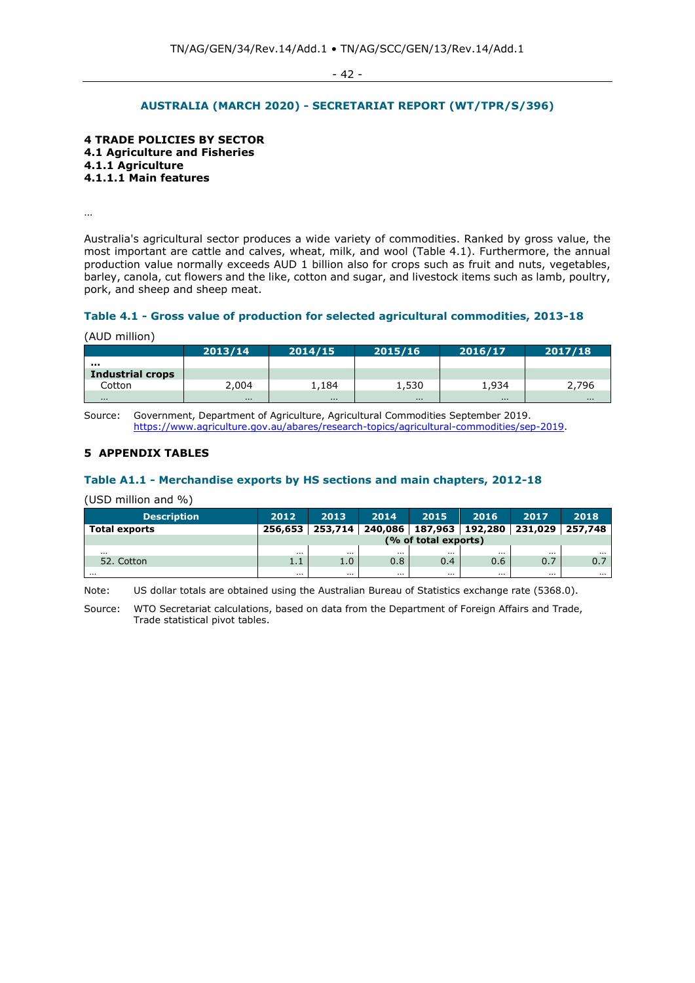- 42 -

## **AUSTRALIA (MARCH 2020) - SECRETARIAT REPORT (WT/TPR/S/396)**

**4 TRADE POLICIES BY SECTOR 4.1 Agriculture and Fisheries 4.1.1 Agriculture 4.1.1.1 Main features** 

…

Australia's agricultural sector produces a wide variety of commodities. Ranked by gross value, the most important are cattle and calves, wheat, milk, and wool (Table 4.1). Furthermore, the annual production value normally exceeds AUD 1 billion also for crops such as fruit and nuts, vegetables, barley, canola, cut flowers and the like, cotton and sugar, and livestock items such as lamb, poultry, pork, and sheep and sheep meat.

#### **Table 4.1 - Gross value of production for selected agricultural commodities, 2013-18**

| (AUD million) |  |
|---------------|--|
|               |  |
|               |  |

|                         | 2013/14  | 2014/15 | 2015/16  | 2016/17 | 2017/18  |
|-------------------------|----------|---------|----------|---------|----------|
|                         |          |         |          |         |          |
| <b>Industrial crops</b> |          |         |          |         |          |
| Cotton                  | 2,004    | 1,184   | 1,530    | 1,934   | 2,796    |
| $\cdots$                | $\cdots$ | .       | $\cdots$ | .       | $\cdots$ |

Source: Government, Department of Agriculture, Agricultural Commodities September 2019. [https://www.agriculture.gov.au/abares/research-topics/agricultural-commodities/sep-2019.](https://www.agriculture.gov.au/abares/research-topics/agricultural-commodities/sep-2019)

# **5 APPENDIX TABLES**

#### **Table A1.1 - Merchandise exports by HS sections and main chapters, 2012-18**

(USD million and %)

| <b>Description</b>   | 2012                 | 2013             | 2014     | 2015     | 2016     | 2017                                                      | 2018             |
|----------------------|----------------------|------------------|----------|----------|----------|-----------------------------------------------------------|------------------|
| <b>Total exports</b> | 256,653              |                  |          |          |          | 253,714   240,086   187,963   192,280   231,029   257,748 |                  |
|                      | (% of total exports) |                  |          |          |          |                                                           |                  |
| $\cdots$             | $\cdots$             | $\cdots$         | $\cdots$ |          | $\cdots$ | $\cdots$                                                  | $\cdots$         |
| 52. Cotton           | 1.1                  | 1.0 <sup>2</sup> | 0.8      | $0.4\,$  | 0.6      | 0.7                                                       | $\overline{0}$ . |
| $\cdots$             | $\cdots$             | $\cdots$         | $\cdots$ | $\cdots$ | $\cdots$ | $\cdots$                                                  | $\cdots$         |

Note: US dollar totals are obtained using the Australian Bureau of Statistics exchange rate (5368.0).

Source: WTO Secretariat calculations, based on data from the Department of Foreign Affairs and Trade, Trade statistical pivot tables.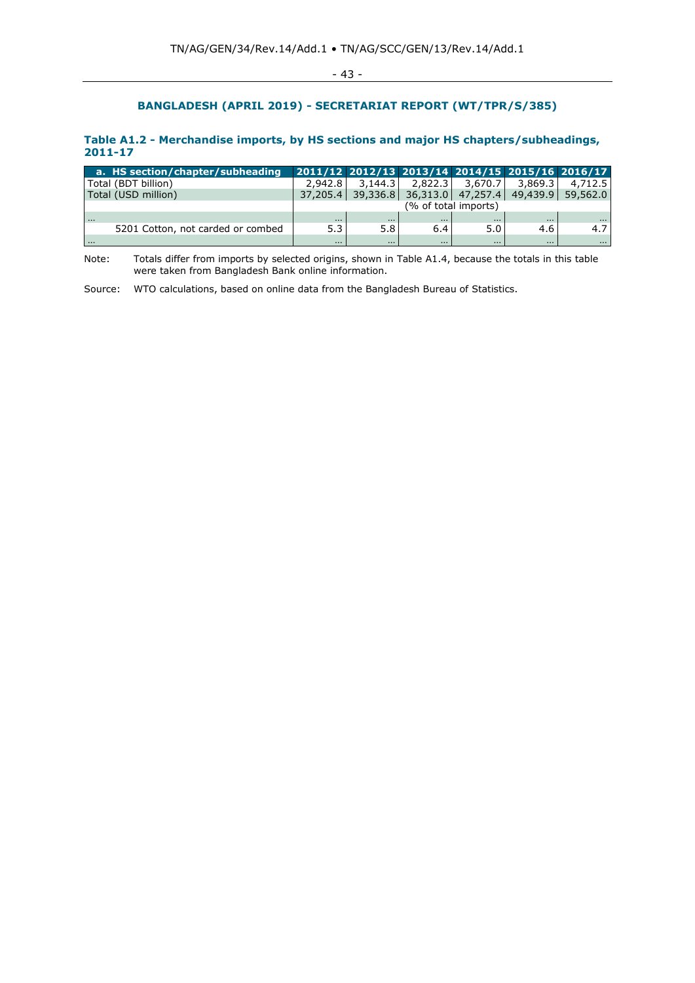# **BANGLADESH (APRIL 2019) - SECRETARIAT REPORT (WT/TPR/S/385)**

## **Table A1.2 - Merchandise imports, by HS sections and major HS chapters/subheadings, 2011-17**

| a. HS section/chapter/subheading  |                      |          |          |          |          | 2011/12 2012/13 2013/14 2014/15 2015/16 2016/17 |
|-----------------------------------|----------------------|----------|----------|----------|----------|-------------------------------------------------|
| Total (BDT billion)               | 2.942.8              | 3.144.3  | 2.822.3  | 3,670.7  | 3,869.3  | 4,712.5                                         |
| Total (USD million)               | 37,205.4             |          |          |          |          | 39,336.8 36,313.0 47,257.4 49,439.9 59,562.0    |
|                                   | (% of total imports) |          |          |          |          |                                                 |
| $\cdots$                          | $\cdots$             | $\cdots$ | $\cdots$ | $\cdots$ | $\cdots$ | $\cdots$                                        |
| 5201 Cotton, not carded or combed | 5.3                  | 5.8      | 6.4      | 5.0      | 4.6      | 4.7                                             |
| .                                 | $\cdots$             | $\cdots$ | $\cdots$ | $\cdots$ |          | $\cdots$                                        |

Note: Totals differ from imports by selected origins, shown in Table A1.4, because the totals in this table were taken from Bangladesh Bank online information.

Source: WTO calculations, based on online data from the Bangladesh Bureau of Statistics.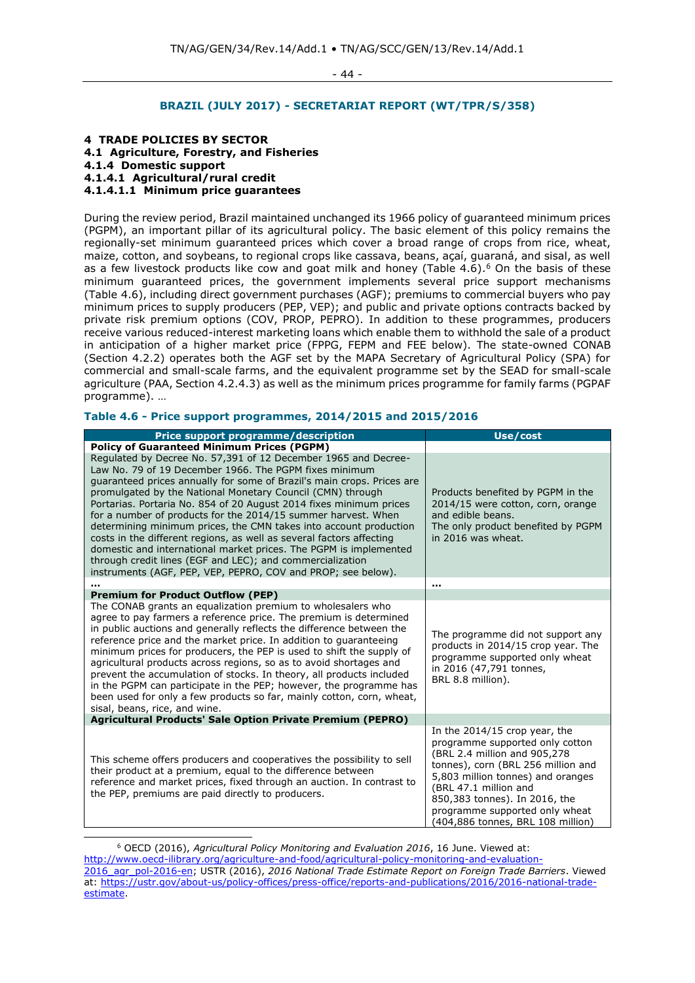- 44 -

# **BRAZIL (JULY 2017) - SECRETARIAT REPORT (WT/TPR/S/358)**

#### **4 TRADE POLICIES BY SECTOR**

**4.1 Agriculture, Forestry, and Fisheries** 

**4.1.4 Domestic support**

**4.1.4.1 Agricultural/rural credit** 

**4.1.4.1.1 Minimum price guarantees**

During the review period, Brazil maintained unchanged its 1966 policy of guaranteed minimum prices (PGPM), an important pillar of its agricultural policy. The basic element of this policy remains the regionally-set minimum guaranteed prices which cover a broad range of crops from rice, wheat, maize, cotton, and soybeans, to regional crops like cassava, beans, açaí, guaraná, and sisal, as well as a few livestock products like cow and goat milk and honey (Table  $4.6$ ).<sup>6</sup> On the basis of these minimum guaranteed prices, the government implements several price support mechanisms (Table 4.6), including direct government purchases (AGF); premiums to commercial buyers who pay minimum prices to supply producers (PEP, VEP); and public and private options contracts backed by private risk premium options (COV, PROP, PEPRO). In addition to these programmes, producers receive various reduced-interest marketing loans which enable them to withhold the sale of a product in anticipation of a higher market price (FPPG, FEPM and FEE below). The state-owned CONAB (Section 4.2.2) operates both the AGF set by the MAPA Secretary of Agricultural Policy (SPA) for commercial and small-scale farms, and the equivalent programme set by the SEAD for small-scale agriculture (PAA, Section 4.2.4.3) as well as the minimum prices programme for family farms (PGPAF programme). …

## **Table 4.6 - Price support programmes, 2014/2015 and 2015/2016**

| <b>Price support programme/description</b>                                                                                                                                                                                                                                                                                                                                                                                                                                                                                                                                                                                                                                                                                                             | Use/cost                                                                                                                                                                                                                                                                                                      |
|--------------------------------------------------------------------------------------------------------------------------------------------------------------------------------------------------------------------------------------------------------------------------------------------------------------------------------------------------------------------------------------------------------------------------------------------------------------------------------------------------------------------------------------------------------------------------------------------------------------------------------------------------------------------------------------------------------------------------------------------------------|---------------------------------------------------------------------------------------------------------------------------------------------------------------------------------------------------------------------------------------------------------------------------------------------------------------|
| <b>Policy of Guaranteed Minimum Prices (PGPM)</b>                                                                                                                                                                                                                                                                                                                                                                                                                                                                                                                                                                                                                                                                                                      |                                                                                                                                                                                                                                                                                                               |
| Regulated by Decree No. 57,391 of 12 December 1965 and Decree-<br>Law No. 79 of 19 December 1966. The PGPM fixes minimum<br>quaranteed prices annually for some of Brazil's main crops. Prices are<br>promulgated by the National Monetary Council (CMN) through<br>Portarias. Portaria No. 854 of 20 August 2014 fixes minimum prices<br>for a number of products for the 2014/15 summer harvest. When<br>determining minimum prices, the CMN takes into account production<br>costs in the different regions, as well as several factors affecting<br>domestic and international market prices. The PGPM is implemented<br>through credit lines (EGF and LEC); and commercialization<br>instruments (AGF, PEP, VEP, PEPRO, COV and PROP; see below). | Products benefited by PGPM in the<br>2014/15 were cotton, corn, orange<br>and edible beans.<br>The only product benefited by PGPM<br>in 2016 was wheat.                                                                                                                                                       |
|                                                                                                                                                                                                                                                                                                                                                                                                                                                                                                                                                                                                                                                                                                                                                        | $\sim$ $\sim$ $\sim$                                                                                                                                                                                                                                                                                          |
| <b>Premium for Product Outflow (PEP)</b>                                                                                                                                                                                                                                                                                                                                                                                                                                                                                                                                                                                                                                                                                                               |                                                                                                                                                                                                                                                                                                               |
| The CONAB grants an equalization premium to wholesalers who<br>agree to pay farmers a reference price. The premium is determined<br>in public auctions and generally reflects the difference between the<br>reference price and the market price. In addition to guaranteeing<br>minimum prices for producers, the PEP is used to shift the supply of<br>agricultural products across regions, so as to avoid shortages and<br>prevent the accumulation of stocks. In theory, all products included<br>in the PGPM can participate in the PEP; however, the programme has<br>been used for only a few products so far, mainly cotton, corn, wheat,<br>sisal, beans, rice, and wine.                                                                    | The programme did not support any<br>products in 2014/15 crop year. The<br>programme supported only wheat<br>in 2016 (47,791 tonnes,<br>BRL 8.8 million).                                                                                                                                                     |
| Agricultural Products' Sale Option Private Premium (PEPRO)                                                                                                                                                                                                                                                                                                                                                                                                                                                                                                                                                                                                                                                                                             |                                                                                                                                                                                                                                                                                                               |
| This scheme offers producers and cooperatives the possibility to sell<br>their product at a premium, equal to the difference between<br>reference and market prices, fixed through an auction. In contrast to<br>the PEP, premiums are paid directly to producers.                                                                                                                                                                                                                                                                                                                                                                                                                                                                                     | In the 2014/15 crop year, the<br>programme supported only cotton<br>(BRL 2.4 million and 905,278)<br>tonnes), corn (BRL 256 million and<br>5,803 million tonnes) and oranges<br>(BRL 47.1 million and<br>850,383 tonnes). In 2016, the<br>programme supported only wheat<br>(404,886 tonnes, BRL 108 million) |

<sup>6</sup> OECD (2016), *Agricultural Policy Monitoring and Evaluation 2016*, 16 June. Viewed at: [http://www.oecd-ilibrary.org/agriculture-and-food/agricultural-policy-monitoring-and-evaluation-](http://www.oecd-ilibrary.org/agriculture-and-food/agricultural-policy-monitoring-and-evaluation-2016_agr_pol-2016-en)[2016\\_agr\\_pol-2016-en;](http://www.oecd-ilibrary.org/agriculture-and-food/agricultural-policy-monitoring-and-evaluation-2016_agr_pol-2016-en) USTR (2016), *2016 National Trade Estimate Report on Foreign Trade Barriers*. Viewed at: [https://ustr.gov/about-us/policy-offices/press-office/reports-and-publications/2016/2016-national-trade](https://ustr.gov/about-us/policy-offices/press-office/reports-and-publications/2016/2016-national-trade-estimate)[estimate.](https://ustr.gov/about-us/policy-offices/press-office/reports-and-publications/2016/2016-national-trade-estimate)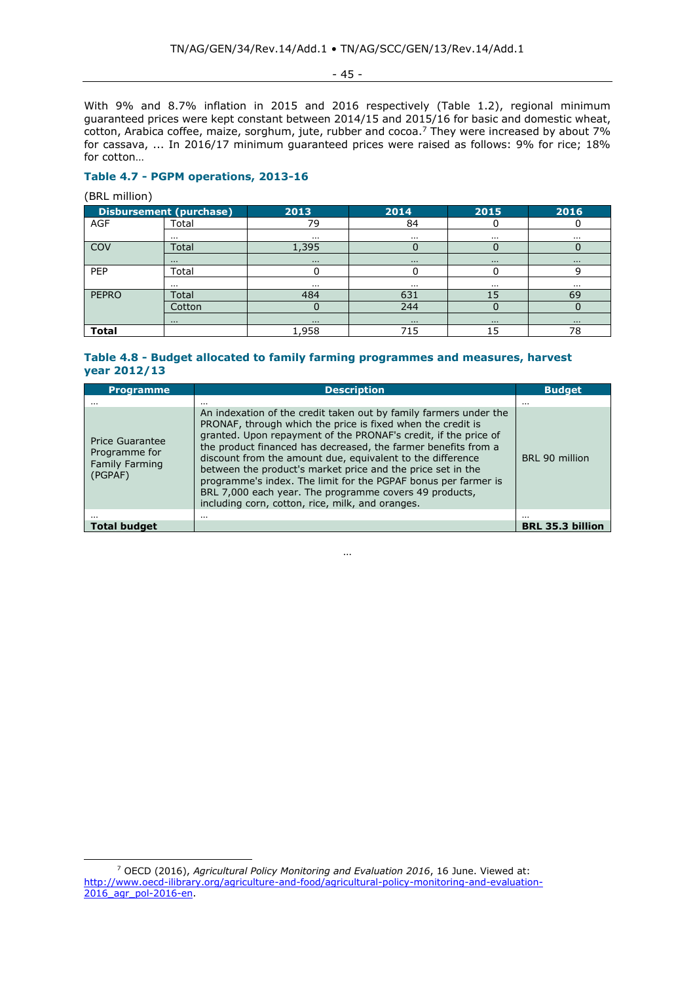- 45 -

With 9% and 8.7% inflation in 2015 and 2016 respectively (Table 1.2), regional minimum guaranteed prices were kept constant between 2014/15 and 2015/16 for basic and domestic wheat, cotton, Arabica coffee, maize, sorghum, jute, rubber and cocoa.<sup>7</sup> They were increased by about 7% for cassava, ... In 2016/17 minimum guaranteed prices were raised as follows: 9% for rice; 18% for cotton…

# **Table 4.7 - PGPM operations, 2013-16**

(BRL million)

|              | <b>Disbursement (purchase)</b> | 2013     | 2014     | 2015     | 2016     |
|--------------|--------------------------------|----------|----------|----------|----------|
| <b>AGF</b>   | Total                          | 79       | 84       |          |          |
|              | $\cdots$                       | $\cdots$ | $\cdots$ | $\cdots$ | $\cdots$ |
| <b>COV</b>   | Total                          | 1,395    |          |          |          |
|              | $\cdots$                       | $\cdots$ | $\cdots$ | $\cdots$ | $\cdots$ |
| PEP          | Total                          |          |          |          | 9        |
|              | $\cdots$                       | $\cdots$ | $\cdots$ | $\cdots$ | $\cdots$ |
| <b>PEPRO</b> | Total                          | 484      | 631      | 15       | 69       |
|              | Cotton                         |          | 244      |          |          |
|              | $\cdots$                       | $\cdots$ | $\cdots$ | $\cdots$ | $\cdots$ |
| <b>Total</b> |                                | 1,958    | 715      | 15       | 78       |

# **Table 4.8 - Budget allocated to family farming programmes and measures, harvest year 2012/13**

| <b>Programme</b>                                                     | <b>Description</b>                                                                                                                                                                                                                                                                                                                                                                                                                                                                                                                                                                 | <b>Budget</b>           |
|----------------------------------------------------------------------|------------------------------------------------------------------------------------------------------------------------------------------------------------------------------------------------------------------------------------------------------------------------------------------------------------------------------------------------------------------------------------------------------------------------------------------------------------------------------------------------------------------------------------------------------------------------------------|-------------------------|
|                                                                      |                                                                                                                                                                                                                                                                                                                                                                                                                                                                                                                                                                                    | $\cdots$                |
| <b>Price Guarantee</b><br>Programme for<br>Family Farming<br>(PGPAF) | An indexation of the credit taken out by family farmers under the<br>PRONAF, through which the price is fixed when the credit is<br>granted. Upon repayment of the PRONAF's credit, if the price of<br>the product financed has decreased, the farmer benefits from a<br>discount from the amount due, equivalent to the difference<br>between the product's market price and the price set in the<br>programme's index. The limit for the PGPAF bonus per farmer is<br>BRL 7,000 each year. The programme covers 49 products,<br>including corn, cotton, rice, milk, and oranges. | BRL 90 million          |
|                                                                      |                                                                                                                                                                                                                                                                                                                                                                                                                                                                                                                                                                                    | $\cdots$                |
| Total budget                                                         |                                                                                                                                                                                                                                                                                                                                                                                                                                                                                                                                                                                    | <b>BRL 35.3 billion</b> |

…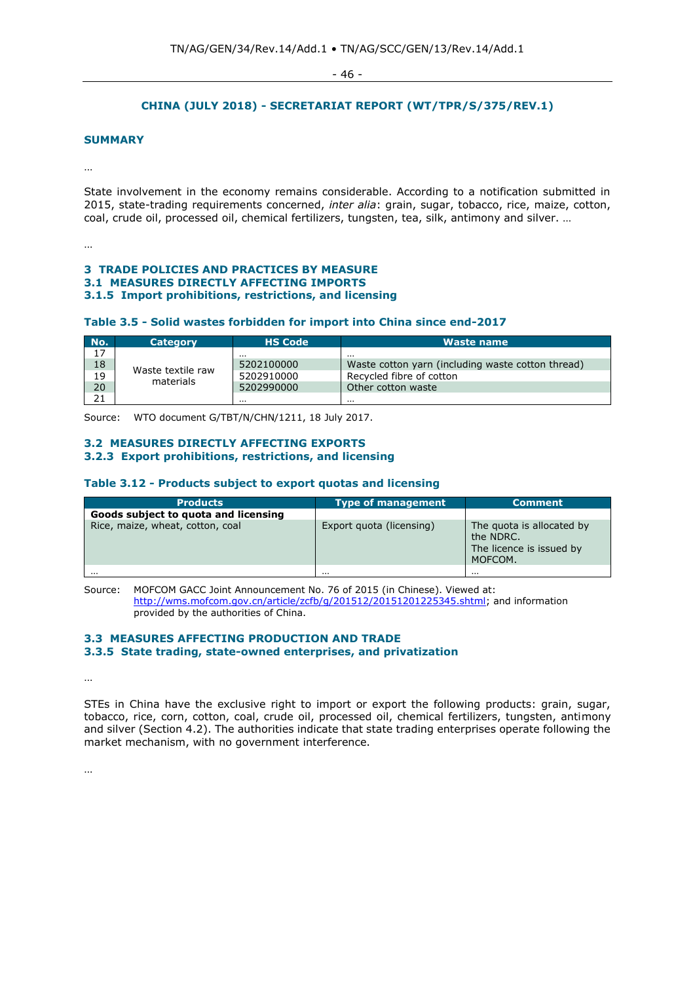- 46 -

# **CHINA (JULY 2018) - SECRETARIAT REPORT (WT/TPR/S/375/REV.1)**

#### **SUMMARY**

…

State involvement in the economy remains considerable. According to a notification submitted in 2015, state-trading requirements concerned, *inter alia*: grain, sugar, tobacco, rice, maize, cotton, coal, crude oil, processed oil, chemical fertilizers, tungsten, tea, silk, antimony and silver. …

…

#### **3 TRADE POLICIES AND PRACTICES BY MEASURE 3.1 MEASURES DIRECTLY AFFECTING IMPORTS 3.1.5 Import prohibitions, restrictions, and licensing**

#### **Table 3.5 - Solid wastes forbidden for import into China since end-2017**

| No. | <b>Category</b>   | <b>HS Code</b> | Waste name                                        |
|-----|-------------------|----------------|---------------------------------------------------|
| 17  |                   | $\cdots$       |                                                   |
| 18  | Waste textile raw | 5202100000     | Waste cotton yarn (including waste cotton thread) |
| 19  | materials         | 5202910000     | Recycled fibre of cotton                          |
| 20  |                   | 5202990000     | Other cotton waste                                |
| 21  |                   |                | .                                                 |

Source: WTO document G/TBT/N/CHN/1211, 18 July 2017.

## **3.2 MEASURES DIRECTLY AFFECTING EXPORTS 3.2.3 Export prohibitions, restrictions, and licensing**

#### **Table 3.12 - Products subject to export quotas and licensing**

| <b>Products</b>                      | <b>Type of management</b> | <b>Comment</b>                                                                |
|--------------------------------------|---------------------------|-------------------------------------------------------------------------------|
| Goods subject to quota and licensing |                           |                                                                               |
| Rice, maize, wheat, cotton, coal     | Export quota (licensing)  | The quota is allocated by<br>the NDRC.<br>The licence is issued by<br>MOFCOM. |
|                                      | $\cdots$                  | $\cdots$                                                                      |

Source: MOFCOM GACC Joint Announcement No. 76 of 2015 (in Chinese). Viewed at: [http://wms.mofcom.gov.cn/article/zcfb/g/201512/20151201225345.shtml;](http://wms.mofcom.gov.cn/article/zcfb/g/201512/20151201225345.shtml) and information provided by the authorities of China.

#### **3.3 MEASURES AFFECTING PRODUCTION AND TRADE**

**3.3.5 State trading, state-owned enterprises, and privatization**

…

STEs in China have the exclusive right to import or export the following products: grain, sugar, tobacco, rice, corn, cotton, coal, crude oil, processed oil, chemical fertilizers, tungsten, antimony and silver (Section 4.2). The authorities indicate that state trading enterprises operate following the market mechanism, with no government interference.

…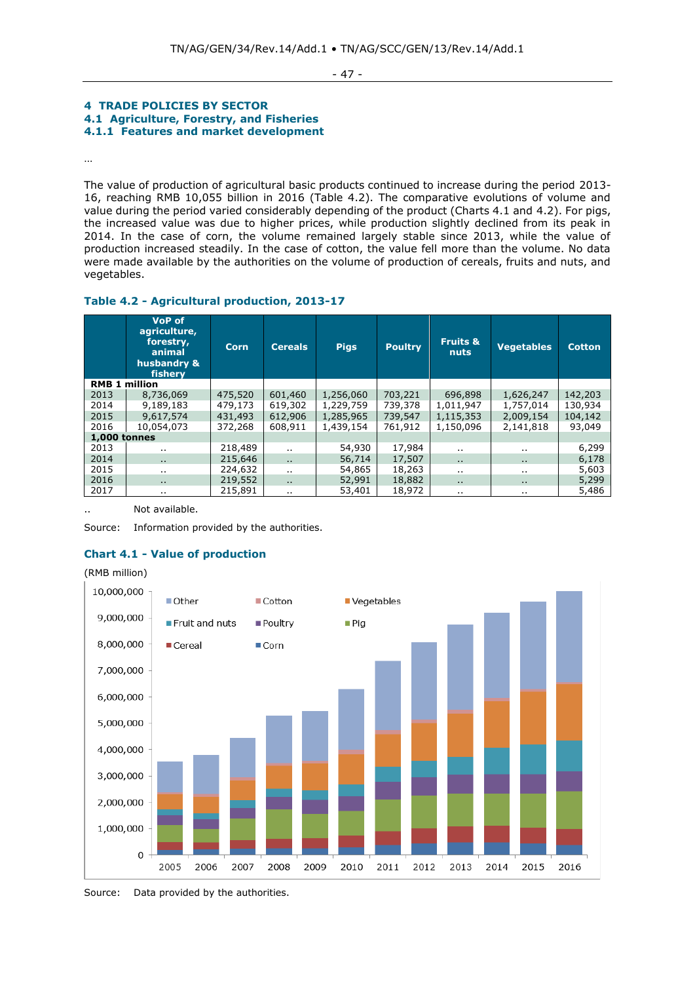- 47 -

## **4 TRADE POLICIES BY SECTOR 4.1 Agriculture, Forestry, and Fisheries 4.1.1 Features and market development**

…

The value of production of agricultural basic products continued to increase during the period 2013- 16, reaching RMB 10,055 billion in 2016 (Table 4.2). The comparative evolutions of volume and value during the period varied considerably depending of the product (Charts 4.1 and 4.2). For pigs, the increased value was due to higher prices, while production slightly declined from its peak in 2014. In the case of corn, the volume remained largely stable since 2013, while the value of production increased steadily. In the case of cotton, the value fell more than the volume. No data were made available by the authorities on the volume of production of cereals, fruits and nuts, and vegetables.

# **Table 4.2 - Agricultural production, 2013-17**

|                      | <b>VoP of</b><br>agriculture,<br>forestry,<br>animal<br>husbandry &<br>fishery | <b>Corn</b> | <b>Cereals</b>       | <b>Pigs</b> | <b>Poultry</b> | <b>Fruits &amp;</b><br><b>nuts</b> | <b>Vegetables</b> | <b>Cotton</b> |
|----------------------|--------------------------------------------------------------------------------|-------------|----------------------|-------------|----------------|------------------------------------|-------------------|---------------|
| <b>RMB 1 million</b> |                                                                                |             |                      |             |                |                                    |                   |               |
| 2013                 | 8,736,069                                                                      | 475,520     | 601,460              | 1,256,060   | 703,221        | 696,898                            | 1,626,247         | 142,203       |
| 2014                 | 9,189,183                                                                      | 479,173     | 619,302              | 1,229,759   | 739,378        | 1,011,947                          | 1,757,014         | 130,934       |
| 2015                 | 9,617,574                                                                      | 431,493     | 612,906              | 1,285,965   | 739,547        | 1,115,353                          | 2,009,154         | 104,142       |
| 2016                 | 10,054,073                                                                     | 372,268     | 608,911              | 1,439,154   | 761,912        | 1,150,096                          | 2,141,818         | 93,049        |
| <b>1,000 tonnes</b>  |                                                                                |             |                      |             |                |                                    |                   |               |
| 2013                 | $\ddot{\phantom{0}}$                                                           | 218,489     | $\cdot$ .            | 54,930      | 17,984         | $\ddot{\phantom{a}}$               |                   | 6,299         |
| 2014                 | $\ddotsc$                                                                      | 215,646     | $\ddot{\phantom{a}}$ | 56,714      | 17,507         | $\ddotsc$                          | $\mathbf{r}$      | 6,178         |
| 2015                 | $\ddotsc$                                                                      | 224,632     | $\cdot$ .            | 54,865      | 18,263         | $\cdot$ .                          | $\cdot$ .         | 5,603         |
| 2016                 | $\ddot{\phantom{a}}$                                                           | 219,552     | $\ddot{\phantom{a}}$ | 52,991      | 18,882         | $\ddot{\phantom{a}}$               | $\mathbf{r}$      | 5,299         |
| 2017                 | $\cdots$                                                                       | 215,891     | $\ddot{\phantom{0}}$ | 53,401      | 18,972         | $\ddot{\phantom{a}}$               | $\cdot$ .         | 5,486         |

Not available.

Source: Information provided by the authorities.

# **Chart 4.1 - Value of production**



Source: Data provided by the authorities.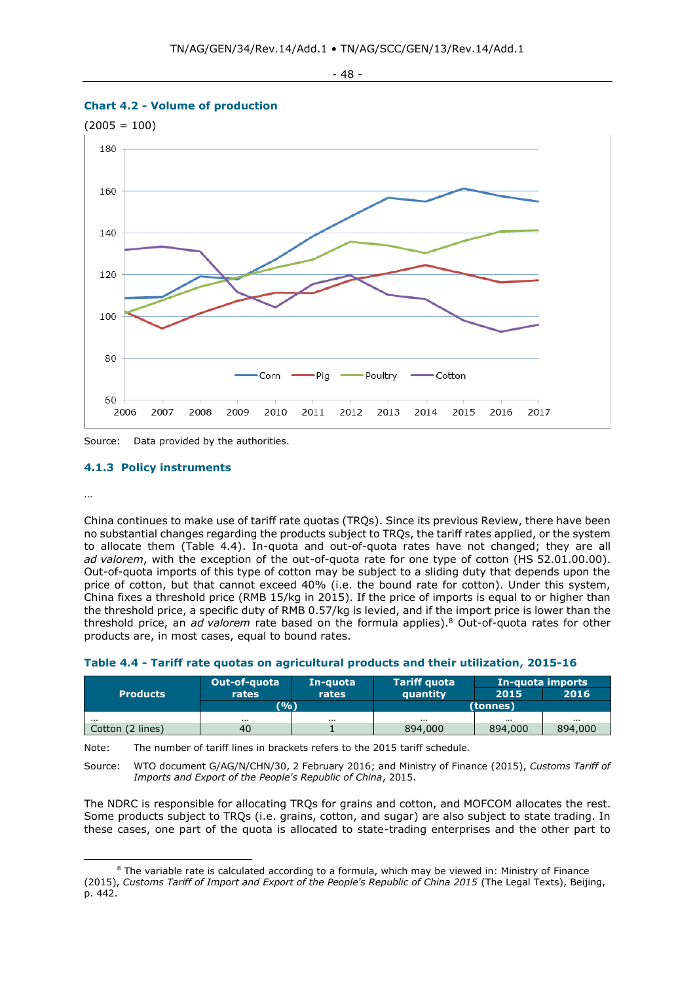







# **4.1.3 Policy instruments**

…

China continues to make use of tariff rate quotas (TRQs). Since its previous Review, there have been no substantial changes regarding the products subject to TRQs, the tariff rates applied, or the system to allocate them (Table 4.4). In-quota and out-of-quota rates have not changed; they are all *ad valorem*, with the exception of the out-of-quota rate for one type of cotton (HS 52.01.00.00). Out-of-quota imports of this type of cotton may be subject to a sliding duty that depends upon the price of cotton, but that cannot exceed 40% (i.e. the bound rate for cotton). Under this system, China fixes a threshold price (RMB 15/kg in 2015). If the price of imports is equal to or higher than the threshold price, a specific duty of RMB 0.57/kg is levied, and if the import price is lower than the threshold price, an *ad valorem* rate based on the formula applies).<sup>8</sup> Out-of-quota rates for other products are, in most cases, equal to bound rates.

# **Table 4.4 - Tariff rate quotas on agricultural products and their utilization, 2015-16**

| <b>Products</b>  | Out-of-quota | In-quota | <b>Tariff quota</b> | In-quota imports |         |  |
|------------------|--------------|----------|---------------------|------------------|---------|--|
|                  | rates        | rates    | quantity            | 2015             | 2016    |  |
|                  | (9/6)        |          | (tonnes)            |                  |         |  |
| $\cdots$         | $\cdots$     | $\cdots$ | $\cdots$            | $\cdots$         | .       |  |
| Cotton (2 lines) | 40           |          | 894,000             | 894,000          | 894,000 |  |

Note: The number of tariff lines in brackets refers to the 2015 tariff schedule.

Source: WTO document G/AG/N/CHN/30, 2 February 2016; and Ministry of Finance (2015), *Customs Tariff of Imports and Export of the People's Republic of China*, 2015.

The NDRC is responsible for allocating TRQs for grains and cotton, and MOFCOM allocates the rest. Some products subject to TRQs (i.e. grains, cotton, and sugar) are also subject to state trading. In these cases, one part of the quota is allocated to state-trading enterprises and the other part to

 $8$  The variable rate is calculated according to a formula, which may be viewed in: Ministry of Finance (2015), *Customs Tariff of Import and Export of the People's Republic of China 2015* (The Legal Texts), Beijing, p. 442.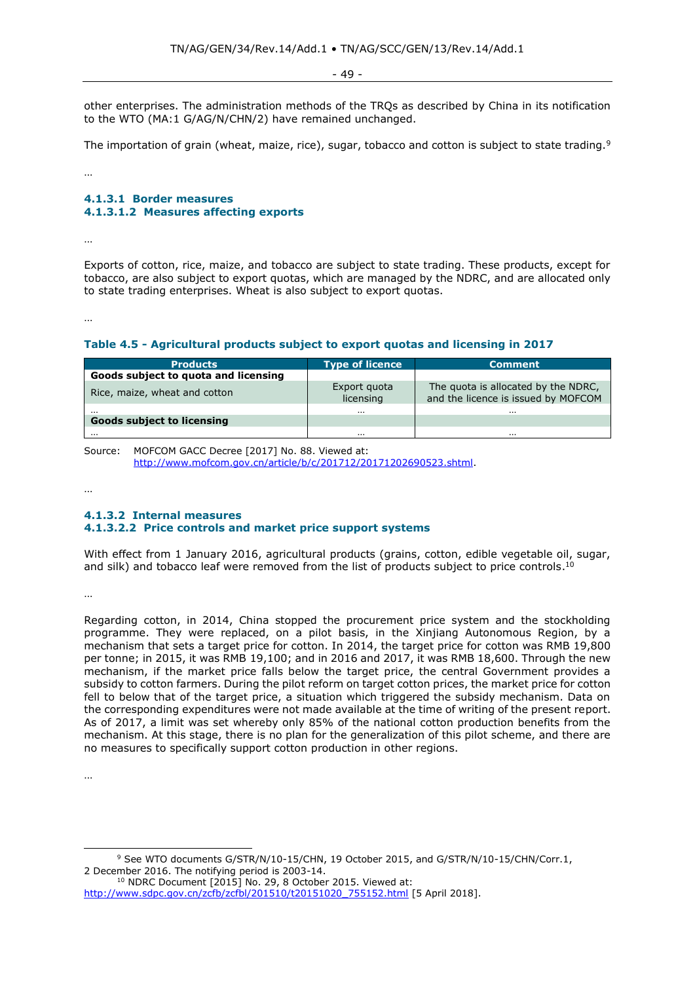- 49 -

other enterprises. The administration methods of the TRQs as described by China in its notification to the WTO (MA:1 G/AG/N/CHN/2) have remained unchanged.

The importation of grain (wheat, maize, rice), sugar, tobacco and cotton is subject to state trading.<sup>9</sup>

…

# **4.1.3.1 Border measures 4.1.3.1.2 Measures affecting exports**

…

Exports of cotton, rice, maize, and tobacco are subject to state trading. These products, except for tobacco, are also subject to export quotas, which are managed by the NDRC, and are allocated only to state trading enterprises. Wheat is also subject to export quotas.

…

# **Table 4.5 - Agricultural products subject to export quotas and licensing in 2017**

| <b>Products</b>                               | <b>Type of licence</b>    | <b>Comment</b>                                                             |
|-----------------------------------------------|---------------------------|----------------------------------------------------------------------------|
| Goods subject to quota and licensing          |                           |                                                                            |
| Rice, maize, wheat and cotton                 | Export quota<br>licensing | The quota is allocated by the NDRC,<br>and the licence is issued by MOFCOM |
| $\cdots$<br><b>Goods subject to licensing</b> | $\cdots$                  | $\cdots$                                                                   |
| $\cdots$                                      | $\cdots$                  | $\cdots$                                                                   |

Source: MOFCOM GACC Decree [2017] No. 88. Viewed at: [http://www.mofcom.gov.cn/article/b/c/201712/20171202690523.shtml.](http://www.mofcom.gov.cn/article/b/c/201712/20171202690523.shtml)

…

# **4.1.3.2 Internal measures 4.1.3.2.2 Price controls and market price support systems**

With effect from 1 January 2016, agricultural products (grains, cotton, edible vegetable oil, sugar, and silk) and tobacco leaf were removed from the list of products subject to price controls.<sup>10</sup>

…

Regarding cotton, in 2014, China stopped the procurement price system and the stockholding programme. They were replaced, on a pilot basis, in the Xinjiang Autonomous Region, by a mechanism that sets a target price for cotton. In 2014, the target price for cotton was RMB 19,800 per tonne; in 2015, it was RMB 19,100; and in 2016 and 2017, it was RMB 18,600. Through the new mechanism, if the market price falls below the target price, the central Government provides a subsidy to cotton farmers. During the pilot reform on target cotton prices, the market price for cotton fell to below that of the target price, a situation which triggered the subsidy mechanism. Data on the corresponding expenditures were not made available at the time of writing of the present report. As of 2017, a limit was set whereby only 85% of the national cotton production benefits from the mechanism. At this stage, there is no plan for the generalization of this pilot scheme, and there are no measures to specifically support cotton production in other regions.

…

<sup>9</sup> See WTO documents G/STR/N/10-15/CHN, 19 October 2015, and G/STR/N/10-15/CHN/Corr.1, 2 December 2016. The notifying period is 2003-14.

<sup>&</sup>lt;sup>10</sup> NDRC Document [2015] No. 29, 8 October 2015. Viewed at: [http://www.sdpc.gov.cn/zcfb/zcfbl/201510/t20151020\\_755152.html](http://www.sdpc.gov.cn/zcfb/zcfbl/201510/t20151020_755152.html) [5 April 2018].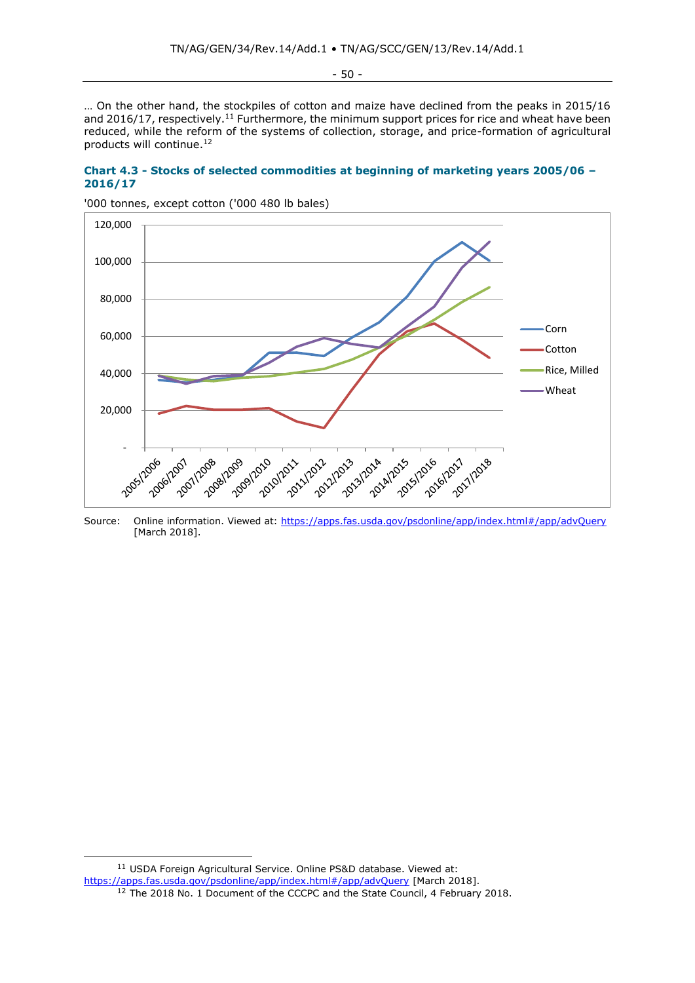- 50 -

… On the other hand, the stockpiles of cotton and maize have declined from the peaks in 2015/16 and 2016/17, respectively.<sup>11</sup> Furthermore, the minimum support prices for rice and wheat have been reduced, while the reform of the systems of collection, storage, and price-formation of agricultural products will continue.<sup>12</sup>

## **Chart 4.3 - Stocks of selected commodities at beginning of marketing years 2005/06 – 2016/17**



'000 tonnes, except cotton ('000 480 lb bales)

Source: Online information. Viewed at:<https://apps.fas.usda.gov/psdonline/app/index.html#/app/advQuery> [March 2018].

<sup>11</sup> USDA Foreign Agricultural Service. Online PS&D database. Viewed at: <https://apps.fas.usda.gov/psdonline/app/index.html#/app/advQuery> [March 2018]. <sup>12</sup> The 2018 No. 1 Document of the CCCPC and the State Council, 4 February 2018.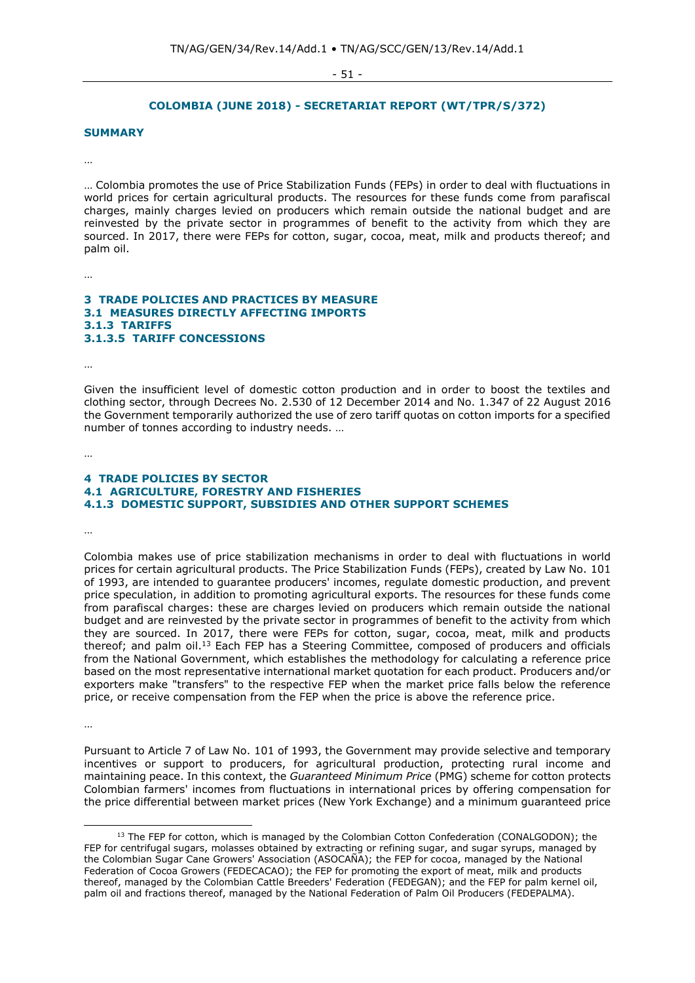- 51 -

#### **COLOMBIA (JUNE 2018) - SECRETARIAT REPORT (WT/TPR/S/372)**

## **SUMMARY**

…

… Colombia promotes the use of Price Stabilization Funds (FEPs) in order to deal with fluctuations in world prices for certain agricultural products. The resources for these funds come from parafiscal charges, mainly charges levied on producers which remain outside the national budget and are reinvested by the private sector in programmes of benefit to the activity from which they are sourced. In 2017, there were FEPs for cotton, sugar, cocoa, meat, milk and products thereof; and palm oil.

…

#### **3 TRADE POLICIES AND PRACTICES BY MEASURE 3.1 MEASURES DIRECTLY AFFECTING IMPORTS 3.1.3 TARIFFS 3.1.3.5 TARIFF CONCESSIONS**

…

Given the insufficient level of domestic cotton production and in order to boost the textiles and clothing sector, through Decrees No. 2.530 of 12 December 2014 and No. 1.347 of 22 August 2016 the Government temporarily authorized the use of zero tariff quotas on cotton imports for a specified number of tonnes according to industry needs. …

…

## **4 TRADE POLICIES BY SECTOR 4.1 AGRICULTURE, FORESTRY AND FISHERIES 4.1.3 DOMESTIC SUPPORT, SUBSIDIES AND OTHER SUPPORT SCHEMES**

…

Colombia makes use of price stabilization mechanisms in order to deal with fluctuations in world prices for certain agricultural products. The Price Stabilization Funds (FEPs), created by Law No. 101 of 1993, are intended to guarantee producers' incomes, regulate domestic production, and prevent price speculation, in addition to promoting agricultural exports. The resources for these funds come from parafiscal charges: these are charges levied on producers which remain outside the national budget and are reinvested by the private sector in programmes of benefit to the activity from which they are sourced. In 2017, there were FEPs for cotton, sugar, cocoa, meat, milk and products thereof; and palm oil.<sup>13</sup> Each FEP has a Steering Committee, composed of producers and officials from the National Government, which establishes the methodology for calculating a reference price based on the most representative international market quotation for each product. Producers and/or exporters make "transfers" to the respective FEP when the market price falls below the reference price, or receive compensation from the FEP when the price is above the reference price.

…

Pursuant to Article 7 of Law No. 101 of 1993, the Government may provide selective and temporary incentives or support to producers, for agricultural production, protecting rural income and maintaining peace. In this context, the *Guaranteed Minimum Price* (PMG) scheme for cotton protects Colombian farmers' incomes from fluctuations in international prices by offering compensation for the price differential between market prices (New York Exchange) and a minimum guaranteed price

<sup>&</sup>lt;sup>13</sup> The FEP for cotton, which is managed by the Colombian Cotton Confederation (CONALGODON); the FEP for centrifugal sugars, molasses obtained by extracting or refining sugar, and sugar syrups, managed by the Colombian Sugar Cane Growers' Association (ASOCAÑA); the FEP for cocoa, managed by the National Federation of Cocoa Growers (FEDECACAO); the FEP for promoting the export of meat, milk and products thereof, managed by the Colombian Cattle Breeders' Federation (FEDEGAN); and the FEP for palm kernel oil, palm oil and fractions thereof, managed by the National Federation of Palm Oil Producers (FEDEPALMA).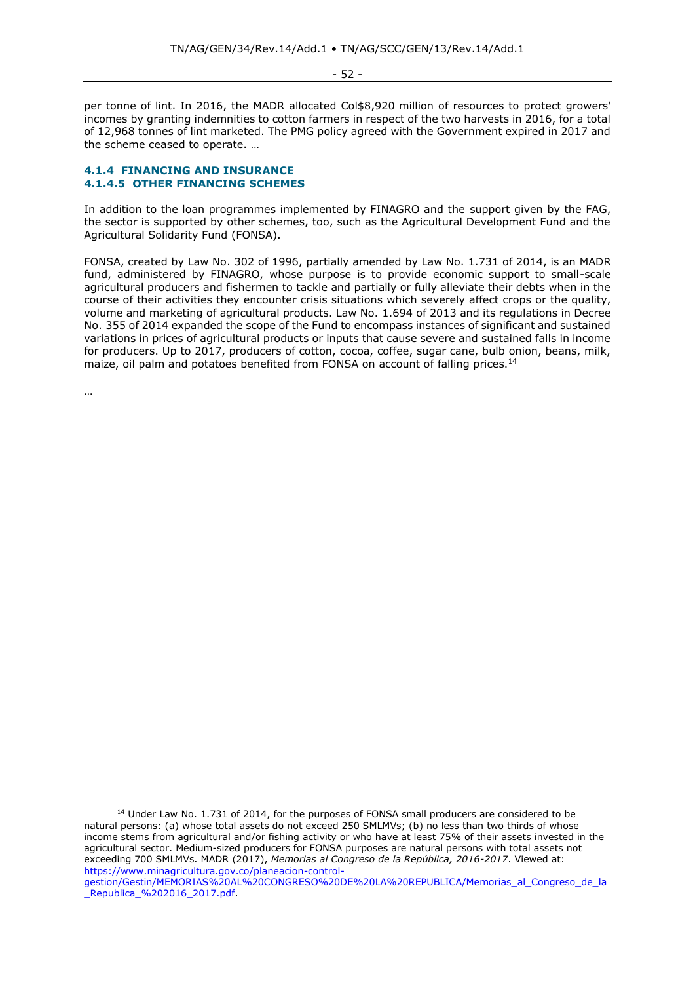- 52 -

per tonne of lint. In 2016, the MADR allocated Col\$8,920 million of resources to protect growers' incomes by granting indemnities to cotton farmers in respect of the two harvests in 2016, for a total of 12,968 tonnes of lint marketed. The PMG policy agreed with the Government expired in 2017 and the scheme ceased to operate. …

## **4.1.4 FINANCING AND INSURANCE 4.1.4.5 OTHER FINANCING SCHEMES**

In addition to the loan programmes implemented by FINAGRO and the support given by the FAG, the sector is supported by other schemes, too, such as the Agricultural Development Fund and the Agricultural Solidarity Fund (FONSA).

FONSA, created by Law No. 302 of 1996, partially amended by Law No. 1.731 of 2014, is an MADR fund, administered by FINAGRO, whose purpose is to provide economic support to small-scale agricultural producers and fishermen to tackle and partially or fully alleviate their debts when in the course of their activities they encounter crisis situations which severely affect crops or the quality, volume and marketing of agricultural products. Law No. 1.694 of 2013 and its regulations in Decree No. 355 of 2014 expanded the scope of the Fund to encompass instances of significant and sustained variations in prices of agricultural products or inputs that cause severe and sustained falls in income for producers. Up to 2017, producers of cotton, cocoa, coffee, sugar cane, bulb onion, beans, milk, maize, oil palm and potatoes benefited from FONSA on account of falling prices.<sup>14</sup>

…

<sup>&</sup>lt;sup>14</sup> Under Law No. 1.731 of 2014, for the purposes of FONSA small producers are considered to be natural persons: (a) whose total assets do not exceed 250 SMLMVs; (b) no less than two thirds of whose income stems from agricultural and/or fishing activity or who have at least 75% of their assets invested in the agricultural sector. Medium-sized producers for FONSA purposes are natural persons with total assets not exceeding 700 SMLMVs. MADR (2017), *Memorias al Congreso de la República, 2016-2017*. Viewed at: [https://www.minagricultura.gov.co/planeacion-control-](https://www.minagricultura.gov.co/planeacion-control-gestion/Gestin/MEMORIAS%20AL%20CONGRESO%20DE%20LA%20REPUBLICA/Memorias_al_Congreso_de_la_Republica_%202016_2017.pdf)

[gestion/Gestin/MEMORIAS%20AL%20CONGRESO%20DE%20LA%20REPUBLICA/Memorias\\_al\\_Congreso\\_de\\_la](https://www.minagricultura.gov.co/planeacion-control-gestion/Gestin/MEMORIAS%20AL%20CONGRESO%20DE%20LA%20REPUBLICA/Memorias_al_Congreso_de_la_Republica_%202016_2017.pdf) Republica %202016 2017.pdf.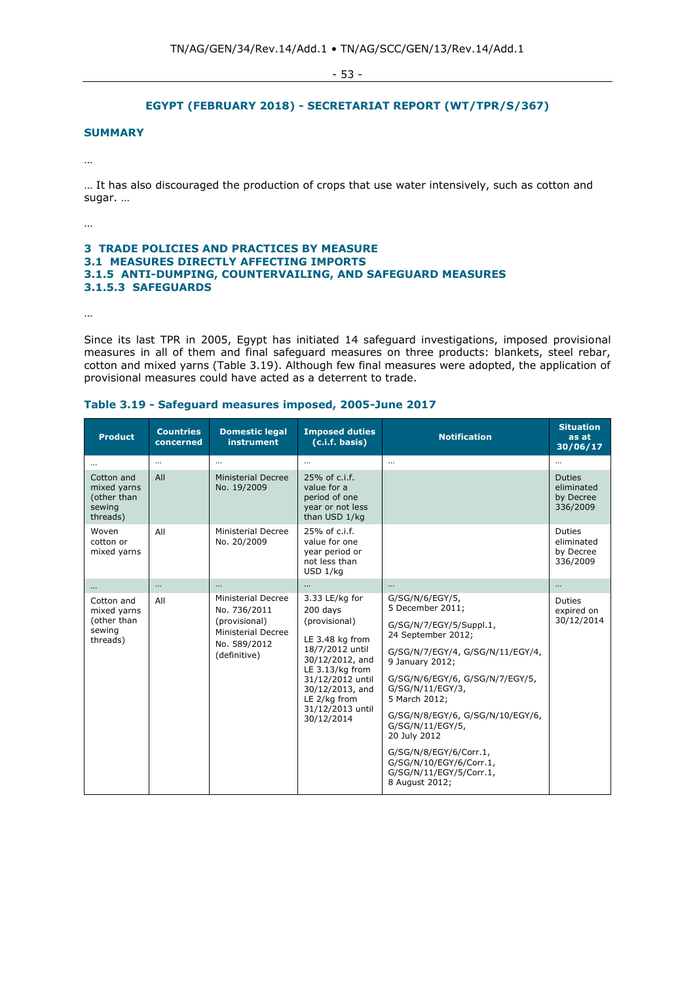- 53 -

# **EGYPT (FEBRUARY 2018) - SECRETARIAT REPORT (WT/TPR/S/367)**

## **SUMMARY**

…

… It has also discouraged the production of crops that use water intensively, such as cotton and sugar. …

…

## **3 TRADE POLICIES AND PRACTICES BY MEASURE 3.1 MEASURES DIRECTLY AFFECTING IMPORTS 3.1.5 ANTI-DUMPING, COUNTERVAILING, AND SAFEGUARD MEASURES 3.1.5.3 SAFEGUARDS**

…

Since its last TPR in 2005, Egypt has initiated 14 safeguard investigations, imposed provisional measures in all of them and final safeguard measures on three products: blankets, steel rebar, cotton and mixed yarns (Table 3.19). Although few final measures were adopted, the application of provisional measures could have acted as a deterrent to trade.

|  |  |  |  |  |  | Table 3.19 - Safeguard measures imposed, 2005-June 2017 |  |
|--|--|--|--|--|--|---------------------------------------------------------|--|
|--|--|--|--|--|--|---------------------------------------------------------|--|

| <b>Product</b>                                                 | <b>Countries</b><br>concerned | <b>Domestic legal</b><br>instrument                                                                              | <b>Imposed duties</b><br>(c.i.f. basis)                                                                                                                                                                          | <b>Notification</b>                                                                                                                                                                                                                                                                                                                                                                           | <b>Situation</b><br>as at<br>30/06/17                |
|----------------------------------------------------------------|-------------------------------|------------------------------------------------------------------------------------------------------------------|------------------------------------------------------------------------------------------------------------------------------------------------------------------------------------------------------------------|-----------------------------------------------------------------------------------------------------------------------------------------------------------------------------------------------------------------------------------------------------------------------------------------------------------------------------------------------------------------------------------------------|------------------------------------------------------|
|                                                                | $\cdots$                      | $\cdots$                                                                                                         | $\cdots$                                                                                                                                                                                                         | $\ddotsc$                                                                                                                                                                                                                                                                                                                                                                                     |                                                      |
| Cotton and<br>mixed yarns<br>(other than<br>sewing<br>threads) | All                           | <b>Ministerial Decree</b><br>No. 19/2009                                                                         | 25% of c.i.f.<br>value for a<br>period of one<br>vear or not less<br>than USD 1/kg                                                                                                                               |                                                                                                                                                                                                                                                                                                                                                                                               | <b>Duties</b><br>eliminated<br>by Decree<br>336/2009 |
| Woven<br>cotton or<br>mixed yarns                              | All                           | Ministerial Decree<br>No. 20/2009                                                                                | 25% of c.i.f.<br>value for one<br>year period or<br>not less than<br>USD 1/kg                                                                                                                                    |                                                                                                                                                                                                                                                                                                                                                                                               | Duties<br>eliminated<br>by Decree<br>336/2009        |
| $\cdots$                                                       |                               | $\cdots$                                                                                                         | $\cdots$                                                                                                                                                                                                         | $\cdots$                                                                                                                                                                                                                                                                                                                                                                                      |                                                      |
| Cotton and<br>mixed yarns<br>(other than<br>sewing<br>threads) | All                           | Ministerial Decree<br>No. 736/2011<br>(provisional)<br><b>Ministerial Decree</b><br>No. 589/2012<br>(definitive) | 3.33 LE/kg for<br>200 days<br>(provisional)<br>LE 3.48 kg from<br>18/7/2012 until<br>30/12/2012, and<br>LE 3.13/kg from<br>31/12/2012 until<br>30/12/2013, and<br>LE 2/kg from<br>31/12/2013 until<br>30/12/2014 | G/SG/N/6/EGY/5,<br>5 December 2011;<br>G/SG/N/7/EGY/5/Suppl.1,<br>24 September 2012;<br>G/SG/N/7/EGY/4, G/SG/N/11/EGY/4,<br>9 January 2012;<br>G/SG/N/6/EGY/6, G/SG/N/7/EGY/5,<br>G/SG/N/11/EGY/3,<br>5 March 2012;<br>G/SG/N/8/EGY/6, G/SG/N/10/EGY/6,<br>G/SG/N/11/EGY/5,<br>20 July 2012<br>G/SG/N/8/EGY/6/Corr.1,<br>G/SG/N/10/EGY/6/Corr.1,<br>G/SG/N/11/EGY/5/Corr.1,<br>8 August 2012; | <b>Duties</b><br>expired on<br>30/12/2014            |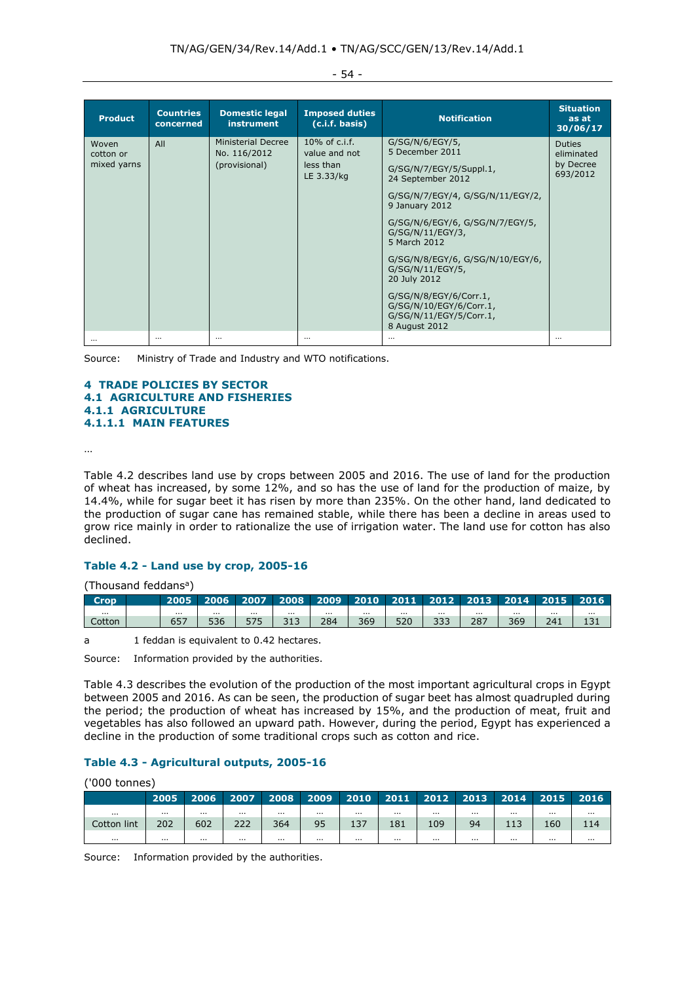| <b>Product</b>                    | <b>Countries</b><br>concerned | <b>Domestic legal</b><br><b>instrument</b>          | <b>Imposed duties</b><br>(c.i.f. basis)                      | <b>Notification</b>                                                                                                                                                                                                                                                                                                                                                                         | <b>Situation</b><br>as at<br>30/06/17                |
|-----------------------------------|-------------------------------|-----------------------------------------------------|--------------------------------------------------------------|---------------------------------------------------------------------------------------------------------------------------------------------------------------------------------------------------------------------------------------------------------------------------------------------------------------------------------------------------------------------------------------------|------------------------------------------------------|
| Woven<br>cotton or<br>mixed yarns | All                           | Ministerial Decree<br>No. 116/2012<br>(provisional) | $10\%$ of c.i.f.<br>value and not<br>less than<br>LE 3.33/kg | $G/SG/N/6/EGY/5$ ,<br>5 December 2011<br>G/SG/N/7/EGY/5/Suppl.1,<br>24 September 2012<br>G/SG/N/7/EGY/4, G/SG/N/11/EGY/2,<br>9 January 2012<br>G/SG/N/6/EGY/6, G/SG/N/7/EGY/5,<br>G/SG/N/11/EGY/3,<br>5 March 2012<br>G/SG/N/8/EGY/6, G/SG/N/10/EGY/6,<br>G/SG/N/11/EGY/5,<br>20 July 2012<br>G/SG/N/8/EGY/6/Corr.1,<br>G/SG/N/10/EGY/6/Corr.1,<br>G/SG/N/11/EGY/5/Corr.1,<br>8 August 2012 | <b>Duties</b><br>eliminated<br>by Decree<br>693/2012 |
|                                   | $\cdots$                      | $\cdots$                                            | $\cdots$                                                     | $\cdots$                                                                                                                                                                                                                                                                                                                                                                                    | $\cdots$                                             |

Source: Ministry of Trade and Industry and WTO notifications.

## **4 TRADE POLICIES BY SECTOR 4.1 AGRICULTURE AND FISHERIES 4.1.1 AGRICULTURE 4.1.1.1 MAIN FEATURES**

…

Table 4.2 describes land use by crops between 2005 and 2016. The use of land for the production of wheat has increased, by some 12%, and so has the use of land for the production of maize, by 14.4%, while for sugar beet it has risen by more than 235%. On the other hand, land dedicated to the production of sugar cane has remained stable, while there has been a decline in areas used to grow rice mainly in order to rationalize the use of irrigation water. The land use for cotton has also declined.

# **Table 4.2 - Land use by crop, 2005-16**

| (Thousand feddans <sup>a</sup> ) |          |           |          |          |                                                       |          |          |          |          |          |          |          |
|----------------------------------|----------|-----------|----------|----------|-------------------------------------------------------|----------|----------|----------|----------|----------|----------|----------|
| <b>Crop</b>                      | 2005     | 2006 2007 |          |          | 2008   2009   2010   2011   2012   2013   2014   2015 |          |          |          |          |          |          | 2016     |
| $\cdots$                         | $\cdots$ | $\cdots$  | $\cdots$ | $\cdots$ | $\cdots$                                              | $\cdots$ | $\cdots$ | $\cdots$ | $\cdots$ | $\cdots$ | $\cdots$ | $\cdots$ |
| Cotton                           | 657      | 536       | 575      | 313      | 284                                                   | 369      | 520      | 333      | 287      | 369      | 241      |          |
|                                  |          |           |          |          |                                                       |          |          |          |          |          |          |          |

a 1 feddan is equivalent to 0.42 hectares.

Source: Information provided by the authorities.

Table 4.3 describes the evolution of the production of the most important agricultural crops in Egypt between 2005 and 2016. As can be seen, the production of sugar beet has almost quadrupled during the period; the production of wheat has increased by 15%, and the production of meat, fruit and vegetables has also followed an upward path. However, during the period, Egypt has experienced a decline in the production of some traditional crops such as cotton and rice.

# **Table 4.3 - Agricultural outputs, 2005-16**

('000 tonnes)

|             | 2005     | 2006     | 2007     | 2008     | 2009     | 2010     | 2011     | 2012     | 2013     | 2014     | 2015     | 2016     |
|-------------|----------|----------|----------|----------|----------|----------|----------|----------|----------|----------|----------|----------|
| $\cdots$    | $\cdots$ | $\cdots$ | $\cdots$ | $\cdots$ | $\cdots$ | $\cdots$ | $\cdots$ | $\cdots$ | $\cdots$ |          | $\cdots$ | $\cdots$ |
| Cotton lint | 202      | 602      | ววว<br>ᅩ | 364      | 95       | 137      | 181      | 109      | 94       | 12<br>ᆠᆠ | 160      | 114      |
| $\cdots$    | $\cdots$ | .        | $\cdots$ | $\cdots$ | $\cdots$ | $\cdots$ | $\cdots$ | $\cdots$ | $\cdots$ | $\cdots$ | $\cdots$ | $\cdots$ |

Source: Information provided by the authorities.

#### - 54 -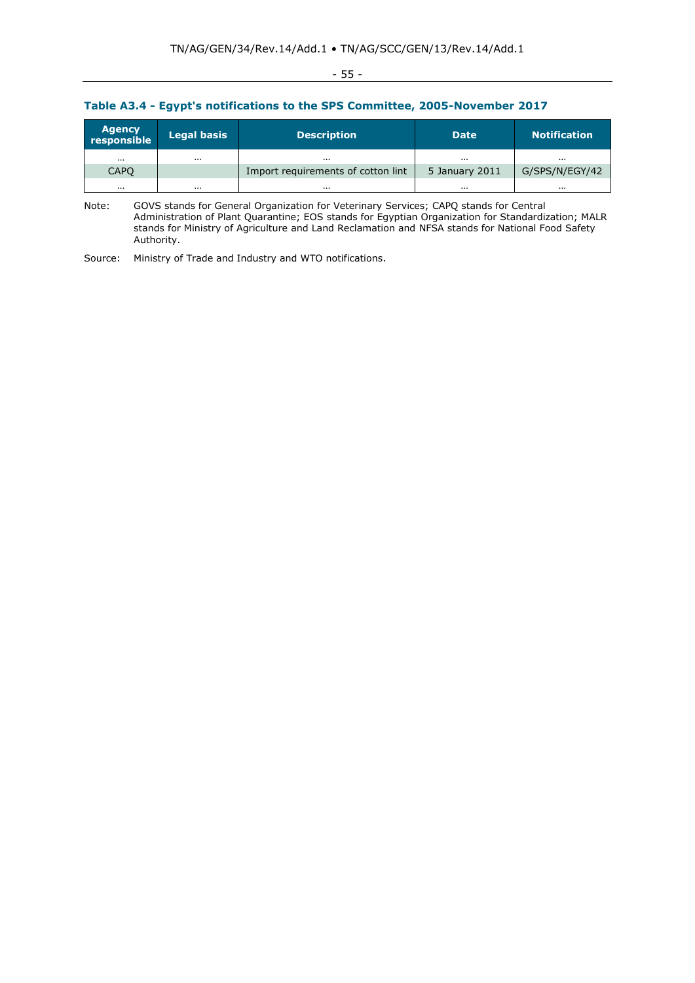# - 55 -

# **Table A3.4 - Egypt's notifications to the SPS Committee, 2005-November 2017**

| Agency<br>responsible | <b>Legal basis</b> | <b>Description</b>                 | <b>Date</b>    | <b>Notification</b> |
|-----------------------|--------------------|------------------------------------|----------------|---------------------|
| $\cdots$              | $\cdots$           | .                                  | $\cdots$       | .                   |
| CAPO                  |                    | Import requirements of cotton lint | 5 January 2011 | G/SPS/N/EGY/42      |
| $\cdots$              | $\cdots$           | $\cdots$                           | $\cdots$       |                     |

Note: GOVS stands for General Organization for Veterinary Services; CAPQ stands for Central Administration of Plant Quarantine; EOS stands for Egyptian Organization for Standardization; MALR stands for Ministry of Agriculture and Land Reclamation and NFSA stands for National Food Safety Authority.

Source: Ministry of Trade and Industry and WTO notifications.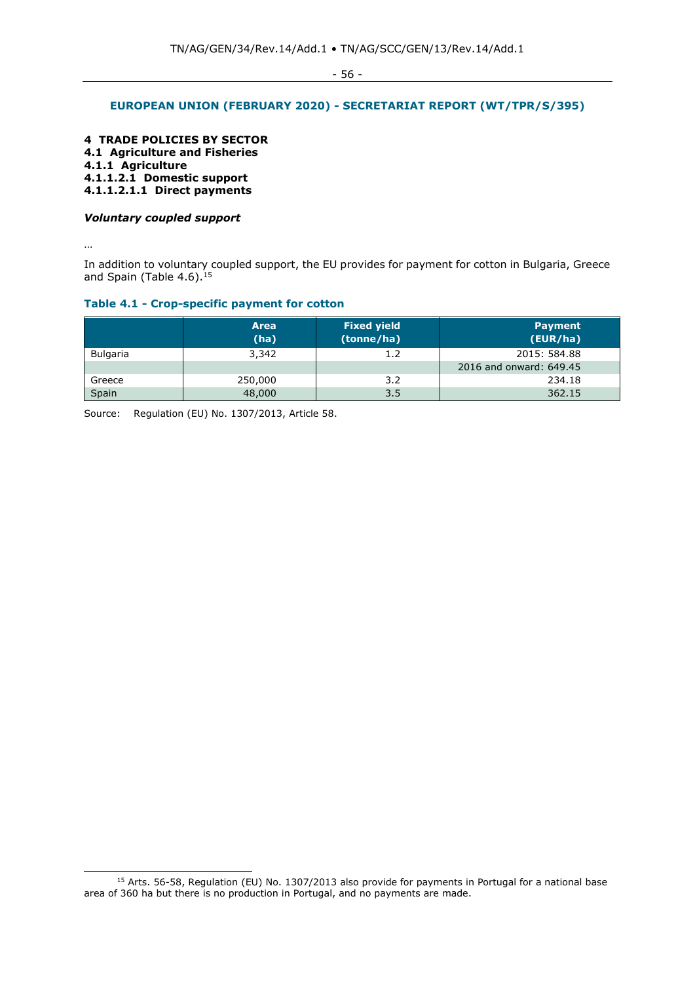# **EUROPEAN UNION (FEBRUARY 2020) - SECRETARIAT REPORT (WT/TPR/S/395)**

**4 TRADE POLICIES BY SECTOR 4.1 Agriculture and Fisheries 4.1.1 Agriculture 4.1.1.2.1 Domestic support 4.1.1.2.1.1 Direct payments**

#### *Voluntary coupled support*

…

In addition to voluntary coupled support, the EU provides for payment for cotton in Bulgaria, Greece and Spain (Table  $4.6$ ).<sup>15</sup>

# **Table 4.1 - Crop-specific payment for cotton**

|                 | <b>Area</b><br>(ha) | <b>Fixed yield</b><br>(tonne/ha) | <b>Payment</b><br>(EUR/ha) |
|-----------------|---------------------|----------------------------------|----------------------------|
| <b>Bulgaria</b> | 3,342               | 1.2                              | 2015: 584.88               |
|                 |                     |                                  | 2016 and onward: 649.45    |
| Greece          | 250,000             | 3.2                              | 234.18                     |
| Spain           | 48,000              | 3.5                              | 362.15                     |

Source: Regulation (EU) No. 1307/2013, Article 58.

<sup>&</sup>lt;sup>15</sup> Arts. 56-58, Regulation (EU) No. 1307/2013 also provide for payments in Portugal for a national base area of 360 ha but there is no production in Portugal, and no payments are made.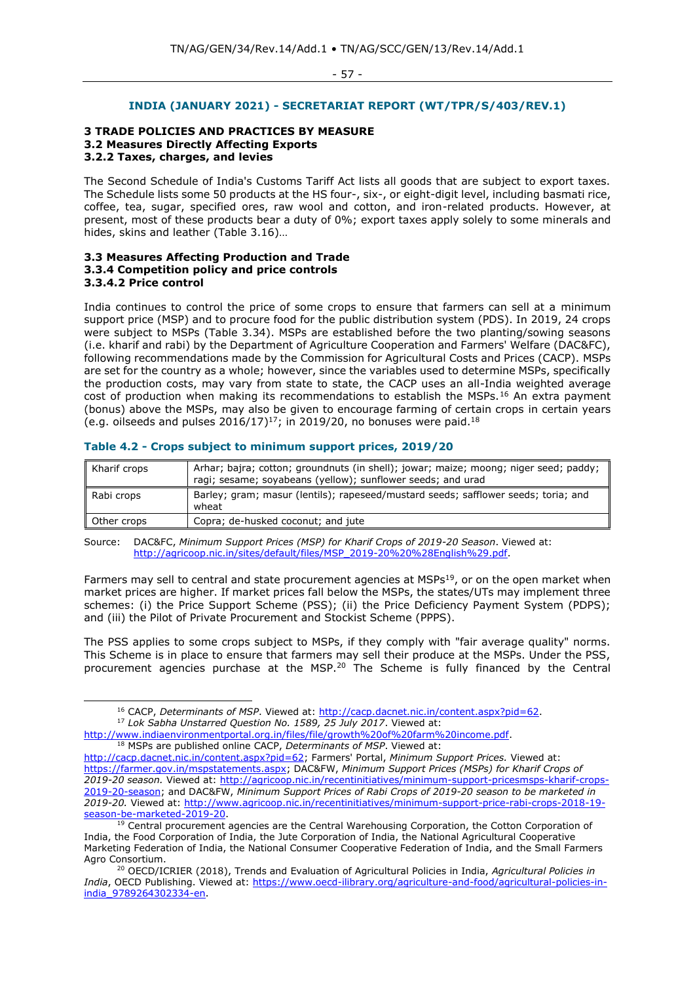#### **INDIA (JANUARY 2021) - SECRETARIAT REPORT (WT/TPR/S/403/REV.1)**

#### **3 TRADE POLICIES AND PRACTICES BY MEASURE 3.2 Measures Directly Affecting Exports 3.2.2 Taxes, charges, and levies**

The Second Schedule of India's Customs Tariff Act lists all goods that are subject to export taxes. The Schedule lists some 50 products at the HS four-, six-, or eight-digit level, including basmati rice, coffee, tea, sugar, specified ores, raw wool and cotton, and iron-related products. However, at present, most of these products bear a duty of 0%; export taxes apply solely to some minerals and hides, skins and leather (Table 3.16)…

#### **3.3 Measures Affecting Production and Trade 3.3.4 Competition policy and price controls 3.3.4.2 Price control**

India continues to control the price of some crops to ensure that farmers can sell at a minimum support price (MSP) and to procure food for the public distribution system (PDS). In 2019, 24 crops were subject to MSPs (Table 3.34). MSPs are established before the two planting/sowing seasons (i.e. kharif and rabi) by the Department of Agriculture Cooperation and Farmers' Welfare (DAC&FC), following recommendations made by the Commission for Agricultural Costs and Prices (CACP). MSPs are set for the country as a whole; however, since the variables used to determine MSPs, specifically the production costs, may vary from state to state, the CACP uses an all-India weighted average cost of production when making its recommendations to establish the MSPs.<sup>16</sup> An extra payment (bonus) above the MSPs, may also be given to encourage farming of certain crops in certain years (e.g. oilseeds and pulses  $2016/17$ )<sup>17</sup>; in 2019/20, no bonuses were paid.<sup>18</sup>

| <b>Kharif crops</b> | Arhar; bajra; cotton; groundnuts (in shell); jowar; maize; moong; niger seed; paddy;<br>ragi; sesame; soyabeans (yellow); sunflower seeds; and urad |
|---------------------|-----------------------------------------------------------------------------------------------------------------------------------------------------|
| Rabi crops          | Barley; gram; masur (lentils); rapeseed/mustard seeds; safflower seeds; toria; and<br>wheat                                                         |
| Other crops         | Copra; de-husked coconut; and jute                                                                                                                  |

#### **Table 4.2 - Crops subject to minimum support prices, 2019/20**

Source: DAC&FC, *Minimum Support Prices (MSP) for Kharif Crops of 2019-20 Season*. Viewed at: [http://agricoop.nic.in/sites/default/files/MSP\\_2019-20%20%28English%29.pdf.](http://agricoop.nic.in/sites/default/files/MSP_2019-20%20%28English%29.pdf)

Farmers may sell to central and state procurement agencies at MSPs<sup>19</sup>, or on the open market when market prices are higher. If market prices fall below the MSPs, the states/UTs may implement three schemes: (i) the Price Support Scheme (PSS); (ii) the Price Deficiency Payment System (PDPS); and (iii) the Pilot of Private Procurement and Stockist Scheme (PPPS).

The PSS applies to some crops subject to MSPs, if they comply with "fair average quality" norms. This Scheme is in place to ensure that farmers may sell their produce at the MSPs. Under the PSS, procurement agencies purchase at the MSP.<sup>20</sup> The Scheme is fully financed by the Central

<sup>17</sup> *Lok Sabha Unstarred Question No. 1589, 25 July 2017*. Viewed at:

[http://www.indiaenvironmentportal.org.in/files/file/growth%20of%20farm%20income.pdf.](http://www.indiaenvironmentportal.org.in/files/file/growth%20of%20farm%20income.pdf) <sup>18</sup> MSPs are published online CACP, *Determinants of MSP*. Viewed at: [http://cacp.dacnet.nic.in/content.aspx?pid=62;](http://cacp.dacnet.nic.in/content.aspx?pid=62) Farmers' Portal, *Minimum Support Prices.* Viewed at: [https://farmer.gov.in/mspstatements.aspx;](https://farmer.gov.in/mspstatements.aspx) DAC&FW, *Minimum Support Prices (MSPs) for Kharif Crops of 2019-20 season.* Viewed at: [http://agricoop.nic.in/recentinitiatives/minimum-support-pricesmsps-kharif-crops-](http://agricoop.nic.in/recentinitiatives/minimum-support-pricesmsps-kharif-crops-2019-20-season)[2019-20-season;](http://agricoop.nic.in/recentinitiatives/minimum-support-pricesmsps-kharif-crops-2019-20-season) and DAC&FW, *Minimum Support Prices of Rabi Crops of 2019-20 season to be marketed in 2019-20.* Viewed at: [http://www.agricoop.nic.in/recentinitiatives/minimum-support-price-rabi-crops-2018-19](http://www.agricoop.nic.in/recentinitiatives/minimum-support-price-rabi-crops-2018-19-season-be-marketed-2019-20) [season-be-marketed-2019-20.](http://www.agricoop.nic.in/recentinitiatives/minimum-support-price-rabi-crops-2018-19-season-be-marketed-2019-20)

<sup>&</sup>lt;sup>16</sup> CACP, *Determinants of MSP*. Viewed at: [http://cacp.dacnet.nic.in/content.aspx?pid=62.](http://cacp.dacnet.nic.in/content.aspx?pid=62)

<sup>&</sup>lt;sup>19</sup> Central procurement agencies are the Central Warehousing Corporation, the Cotton Corporation of India, the Food Corporation of India, the Jute Corporation of India, the National Agricultural Cooperative Marketing Federation of India, the National Consumer Cooperative Federation of India, and the Small Farmers Agro Consortium.

<sup>20</sup> OECD/ICRIER (2018), Trends and Evaluation of Agricultural Policies in India, *Agricultural Policies in India*, OECD Publishing. Viewed at: [https://www.oecd-ilibrary.org/agriculture-and-food/agricultural-policies-in](https://www.oecd-ilibrary.org/agriculture-and-food/agricultural-policies-in-india_9789264302334-en)[india\\_9789264302334-en.](https://www.oecd-ilibrary.org/agriculture-and-food/agricultural-policies-in-india_9789264302334-en)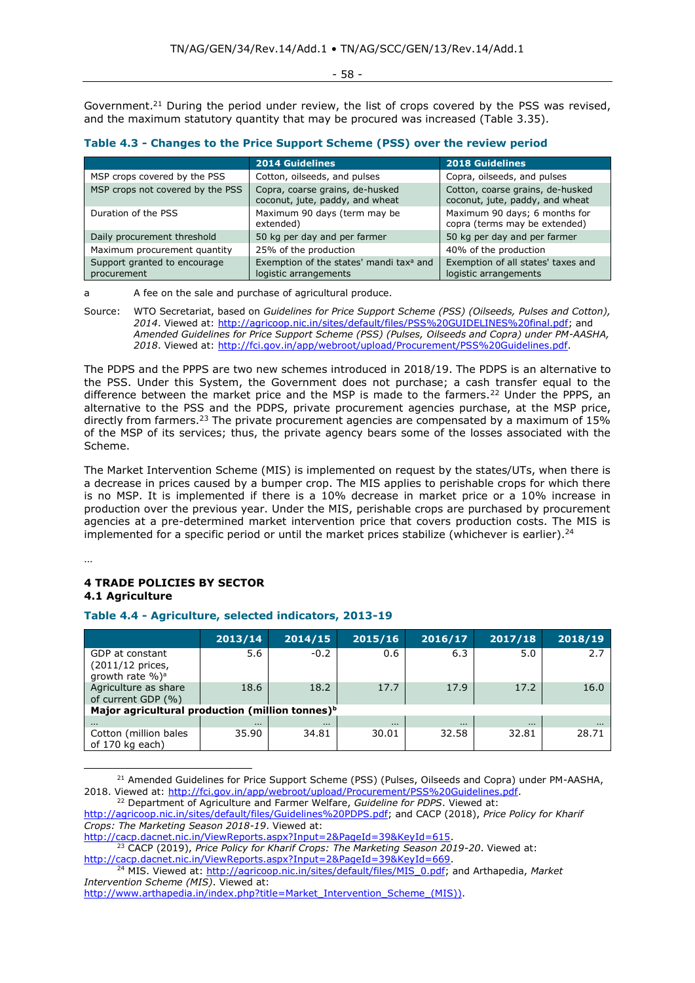- 58 -

Government.<sup>21</sup> During the period under review, the list of crops covered by the PSS was revised, and the maximum statutory quantity that may be procured was increased (Table 3.35).

|  |  |  | Table 4.3 - Changes to the Price Support Scheme (PSS) over the review period |
|--|--|--|------------------------------------------------------------------------------|
|--|--|--|------------------------------------------------------------------------------|

|                                             | <b>2014 Guidelines</b>                                                       | <b>2018 Guidelines</b>                                              |
|---------------------------------------------|------------------------------------------------------------------------------|---------------------------------------------------------------------|
| MSP crops covered by the PSS                | Cotton, oilseeds, and pulses                                                 | Copra, oilseeds, and pulses                                         |
| MSP crops not covered by the PSS            | Copra, coarse grains, de-husked<br>coconut, jute, paddy, and wheat           | Cotton, coarse grains, de-husked<br>coconut, jute, paddy, and wheat |
| Duration of the PSS                         | Maximum 90 days (term may be<br>extended)                                    | Maximum 90 days; 6 months for<br>copra (terms may be extended)      |
| Daily procurement threshold                 | 50 kg per day and per farmer                                                 | 50 kg per day and per farmer                                        |
| Maximum procurement quantity                | 25% of the production                                                        | 40% of the production                                               |
| Support granted to encourage<br>procurement | Exemption of the states' mandi tax <sup>a</sup> and<br>logistic arrangements | Exemption of all states' taxes and<br>logistic arrangements         |

a A fee on the sale and purchase of agricultural produce.

Source: WTO Secretariat, based on *Guidelines for Price Support Scheme (PSS) (Oilseeds, Pulses and Cotton), 2014*. Viewed at: [http://agricoop.nic.in/sites/default/files/PSS%20GUIDELINES%20final.pdf;](http://agricoop.nic.in/sites/default/files/PSS%20GUIDELINES%20final.pdf) and *Amended Guidelines for Price Support Scheme (PSS) (Pulses, Oilseeds and Copra) under PM-AASHA, 2018*. Viewed at: [http://fci.gov.in/app/webroot/upload/Procurement/PSS%20Guidelines.pdf.](http://fci.gov.in/app/webroot/upload/Procurement/PSS%20Guidelines.pdf)

The PDPS and the PPPS are two new schemes introduced in 2018/19. The PDPS is an alternative to the PSS. Under this System, the Government does not purchase; a cash transfer equal to the difference between the market price and the MSP is made to the farmers.<sup>22</sup> Under the PPPS, an alternative to the PSS and the PDPS, private procurement agencies purchase, at the MSP price, directly from farmers.<sup>23</sup> The private procurement agencies are compensated by a maximum of 15% of the MSP of its services; thus, the private agency bears some of the losses associated with the Scheme.

The Market Intervention Scheme (MIS) is implemented on request by the states/UTs, when there is a decrease in prices caused by a bumper crop. The MIS applies to perishable crops for which there is no MSP. It is implemented if there is a 10% decrease in market price or a 10% increase in production over the previous year. Under the MIS, perishable crops are purchased by procurement agencies at a pre-determined market intervention price that covers production costs. The MIS is implemented for a specific period or until the market prices stabilize (whichever is earlier).<sup>24</sup>

…

## **4 TRADE POLICIES BY SECTOR 4.1 Agriculture**

# **Table 4.4 - Agriculture, selected indicators, 2013-19**

|                                                                      | 2013/14  | 2014/15  | 2015/16  | 2016/17  | 2017/18  | 2018/19  |
|----------------------------------------------------------------------|----------|----------|----------|----------|----------|----------|
| GDP at constant<br>(2011/12 prices,<br>growth rate $\%$ <sup>a</sup> | 5.6      | $-0.2$   | 0.6      | 6.3      | 5.0      | 2.7      |
| Agriculture as share<br>of current GDP (%)                           | 18.6     | 18.2     | 17.7     | 17.9     | 17.2     | 16.0     |
| Major agricultural production (million tonnes) <sup>b</sup>          |          |          |          |          |          |          |
| $\cdots$                                                             | $\cdots$ | $\cdots$ | $\cdots$ | $\cdots$ | $\cdots$ | $\cdots$ |
| Cotton (million bales<br>of 170 kg each)                             | 35.90    | 34.81    | 30.01    | 32.58    | 32.81    | 28.71    |

<sup>&</sup>lt;sup>21</sup> Amended Guidelines for Price Support Scheme (PSS) (Pulses, Oilseeds and Copra) under PM-AASHA, 2018. Viewed at: [http://fci.gov.in/app/webroot/upload/Procurement/PSS%20Guidelines.pdf.](http://fci.gov.in/app/webroot/upload/Procurement/PSS%20Guidelines.pdf)

*Crops: The Marketing Season 2018-19*. Viewed at:

[http://cacp.dacnet.nic.in/ViewReports.aspx?Input=2&PageId=39&KeyId=615.](http://cacp.dacnet.nic.in/ViewReports.aspx?Input=2&PageId=39&KeyId=615)

<sup>23</sup> CACP (2019), *Price Policy for Kharif Crops: The Marketing Season 2019-20*. Viewed at: [http://cacp.dacnet.nic.in/ViewReports.aspx?Input=2&PageId=39&KeyId=669.](http://cacp.dacnet.nic.in/ViewReports.aspx?Input=2&PageId=39&KeyId=669)

<sup>22</sup> Department of Agriculture and Farmer Welfare, *Guideline for PDPS*. Viewed at: [http://agricoop.nic.in/sites/default/files/Guidelines%20PDPS.pdf;](http://agricoop.nic.in/sites/default/files/Guidelines%20PDPS.pdf) and CACP (2018), *Price Policy for Kharif* 

<sup>24</sup> MIS. Viewed at: [http://agricoop.nic.in/sites/default/files/MIS\\_0.pdf;](http://agricoop.nic.in/sites/default/files/MIS_0.pdf) and Arthapedia, *Market Intervention Scheme (MIS)*. Viewed at:

[http://www.arthapedia.in/index.php?title=Market\\_Intervention\\_Scheme\\_\(MIS\)\)](http://www.arthapedia.in/index.php?title=Market_Intervention_Scheme_(MIS)).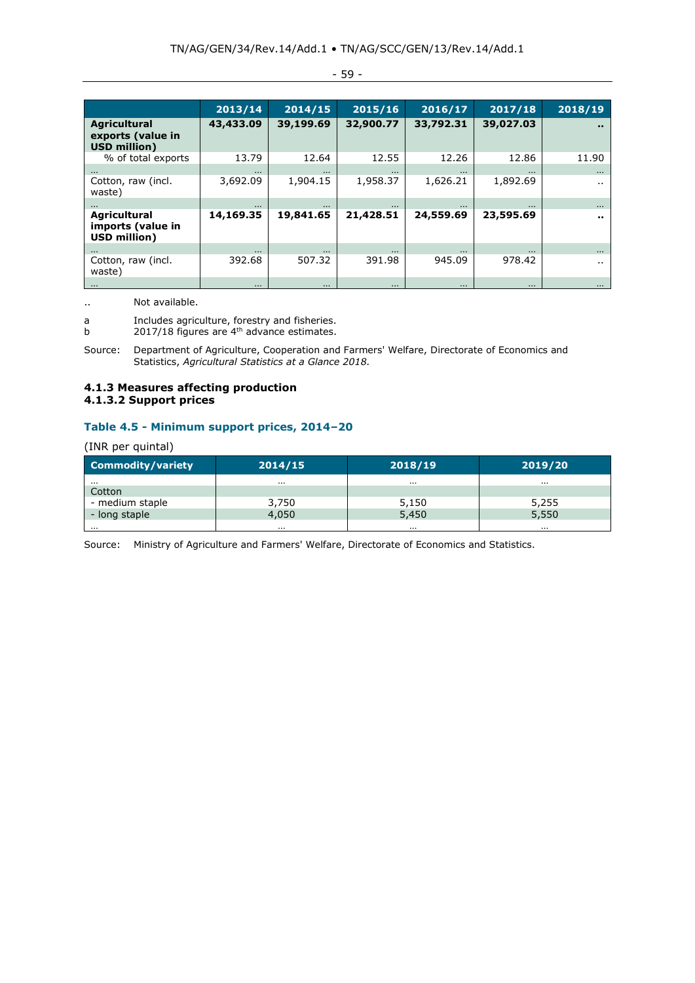|                                                                 | 2013/14   | 2014/15   | 2015/16   | 2016/17   | 2017/18   | 2018/19        |
|-----------------------------------------------------------------|-----------|-----------|-----------|-----------|-----------|----------------|
| Agricultural<br>exports (value in<br><b>USD million)</b>        | 43,433.09 | 39,199.69 | 32,900.77 | 33,792.31 | 39,027.03 | $\blacksquare$ |
| % of total exports                                              | 13.79     | 12.64     | 12.55     | 12.26     | 12.86     | 11.90          |
| $\cdots$                                                        | $\cdots$  | $\cdots$  | $\cdots$  | $\cdots$  | $\cdots$  | $\cdots$       |
| Cotton, raw (incl.<br>waste)                                    | 3,692.09  | 1,904.15  | 1,958.37  | 1,626.21  | 1,892.69  | $\sim$         |
|                                                                 | $\cdots$  | $\cdots$  | $\cdots$  | $\cdots$  |           | $\cdots$       |
| <b>Agricultural</b><br>imports (value in<br><b>USD million)</b> | 14,169.35 | 19,841.65 | 21,428.51 | 24,559.69 | 23,595.69 | <b>A</b> 10    |
| $\cdots$                                                        | $\cdots$  | $\cdots$  | $\cdots$  | $\cdots$  | $\cdots$  | $\cdots$       |
| Cotton, raw (incl.<br>waste)                                    | 392.68    | 507.32    | 391.98    | 945.09    | 978.42    | $\sim$         |
| $\cdots$                                                        | $\cdots$  | $\cdots$  | $\cdots$  | $\cdots$  | $\cdots$  | $\cdots$       |

- 59 -

.. Not available.

a Includes agriculture, forestry and fisheries.

b 2017/18 figures are  $4<sup>th</sup>$  advance estimates.

Source: Department of Agriculture, Cooperation and Farmers' Welfare, Directorate of Economics and Statistics, *Agricultural Statistics at a Glance 2018.*

# **4.1.3 Measures affecting production 4.1.3.2 Support prices**

# **Table 4.5 - Minimum support prices, 2014–20**

## (INR per quintal)

| Commodity/variety | 2014/15  | 2018/19  | 2019/20  |
|-------------------|----------|----------|----------|
| .                 | .        | .        | .        |
| Cotton            |          |          |          |
| - medium staple   | 3,750    | 5,150    | 5,255    |
| - long staple     | 4,050    | 5,450    | 5,550    |
|                   | $\cdots$ | $\cdots$ | $\cdots$ |

Source: Ministry of Agriculture and Farmers' Welfare, Directorate of Economics and Statistics.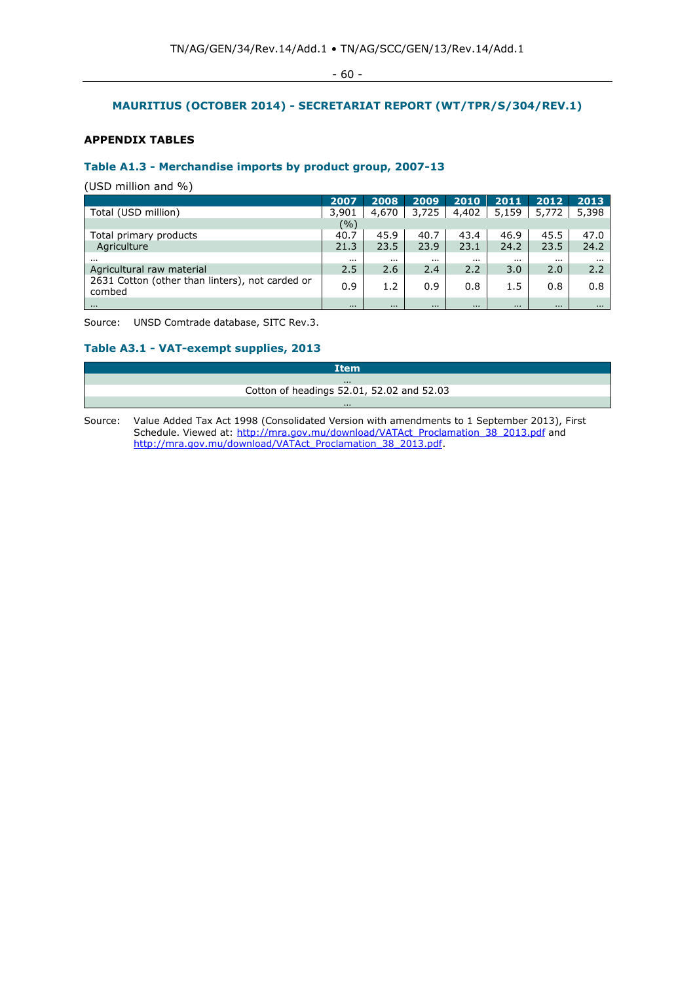- 60 -

# **MAURITIUS (OCTOBER 2014) - SECRETARIAT REPORT (WT/TPR/S/304/REV.1)**

# **APPENDIX TABLES**

# **Table A1.3 - Merchandise imports by product group, 2007-13**

(USD million and %)

|                                                           | 2007     | 2008     | 2009     | 2010     | 2011     | 2012     | 2013     |
|-----------------------------------------------------------|----------|----------|----------|----------|----------|----------|----------|
| Total (USD million)                                       | 3,901    | 4,670    | 3,725    | 4,402    | 5,159    | 5,772    | 5,398    |
|                                                           | (%)      |          |          |          |          |          |          |
| Total primary products                                    | 40.7     | 45.9     | 40.7     | 43.4     | 46.9     | 45.5     | 47.0     |
| Agriculture                                               | 21.3     | 23.5     | 23.9     | 23.1     | 24.2     | 23.5     | 24.2     |
| $\cdots$                                                  | $\cdots$ |          |          | $\cdots$ | $\cdots$ |          | $\cdots$ |
| Agricultural raw material                                 | 2.5      | 2.6      | 2.4      | 2.2      | 3.0      | 2.0      | 2.2      |
| 2631 Cotton (other than linters), not carded or<br>combed | 0.9      | 1.2      | 0.9      | 0.8      | 1.5      | 0.8      | 0.8      |
| $\cdots$                                                  | $\cdots$ | $\cdots$ | $\cdots$ | $\cdots$ | $\cdots$ | $\cdots$ | $\cdots$ |

Source: UNSD Comtrade database, SITC Rev.3.

# **Table A3.1 - VAT-exempt supplies, 2013**

| <b>Item</b>                                                                                       |
|---------------------------------------------------------------------------------------------------|
| $\cdots$                                                                                          |
| Cotton of headings 52.01, 52.02 and 52.03                                                         |
| $\cdots$                                                                                          |
| Coursey Unlus Added Tay Act 1000 (Canselidated Version with amondments to 1 Contempor 2012) First |

Source: Value Added Tax Act 1998 (Consolidated Version with amendments to 1 September 2013), First Schedule. Viewed at[: http://mra.gov.mu/download/VATAct\\_Proclamation\\_38\\_2013.pdf](http://mra.gov.mu/download/VATAct_Proclamation_38_2013.pdf) and [http://mra.gov.mu/download/VATAct\\_Proclamation\\_38\\_2013.pdf.](http://mra.gov.mu/download/VATAct_Proclamation_38_2013.pdf)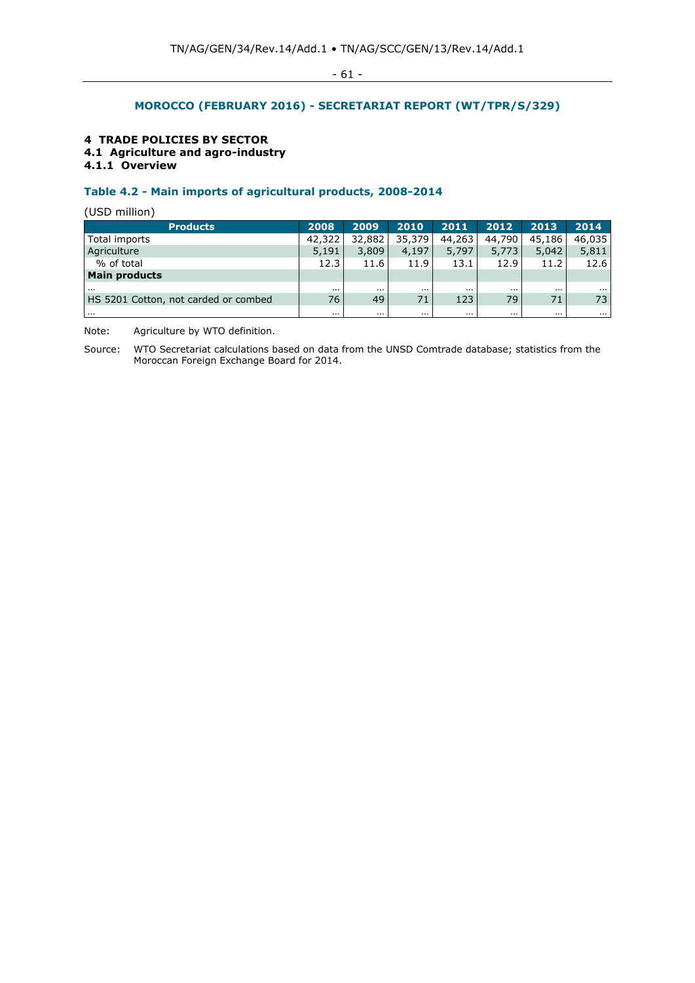# **MOROCCO (FEBRUARY 2016) - SECRETARIAT REPORT (WT/TPR/S/329)**

# **4 TRADE POLICIES BY SECTOR**

**4.1 Agriculture and agro-industry**

# **4.1.1 Overview**

# **Table 4.2 - Main imports of agricultural products, 2008-2014**

(USD million)

| <b>Products</b>                      | 2008     | 2009     | 2010     | 2011     | 2012     | 2013     | 2014     |
|--------------------------------------|----------|----------|----------|----------|----------|----------|----------|
| Total imports                        | 42,322   | 32,882   | 35,379   | 44,263   | 44,790   | 45,186   | 46,035   |
| Agriculture                          | 5,191    | 3,809    | 4,197    | 5,797    | 5,773    | 5,042    | 5,811    |
| % of total                           | 12.3     | 11.6     | 11.9     | 13.1     | 12.9     | 11.2     | 12.6     |
| <b>Main products</b>                 |          |          |          |          |          |          |          |
| $\cdots$                             | $\cdots$ | $\cdots$ | $\cdots$ |          | $\cdots$ | $\cdots$ | $\cdots$ |
| HS 5201 Cotton, not carded or combed | 76       | 49       | 71       | 123      | 79       | 71       | 73       |
| $\cdots$                             | $\cdots$ | $\cdots$ | $\cdots$ | $\cdots$ | $\cdots$ | $\cdots$ | $\cdots$ |

Note: Agriculture by WTO definition.

Source: WTO Secretariat calculations based on data from the UNSD Comtrade database; statistics from the Moroccan Foreign Exchange Board for 2014.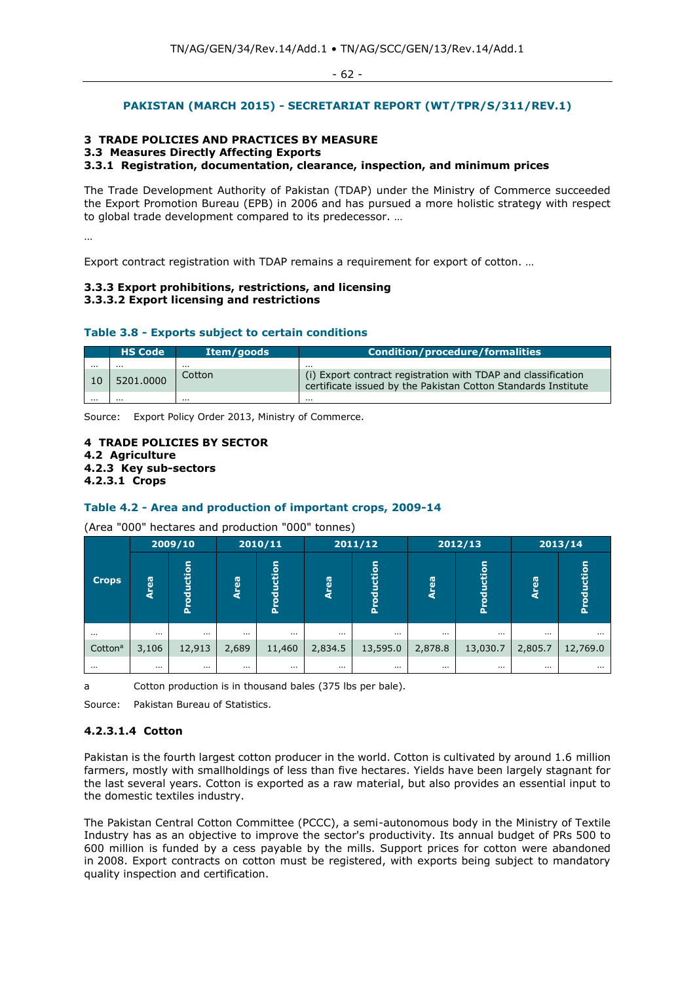# **PAKISTAN (MARCH 2015) - SECRETARIAT REPORT (WT/TPR/S/311/REV.1)**

## **3 TRADE POLICIES AND PRACTICES BY MEASURE**

## **3.3 Measures Directly Affecting Exports**

**3.3.1 Registration, documentation, clearance, inspection, and minimum prices** 

The Trade Development Authority of Pakistan (TDAP) under the Ministry of Commerce succeeded the Export Promotion Bureau (EPB) in 2006 and has pursued a more holistic strategy with respect to global trade development compared to its predecessor. …

…

Export contract registration with TDAP remains a requirement for export of cotton. …

#### **3.3.3 Export prohibitions, restrictions, and licensing 3.3.3.2 Export licensing and restrictions**

# **Table 3.8 - Exports subject to certain conditions**

|          | <b>HS Code</b> | Item/goods | <b>Condition/procedure/formalities</b>                                                                                         |
|----------|----------------|------------|--------------------------------------------------------------------------------------------------------------------------------|
| $\cdots$ | $\cdots$       |            | $\cdots$                                                                                                                       |
| ١O       | 5201.0000      | Cotton     | (i) Export contract registration with TDAP and classification<br>certificate issued by the Pakistan Cotton Standards Institute |
| $\cdots$ | $\cdots$       | $\cdots$   | $\cdots$                                                                                                                       |

Source: Export Policy Order 2013, Ministry of Commerce.

# **4 TRADE POLICIES BY SECTOR 4.2 Agriculture**

- **4.2.3 Key sub-sectors**
- **4.2.3.1 Crops**

# **Table 4.2 - Area and production of important crops, 2009-14**

(Area "000" hectares and production "000" tonnes)

|                     |             | 2009/10    |          | 2010/11       | 2011/12  |            | 2012/13  |            | 2013/14  |               |
|---------------------|-------------|------------|----------|---------------|----------|------------|----------|------------|----------|---------------|
| <b>Crops</b>        | <b>Area</b> | Production | Area     | oduction<br>՟ | 69<br>ă  | Production | 69<br>ā  | Production | Area     | oduction<br>ă |
| $\cdots$            | $\cdots$    | $\cdots$   | $\cdots$ | $\cdots$      | $\cdots$ | $\cdots$   | $\cdots$ | $\cdots$   | $\cdots$ | $\cdots$      |
| Cotton <sup>a</sup> | 3,106       | 12,913     | 2,689    | 11,460        | 2,834.5  | 13,595.0   | 2,878.8  | 13,030.7   | 2,805.7  | 12,769.0      |
| $\cdots$            | $\cdots$    | $\cdots$   | $\cdots$ | $\cdots$      | $\cdots$ | $\cdots$   | $\cdots$ | $\cdots$   | $\cdots$ | $\cdots$      |

a Cotton production is in thousand bales (375 lbs per bale).

Source: Pakistan Bureau of Statistics.

#### **4.2.3.1.4 Cotton**

Pakistan is the fourth largest cotton producer in the world. Cotton is cultivated by around 1.6 million farmers, mostly with smallholdings of less than five hectares. Yields have been largely stagnant for the last several years. Cotton is exported as a raw material, but also provides an essential input to the domestic textiles industry.

The Pakistan Central Cotton Committee (PCCC), a semi-autonomous body in the Ministry of Textile Industry has as an objective to improve the sector's productivity. Its annual budget of PRs 500 to 600 million is funded by a cess payable by the mills. Support prices for cotton were abandoned in 2008. Export contracts on cotton must be registered, with exports being subject to mandatory quality inspection and certification.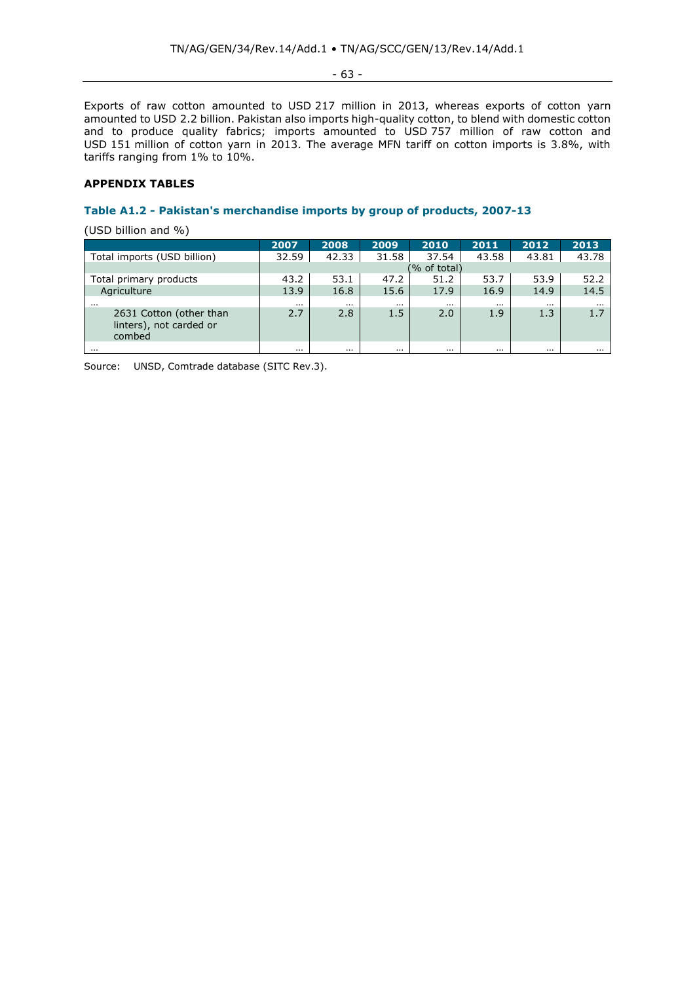- 63 -

Exports of raw cotton amounted to USD 217 million in 2013, whereas exports of cotton yarn amounted to USD 2.2 billion. Pakistan also imports high-quality cotton, to blend with domestic cotton and to produce quality fabrics; imports amounted to USD 757 million of raw cotton and USD 151 million of cotton yarn in 2013. The average MFN tariff on cotton imports is 3.8%, with tariffs ranging from 1% to 10%.

## **APPENDIX TABLES**

# **Table A1.2 - Pakistan's merchandise imports by group of products, 2007-13**

(USD billion and %)

|                                                              | 2007     | 2008     | 2009     | 2010         | 2011     | 2012     | 2013     |
|--------------------------------------------------------------|----------|----------|----------|--------------|----------|----------|----------|
| Total imports (USD billion)                                  | 32.59    | 42.33    | 31.58    | 37.54        | 43.58    | 43.81    | 43.78    |
|                                                              |          |          |          | (% of total) |          |          |          |
| Total primary products                                       | 43.2     | 53.1     | 47.2     | 51.2         | 53.7     | 53.9     | 52.2     |
| Agriculture                                                  | 13.9     | 16.8     | 15.6     | 17.9         | 16.9     | 14.9     | 14.5     |
| $\cdots$                                                     | $\cdots$ | $\cdots$ | $\cdots$ | $\cdots$     | $\cdots$ | $\cdots$ | $\cdots$ |
| 2631 Cotton (other than<br>linters), not carded or<br>combed | 2.7      | 2.8      | 1.5      | 2.0          | 1.9      | 1.3      | 1.7      |
|                                                              | $\cdots$ | $\cdots$ | $\cdots$ | $\cdots$     |          | $\cdots$ | $\cdots$ |

Source: UNSD, Comtrade database (SITC Rev.3).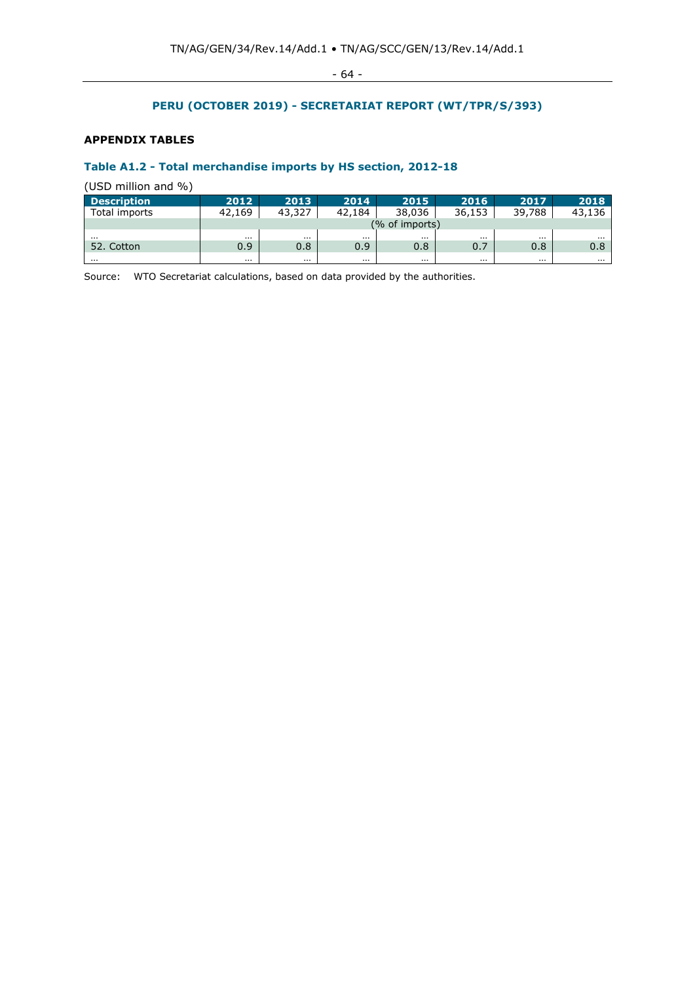- 64 -

# **PERU (OCTOBER 2019) - SECRETARIAT REPORT (WT/TPR/S/393)**

# **APPENDIX TABLES**

# **Table A1.2 - Total merchandise imports by HS section, 2012-18**

(USD million and %)

| <b>Description</b> | 2012           | 2013   | 2014   | 2015     | 2016     | 2017   | 2018   |  |
|--------------------|----------------|--------|--------|----------|----------|--------|--------|--|
| Total imports      | 42.169         | 43,327 | 42,184 | 38,036   | 36,153   | 39,788 | 43,136 |  |
|                    | (% of imports) |        |        |          |          |        |        |  |
|                    | $\cdots$       |        |        |          |          | .      |        |  |
| 52.<br>Cotton      | 0.9            | 0.8    | 0.9    | 0.8      | 0.7      | 0.8    | 0.8    |  |
| .                  | $\cdots$       |        |        | $\cdots$ | $\cdots$ | .      |        |  |

Source: WTO Secretariat calculations, based on data provided by the authorities.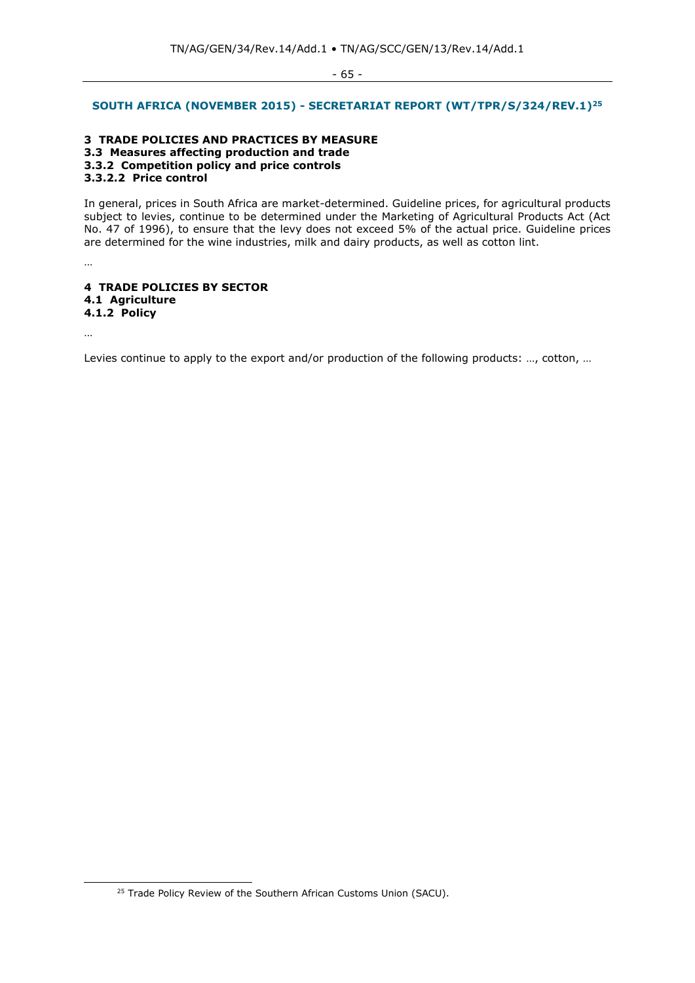- 65 -

#### **SOUTH AFRICA (NOVEMBER 2015) - SECRETARIAT REPORT (WT/TPR/S/324/REV.1) 25**

#### **3 TRADE POLICIES AND PRACTICES BY MEASURE 3.3 Measures affecting production and trade 3.3.2 Competition policy and price controls 3.3.2.2 Price control**

In general, prices in South Africa are market-determined. Guideline prices, for agricultural products subject to levies, continue to be determined under the Marketing of Agricultural Products Act (Act No. 47 of 1996), to ensure that the levy does not exceed 5% of the actual price. Guideline prices are determined for the wine industries, milk and dairy products, as well as cotton lint.

# **4 TRADE POLICIES BY SECTOR 4.1 Agriculture 4.1.2 Policy**

…

…

Levies continue to apply to the export and/or production of the following products: ..., cotton, ...

<sup>&</sup>lt;sup>25</sup> Trade Policy Review of the Southern African Customs Union (SACU).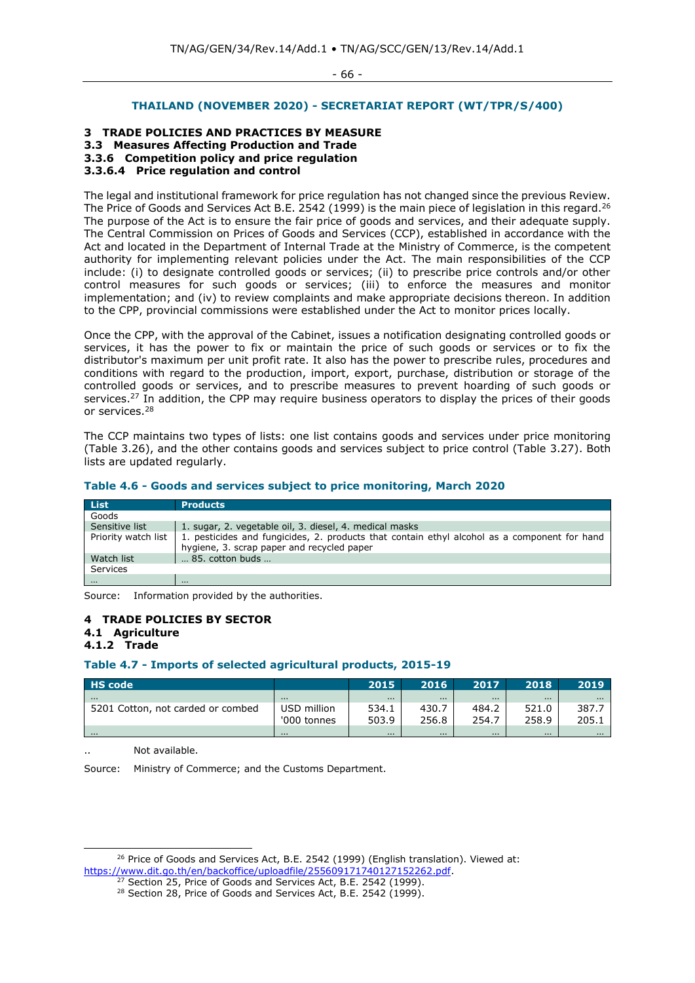- 66 -

## **THAILAND (NOVEMBER 2020) - SECRETARIAT REPORT (WT/TPR/S/400)**

## **3 TRADE POLICIES AND PRACTICES BY MEASURE**

# **3.3 Measures Affecting Production and Trade**

# **3.3.6 Competition policy and price regulation**

## **3.3.6.4 Price regulation and control**

The legal and institutional framework for price regulation has not changed since the previous Review. The Price of Goods and Services Act B.E. 2542 (1999) is the main piece of legislation in this regard.<sup>26</sup> The purpose of the Act is to ensure the fair price of goods and services, and their adequate supply. The Central Commission on Prices of Goods and Services (CCP), established in accordance with the Act and located in the Department of Internal Trade at the Ministry of Commerce, is the competent authority for implementing relevant policies under the Act. The main responsibilities of the CCP include: (i) to designate controlled goods or services; (ii) to prescribe price controls and/or other control measures for such goods or services; (iii) to enforce the measures and monitor implementation; and (iv) to review complaints and make appropriate decisions thereon. In addition to the CPP, provincial commissions were established under the Act to monitor prices locally.

Once the CPP, with the approval of the Cabinet, issues a notification designating controlled goods or services, it has the power to fix or maintain the price of such goods or services or to fix the distributor's maximum per unit profit rate. It also has the power to prescribe rules, procedures and conditions with regard to the production, import, export, purchase, distribution or storage of the controlled goods or services, and to prescribe measures to prevent hoarding of such goods or services.<sup>27</sup> In addition, the CPP may require business operators to display the prices of their goods or services.<sup>28</sup>

The CCP maintains two types of lists: one list contains goods and services under price monitoring (Table 3.26), and the other contains goods and services subject to price control (Table 3.27). Both lists are updated regularly.

#### **Table 4.6 - Goods and services subject to price monitoring, March 2020**

| List                | <b>Products</b>                                                                                                                            |
|---------------------|--------------------------------------------------------------------------------------------------------------------------------------------|
| Goods               |                                                                                                                                            |
| Sensitive list      | 1. sugar, 2. vegetable oil, 3. diesel, 4. medical masks                                                                                    |
| Priority watch list | 1. pesticides and fungicides, 2. products that contain ethyl alcohol as a component for hand<br>hygiene, 3. scrap paper and recycled paper |
| Watch list          | 85. cotton buds                                                                                                                            |
| Services            |                                                                                                                                            |
| $\cdots$            | $\cdots$                                                                                                                                   |

Source: Information provided by the authorities.

# **4 TRADE POLICIES BY SECTOR**

#### **4.1 Agriculture 4.1.2 Trade**

# **Table 4.7 - Imports of selected agricultural products, 2015-19**

| <b>HS</b> code                    |             | 2015     | 2016  | 2017     | 2018     | 2019     |
|-----------------------------------|-------------|----------|-------|----------|----------|----------|
| $\cdots$                          | $\cdots$    | $\cdots$ | .     | $\cdots$ | $\cdots$ | $\cdots$ |
| 5201 Cotton, not carded or combed | USD million | 534.1    | 430.7 | 484.2    | 521.0    | 387.     |
|                                   | '000 tonnes | 503.9    | 256.8 | 254.7    | 258.9    | 205.1    |
| .                                 | $\cdots$    | $\cdots$ | .     | $\cdots$ | $\cdots$ | $\cdots$ |

Not available.

Source: Ministry of Commerce; and the Customs Department.

<sup>&</sup>lt;sup>26</sup> Price of Goods and Services Act, B.E. 2542 (1999) (English translation). Viewed at: [https://www.dit.go.th/en/backoffice/uploadfile/255609171740127152262.pdf.](https://www.dit.go.th/en/backoffice/uploadfile/255609171740127152262.pdf)

<sup>&</sup>lt;sup>27</sup> Section 25, Price of Goods and Services Act, B.E. 2542 (1999).

<sup>&</sup>lt;sup>28</sup> Section 28, Price of Goods and Services Act, B.E. 2542 (1999).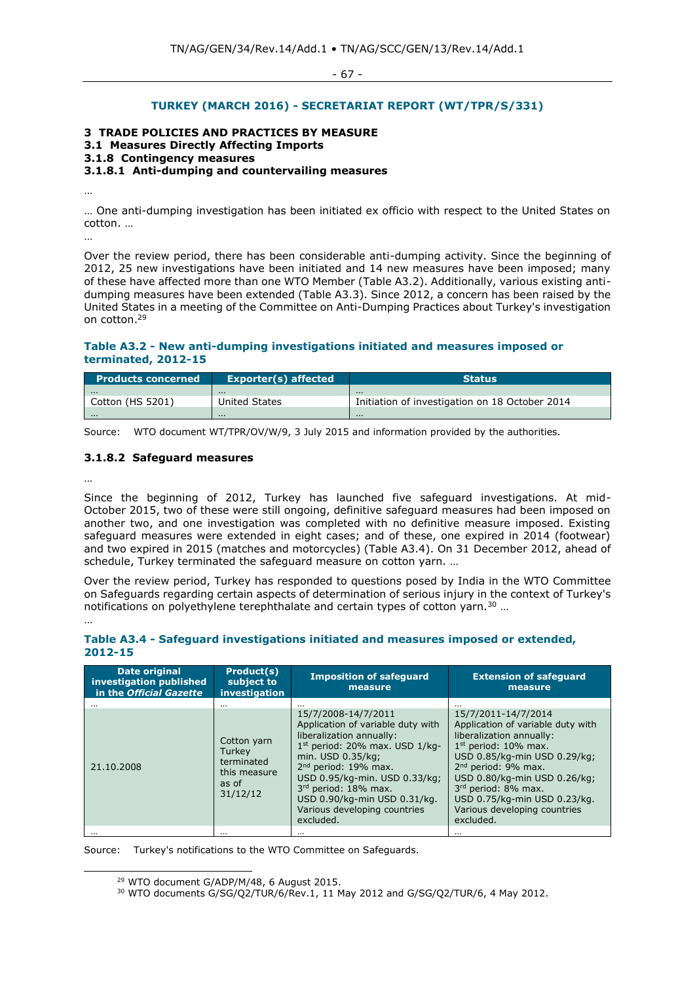- 67 -

# **TURKEY (MARCH 2016) - SECRETARIAT REPORT (WT/TPR/S/331)**

# **3 TRADE POLICIES AND PRACTICES BY MEASURE**

# **3.1 Measures Directly Affecting Imports**

## **3.1.8 Contingency measures**

# **3.1.8.1 Anti-dumping and countervailing measures**

… One anti-dumping investigation has been initiated ex officio with respect to the United States on cotton. …

…

…

Over the review period, there has been considerable anti-dumping activity. Since the beginning of 2012, 25 new investigations have been initiated and 14 new measures have been imposed; many of these have affected more than one WTO Member (Table A3.2). Additionally, various existing antidumping measures have been extended (Table A3.3). Since 2012, a concern has been raised by the United States in a meeting of the Committee on Anti-Dumping Practices about Turkey's investigation on cotton.<sup>29</sup>

# **Table A3.2 - New anti-dumping investigations initiated and measures imposed or terminated, 2012-15**

| Products concerned | Exporter(s) affected | <b>Status</b>                                  |
|--------------------|----------------------|------------------------------------------------|
| $\cdots$           | $\cdots$             | $\cdots$                                       |
| Cotton (HS 5201)   | United States        | Initiation of investigation on 18 October 2014 |
| $\cdots$           | $\cdots$             | $\cdots$                                       |

Source: WTO document WT/TPR/OV/W/9, 3 July 2015 and information provided by the authorities.

## **3.1.8.2 Safeguard measures**

…

Since the beginning of 2012, Turkey has launched five safeguard investigations. At mid-October 2015, two of these were still ongoing, definitive safeguard measures had been imposed on another two, and one investigation was completed with no definitive measure imposed. Existing safeguard measures were extended in eight cases; and of these, one expired in 2014 (footwear) and two expired in 2015 (matches and motorcycles) (Table A3.4). On 31 December 2012, ahead of schedule, Turkey terminated the safeguard measure on cotton yarn. …

Over the review period, Turkey has responded to questions posed by India in the WTO Committee on Safeguards regarding certain aspects of determination of serious injury in the context of Turkey's notifications on polyethylene terephthalate and certain types of cotton yarn.<sup>30</sup> ... …

# **Table A3.4 - Safeguard investigations initiated and measures imposed or extended, 2012-15**

| <b>Date original</b><br>investigation published<br>in the Official Gazette | Product(s)<br>subject to<br>investigation                                       | <b>Imposition of safeguard</b><br>measure                                                                                                                                                                                                                                                                                 | <b>Extension of safeguard</b><br>measure                                                                                                                                                                                                                                                                    |
|----------------------------------------------------------------------------|---------------------------------------------------------------------------------|---------------------------------------------------------------------------------------------------------------------------------------------------------------------------------------------------------------------------------------------------------------------------------------------------------------------------|-------------------------------------------------------------------------------------------------------------------------------------------------------------------------------------------------------------------------------------------------------------------------------------------------------------|
|                                                                            |                                                                                 |                                                                                                                                                                                                                                                                                                                           |                                                                                                                                                                                                                                                                                                             |
| 21.10.2008                                                                 | Cotton yarn<br><b>Turkev</b><br>terminated<br>this measure<br>as of<br>31/12/12 | 15/7/2008-14/7/2011<br>Application of variable duty with<br>liberalization annually:<br>$1st$ period: 20% max. USD $1/kg-$<br>min. USD 0.35/kg;<br>2 <sup>nd</sup> period: 19% max.<br>USD 0.95/kg-min. USD 0.33/kg;<br>3rd period: 18% max.<br>USD 0.90/kg-min USD 0.31/kg.<br>Various developing countries<br>excluded. | 15/7/2011-14/7/2014<br>Application of variable duty with<br>liberalization annually:<br>$1st$ period: 10% max.<br>USD 0.85/kg-min USD 0.29/kg;<br>$2nd$ period: 9% max.<br>USD 0.80/kg-min USD 0.26/kg;<br>3rd period: 8% max.<br>USD 0.75/kg-min USD 0.23/kg.<br>Various developing countries<br>excluded. |
| $\cdots$                                                                   | $\cdots$                                                                        | $\cdots$                                                                                                                                                                                                                                                                                                                  | $\cdots$                                                                                                                                                                                                                                                                                                    |

Source: Turkey's notifications to the WTO Committee on Safeguards.

<sup>29</sup> WTO document G/ADP/M/48, 6 August 2015.

<sup>&</sup>lt;sup>30</sup> WTO documents G/SG/Q2/TUR/6/Rev.1, 11 May 2012 and G/SG/Q2/TUR/6, 4 May 2012.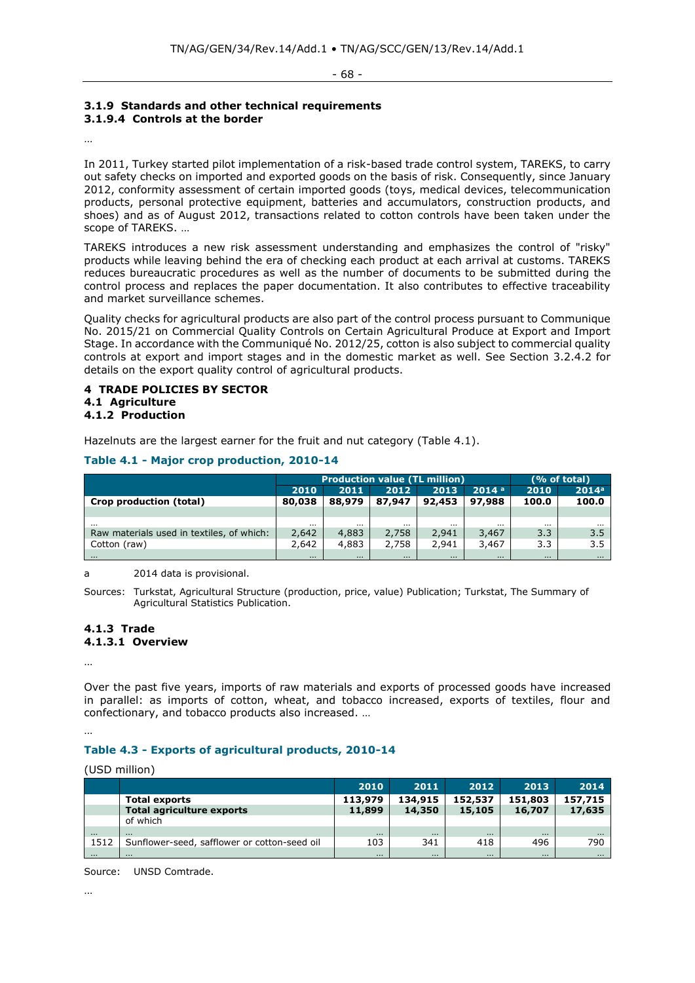## **3.1.9 Standards and other technical requirements 3.1.9.4 Controls at the border**

…

In 2011, Turkey started pilot implementation of a risk-based trade control system, TAREKS, to carry out safety checks on imported and exported goods on the basis of risk. Consequently, since January 2012, conformity assessment of certain imported goods (toys, medical devices, telecommunication products, personal protective equipment, batteries and accumulators, construction products, and shoes) and as of August 2012, transactions related to cotton controls have been taken under the scope of TAREKS. …

TAREKS introduces a new risk assessment understanding and emphasizes the control of "risky" products while leaving behind the era of checking each product at each arrival at customs. TAREKS reduces bureaucratic procedures as well as the number of documents to be submitted during the control process and replaces the paper documentation. It also contributes to effective traceability and market surveillance schemes.

Quality checks for agricultural products are also part of the control process pursuant to Communique No. 2015/21 on Commercial Quality Controls on Certain Agricultural Produce at Export and Import Stage. In accordance with the Communiqué No. 2012/25, cotton is also subject to commercial quality controls at export and import stages and in the domestic market as well. See Section 3.2.4.2 for details on the export quality control of agricultural products.

# **4 TRADE POLICIES BY SECTOR 4.1 Agriculture 4.1.2 Production**

Hazelnuts are the largest earner for the fruit and nut category (Table 4.1).

# **Table 4.1 - Major crop production, 2010-14**

|                                           | <b>Production value (TL million)</b> |          |          |          |                   | (% of total) |                   |  |
|-------------------------------------------|--------------------------------------|----------|----------|----------|-------------------|--------------|-------------------|--|
|                                           | 2010                                 | 2011     | 2012     | 2013     | 2014 <sup>a</sup> | 2010         | 2014 <sup>a</sup> |  |
| Crop production (total)                   | 80,038                               | 88,979   | 87,947   | 92,453   | 97,988            | 100.0        | 100.0             |  |
|                                           |                                      |          |          |          |                   |              |                   |  |
| $\cdots$                                  | $\cdots$                             | $\cdots$ | $\cdots$ | $\cdots$ | $\cdots$          |              | $\cdots$          |  |
| Raw materials used in textiles, of which: | 2,642                                | 4,883    | 2,758    | 2,941    | 3,467             | 3.3          | 3.5               |  |
| Cotton (raw)                              | 2,642                                | 4,883    | 2,758    | 2,941    | 3,467             | 3.3          | 3.5               |  |
| $\cdots$                                  | $\cdots$                             | $\cdots$ | $\cdots$ | $\cdots$ | $\cdots$          | $\cdots$     | $\cdots$          |  |

a 2014 data is provisional.

Sources: Turkstat, Agricultural Structure (production, price, value) Publication; Turkstat, The Summary of Agricultural Statistics Publication.

## **4.1.3 Trade 4.1.3.1 Overview**

…

Over the past five years, imports of raw materials and exports of processed goods have increased in parallel: as imports of cotton, wheat, and tobacco increased, exports of textiles, flour and confectionary, and tobacco products also increased. …

…

# **Table 4.3 - Exports of agricultural products, 2010-14**

(USD million)

|          |                                              | 2010     | 2011     | 2012     | 2013     | 2014     |
|----------|----------------------------------------------|----------|----------|----------|----------|----------|
|          | <b>Total exports</b>                         | 113,979  | 134,915  | 152,537  | 151,803  | 157,715  |
|          | <b>Total agriculture exports</b>             | 11,899   | 14,350   | 15,105   | 16,707   | 17,635   |
|          | of which                                     |          |          |          |          |          |
| $\cdots$ | $\cdots$                                     | $\cdots$ | $\cdots$ | $\cdots$ | $\cdots$ | $\cdots$ |
| 1512     | Sunflower-seed, safflower or cotton-seed oil | 103      | 341      | 418      | 496      | 790      |
| $\cdots$ | $\cdots$                                     | $\cdots$ | $\cdots$ | $\cdots$ | $\cdots$ | $\cdots$ |

Source: UNSD Comtrade.

…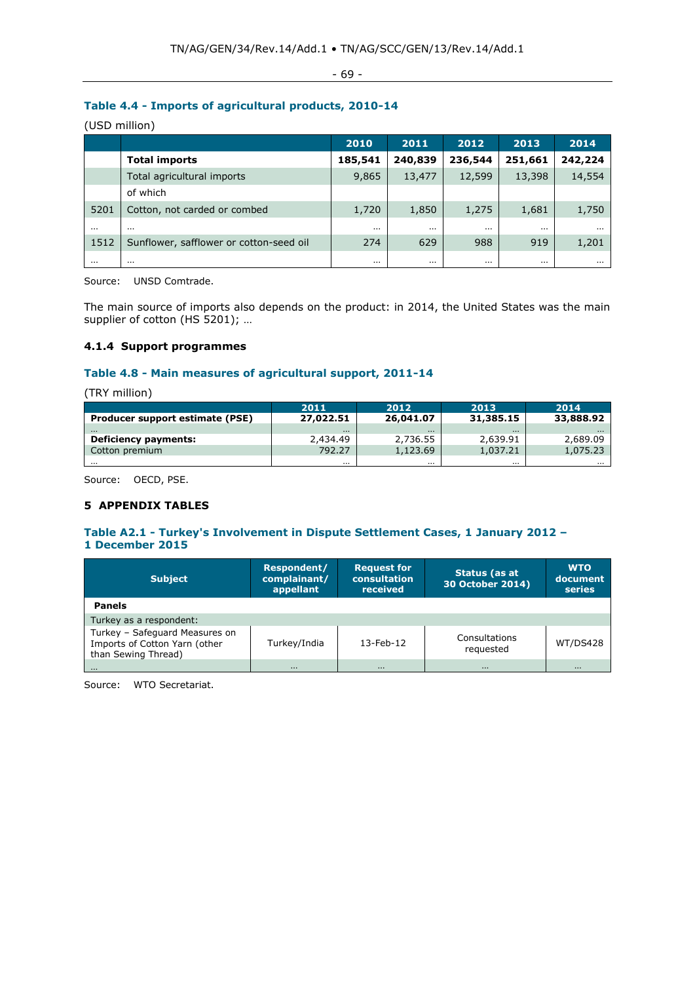- 69 -

# **Table 4.4 - Imports of agricultural products, 2010-14**

(USD million)

|          |                                         | 2010     | 2011     | 2012     | 2013     | 2014    |
|----------|-----------------------------------------|----------|----------|----------|----------|---------|
|          | <b>Total imports</b>                    | 185,541  | 240,839  | 236,544  | 251,661  | 242,224 |
|          | Total agricultural imports              | 9,865    | 13,477   | 12,599   | 13,398   | 14,554  |
|          | of which                                |          |          |          |          |         |
| 5201     | Cotton, not carded or combed            | 1,720    | 1,850    | 1,275    | 1,681    | 1,750   |
| $\cdots$ | $\cdots$                                | $\cdots$ | $\cdots$ | $\cdots$ | $\cdots$ |         |
| 1512     | Sunflower, safflower or cotton-seed oil | 274      | 629      | 988      | 919      | 1,201   |
| $\cdots$ | $\cdots$                                | $\cdots$ | $\cdots$ | $\cdots$ | $\cdots$ |         |

Source: UNSD Comtrade.

The main source of imports also depends on the product: in 2014, the United States was the main supplier of cotton (HS 5201); ...

# **4.1.4 Support programmes**

# **Table 4.8 - Main measures of agricultural support, 2011-14**

(TRY million)

|                                 | 2011      | 2012      | 2013      | 2014      |
|---------------------------------|-----------|-----------|-----------|-----------|
| Producer support estimate (PSE) | 27,022.51 | 26,041.07 | 31,385.15 | 33,888.92 |
| $\cdots$                        | $\cdots$  | $\cdots$  | $\cdots$  | $\cdots$  |
| Deficiency payments:            | 2,434.49  | 2,736.55  | 2,639.91  | 2,689.09  |
| Cotton premium                  | 792.27    | 1,123,69  | 1,037.21  | 1,075.23  |
| $\cdots$                        | $\cdots$  | $\cdots$  | $\cdots$  |           |

Source: OECD, PSE.

# **5 APPENDIX TABLES**

# **Table A2.1 - Turkey's Involvement in Dispute Settlement Cases, 1 January 2012 – 1 December 2015**

| <b>Subject</b>                                                                         | Respondent/<br>complainant/<br>appellant | <b>Request for</b><br>consultation<br>received | Status (as at<br>30 October 2014) | <b>WTO</b><br>document<br>series |
|----------------------------------------------------------------------------------------|------------------------------------------|------------------------------------------------|-----------------------------------|----------------------------------|
| <b>Panels</b>                                                                          |                                          |                                                |                                   |                                  |
| Turkey as a respondent:                                                                |                                          |                                                |                                   |                                  |
| Turkey - Safeguard Measures on<br>Imports of Cotton Yarn (other<br>than Sewing Thread) | Turkey/India                             | 13-Feb-12                                      | Consultations<br>requested        | WT/DS428                         |
| .                                                                                      | $\cdots$                                 | $\cdots$                                       | $\cdots$                          | $\cdots$                         |

Source: WTO Secretariat.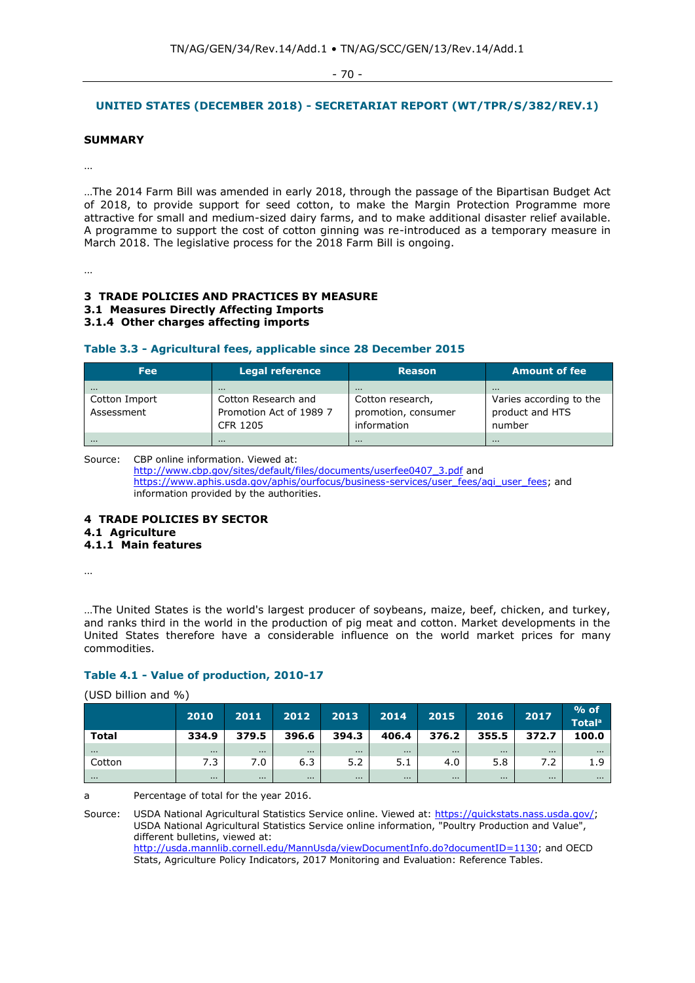- 70 -

# **UNITED STATES (DECEMBER 2018) - SECRETARIAT REPORT (WT/TPR/S/382/REV.1)**

#### **SUMMARY**

…

…The 2014 Farm Bill was amended in early 2018, through the passage of the Bipartisan Budget Act of 2018, to provide support for seed cotton, to make the Margin Protection Programme more attractive for small and medium-sized dairy farms, and to make additional disaster relief available. A programme to support the cost of cotton ginning was re-introduced as a temporary measure in March 2018. The legislative process for the 2018 Farm Bill is ongoing.

…

## **3 TRADE POLICIES AND PRACTICES BY MEASURE 3.1 Measures Directly Affecting Imports 3.1.4 Other charges affecting imports**

## **Table 3.3 - Agricultural fees, applicable since 28 December 2015**

| <b>Fee</b>    | <b>Legal reference</b>  | <b>Reason</b>       | <b>Amount of fee</b>    |
|---------------|-------------------------|---------------------|-------------------------|
| $\cdots$      | $\cdots$                | .                   | $\cdots$                |
| Cotton Import | Cotton Research and     | Cotton research,    | Varies according to the |
| Assessment    | Promotion Act of 1989 7 | promotion, consumer | product and HTS         |
|               | CFR 1205                | information         | number                  |
| $\cdots$      | $\cdots$                | $\cdots$            | $\cdots$                |

Source: CBP online information. Viewed at:

[http://www.cbp.gov/sites/default/files/documents/userfee0407\\_3.pdf](http://www.cbp.gov/sites/default/files/documents/userfee0407_3.pdf) and [https://www.aphis.usda.gov/aphis/ourfocus/business-services/user\\_fees/aqi\\_user\\_fees;](https://www.aphis.usda.gov/aphis/ourfocus/business-services/user_fees/aqi_user_fees) and information provided by the authorities.

**4 TRADE POLICIES BY SECTOR 4.1 Agriculture 4.1.1 Main features**

…

…The United States is the world's largest producer of soybeans, maize, beef, chicken, and turkey, and ranks third in the world in the production of pig meat and cotton. Market developments in the United States therefore have a considerable influence on the world market prices for many commodities.

# **Table 4.1 - Value of production, 2010-17**

| (USD billion and %) |          |          |          |          |          |          |          |          |                                    |  |  |  |
|---------------------|----------|----------|----------|----------|----------|----------|----------|----------|------------------------------------|--|--|--|
|                     | 2010     | 2011     | 2012     | 2013     | 2014     | 2015     | 2016     | 2017     | $%$ of<br><b>Total<sup>a</sup></b> |  |  |  |
| <b>Total</b>        | 334.9    | 379.5    | 396.6    | 394.3    | 406.4    | 376.2    | 355.5    | 372.7    | 100.0                              |  |  |  |
| $\cdots$            |          | $\cdots$ | $\cdots$ | $\cdots$ | $\cdots$ | $\cdots$ | $\cdots$ | $\cdots$ | $\cdots$                           |  |  |  |
| Cotton              | 7.3      | 7.0      | 6.3      | 5.2      | 5.1      | 4.0      | 5.8      | 7.2      | 1.9                                |  |  |  |
| $\cdots$            | $\cdots$ | $\cdots$ | $\cdots$ | $\cdots$ | $\cdots$ | $\cdots$ | $\cdots$ | $\cdots$ | $\cdots$                           |  |  |  |

a Percentage of total for the year 2016.

Source: USDA National Agricultural Statistics Service online. Viewed at: [https://quickstats.nass.usda.gov/;](https://quickstats.nass.usda.gov/) USDA National Agricultural Statistics Service online information, "Poultry Production and Value", different bulletins, viewed at: [http://usda.mannlib.cornell.edu/MannUsda/viewDocumentInfo.do?documentID=1130;](http://usda.mannlib.cornell.edu/MannUsda/viewDocumentInfo.do?documentID=1130) and OECD Stats, Agriculture Policy Indicators, 2017 Monitoring and Evaluation: Reference Tables.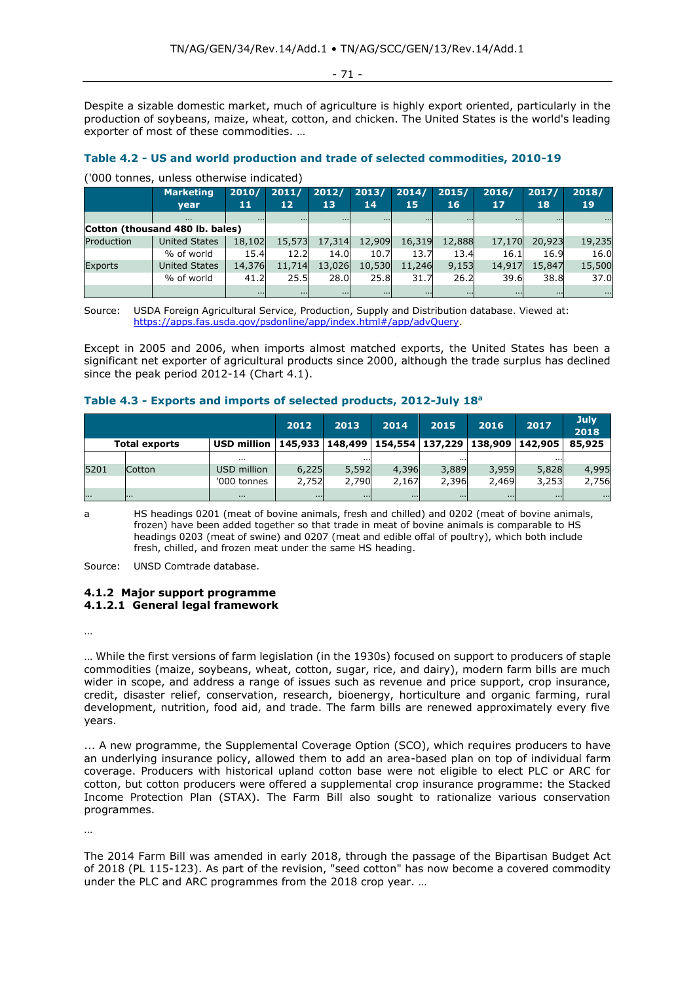- 71 -

Despite a sizable domestic market, much of agriculture is highly export oriented, particularly in the production of soybeans, maize, wheat, cotton, and chicken. The United States is the world's leading exporter of most of these commodities. …

#### **Table 4.2 - US and world production and trade of selected commodities, 2010-19**

('000 tonnes, unless otherwise indicated)

|                                 | <b>Marketing</b>     | 2010/    | 2011/           | 2012/    | 2013/    | 2014/    | 2015/    | 2016/    | 2017/    | 2018/    |
|---------------------------------|----------------------|----------|-----------------|----------|----------|----------|----------|----------|----------|----------|
|                                 | <b>vear</b>          | 11       | 12 <sub>1</sub> | 13       | 14       | 15       | 16       | 17       | 18       | 19       |
|                                 | $\cdots$             | $\cdots$ | $\cdots$        | $\cdots$ | $\cdots$ | $\cdots$ | $\cdots$ | $\cdots$ | $\cdots$ | $\cdots$ |
| Cotton (thousand 480 lb. bales) |                      |          |                 |          |          |          |          |          |          |          |
| Production                      | <b>United States</b> | 18,102   | 15,573          | 17,314   | 12,909   | 16,319   | 12,888   | 17,170   | 20,923   | 19,235   |
|                                 | % of world           | 15.4     | 12.2            | 14.0     | 10.7     | 13.7     | 13.4     | 16.1     | 16.9     | 16.0     |
| <b>Exports</b>                  | <b>United States</b> | 14,376   | 11,714          | 13,026   | 10,530   | 11,246   | 9,153    | 14,917   | 15,847   | 15,500   |
|                                 | % of world           | 41.2     | 25.5            | 28.0     | 25.8     | 31.7     | 26.2     | 39.6     | 38.8     | 37.0     |
|                                 |                      |          | $\cdots$        | $\cdots$ | $\cdots$ | $\cdots$ | $\cdots$ | $\cdots$ | $\cdots$ | $\cdots$ |

Source: USDA Foreign Agricultural Service, Production, Supply and Distribution database. Viewed at: [https://apps.fas.usda.gov/psdonline/app/index.html#/app/advQuery.](https://apps.fas.usda.gov/psdonline/app/index.html#/app/advQuery)

Except in 2005 and 2006, when imports almost matched exports, the United States has been a significant net exporter of agricultural products since 2000, although the trade surplus has declined since the peak period 2012-14 (Chart 4.1).

| Table 4.3 - Exports and imports of selected products, 2012-July 18 <sup>a</sup> |  |  |  |
|---------------------------------------------------------------------------------|--|--|--|
|---------------------------------------------------------------------------------|--|--|--|

|                                                                                                 |               |             | 2012     | 2013     | 2014     | 2015     | 2016     | 2017     | July.<br>2018 |
|-------------------------------------------------------------------------------------------------|---------------|-------------|----------|----------|----------|----------|----------|----------|---------------|
| USD million   145,933   148,499   154,554   137,229   138,909   142,905<br><b>Total exports</b> |               |             |          |          |          |          |          | 85,925   |               |
|                                                                                                 |               | $\cdots$    |          | $\cdots$ |          | $\cdots$ |          | $\cdots$ |               |
| 5201                                                                                            | <b>Cotton</b> | USD million | 6,225    | 5,592    | 4,396    | 3,889    | 3,959    | 5,828    | 4,995         |
|                                                                                                 |               | '000 tonnes | 2,752    | 2,790    | 2,167    | 2,396    | 2,469    | 3,253    | 2,756         |
|                                                                                                 | .             | $\cdots$    | $\cdots$ | $\cdots$ | $\cdots$ | $\cdots$ | $\cdots$ | $\cdots$ | $\cdots$      |

a HS headings 0201 (meat of bovine animals, fresh and chilled) and 0202 (meat of bovine animals, frozen) have been added together so that trade in meat of bovine animals is comparable to HS headings 0203 (meat of swine) and 0207 (meat and edible offal of poultry), which both include fresh, chilled, and frozen meat under the same HS heading.

Source: UNSD Comtrade database.

#### **4.1.2 Major support programme 4.1.2.1 General legal framework**

…

… While the first versions of farm legislation (in the 1930s) focused on support to producers of staple commodities (maize, soybeans, wheat, cotton, sugar, rice, and dairy), modern farm bills are much wider in scope, and address a range of issues such as revenue and price support, crop insurance, credit, disaster relief, conservation, research, bioenergy, horticulture and organic farming, rural development, nutrition, food aid, and trade. The farm bills are renewed approximately every five years.

... A new programme, the Supplemental Coverage Option (SCO), which requires producers to have an underlying insurance policy, allowed them to add an area-based plan on top of individual farm coverage. Producers with historical upland cotton base were not eligible to elect PLC or ARC for cotton, but cotton producers were offered a supplemental crop insurance programme: the Stacked Income Protection Plan (STAX). The Farm Bill also sought to rationalize various conservation programmes.

…

The 2014 Farm Bill was amended in early 2018, through the passage of the Bipartisan Budget Act of 2018 (PL 115-123). As part of the revision, "seed cotton" has now become a covered commodity under the PLC and ARC programmes from the 2018 crop year. …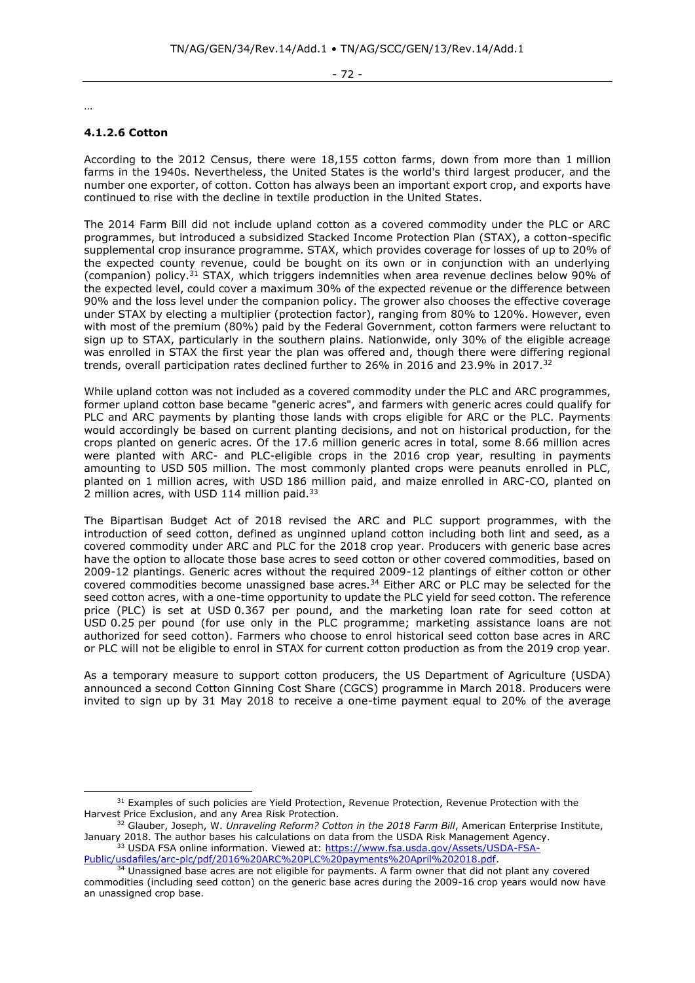- 72 -

…

# **4.1.2.6 Cotton**

According to the 2012 Census, there were 18,155 cotton farms, down from more than 1 million farms in the 1940s. Nevertheless, the United States is the world's third largest producer, and the number one exporter, of cotton. Cotton has always been an important export crop, and exports have continued to rise with the decline in textile production in the United States.

The 2014 Farm Bill did not include upland cotton as a covered commodity under the PLC or ARC programmes, but introduced a subsidized Stacked Income Protection Plan (STAX), a cotton-specific supplemental crop insurance programme. STAX, which provides coverage for losses of up to 20% of the expected county revenue, could be bought on its own or in conjunction with an underlying (companion) policy.<sup>31</sup> STAX, which triggers indemnities when area revenue declines below 90% of the expected level, could cover a maximum 30% of the expected revenue or the difference between 90% and the loss level under the companion policy. The grower also chooses the effective coverage under STAX by electing a multiplier (protection factor), ranging from 80% to 120%. However, even with most of the premium (80%) paid by the Federal Government, cotton farmers were reluctant to sign up to STAX, particularly in the southern plains. Nationwide, only 30% of the eligible acreage was enrolled in STAX the first year the plan was offered and, though there were differing regional trends, overall participation rates declined further to 26% in 2016 and 23.9% in 2017.<sup>32</sup>

While upland cotton was not included as a covered commodity under the PLC and ARC programmes, former upland cotton base became "generic acres", and farmers with generic acres could qualify for PLC and ARC payments by planting those lands with crops eligible for ARC or the PLC. Payments would accordingly be based on current planting decisions, and not on historical production, for the crops planted on generic acres. Of the 17.6 million generic acres in total, some 8.66 million acres were planted with ARC- and PLC-eligible crops in the 2016 crop year, resulting in payments amounting to USD 505 million. The most commonly planted crops were peanuts enrolled in PLC, planted on 1 million acres, with USD 186 million paid, and maize enrolled in ARC-CO, planted on 2 million acres, with USD 114 million paid.<sup>33</sup>

The Bipartisan Budget Act of 2018 revised the ARC and PLC support programmes, with the introduction of seed cotton, defined as unginned upland cotton including both lint and seed, as a covered commodity under ARC and PLC for the 2018 crop year. Producers with generic base acres have the option to allocate those base acres to seed cotton or other covered commodities, based on 2009-12 plantings. Generic acres without the required 2009-12 plantings of either cotton or other covered commodities become unassigned base acres.<sup>34</sup> Either ARC or PLC may be selected for the seed cotton acres, with a one-time opportunity to update the PLC yield for seed cotton. The reference price (PLC) is set at USD 0.367 per pound, and the marketing loan rate for seed cotton at USD 0.25 per pound (for use only in the PLC programme; marketing assistance loans are not authorized for seed cotton). Farmers who choose to enrol historical seed cotton base acres in ARC or PLC will not be eligible to enrol in STAX for current cotton production as from the 2019 crop year.

As a temporary measure to support cotton producers, the US Department of Agriculture (USDA) announced a second Cotton Ginning Cost Share (CGCS) programme in March 2018. Producers were invited to sign up by 31 May 2018 to receive a one-time payment equal to 20% of the average

<sup>&</sup>lt;sup>31</sup> Examples of such policies are Yield Protection, Revenue Protection, Revenue Protection with the Harvest Price Exclusion, and any Area Risk Protection.

<sup>32</sup> Glauber, Joseph, W. *Unraveling Reform? Cotton in the 2018 Farm Bill*, American Enterprise Institute, January 2018. The author bases his calculations on data from the USDA Risk Management Agency. <sup>33</sup> USDA FSA online information. Viewed at: [https://www.fsa.usda.gov/Assets/USDA-FSA-](https://www.fsa.usda.gov/Assets/USDA-FSA-Public/usdafiles/arc-plc/pdf/2016%20ARC%20PLC%20payments%20April%202018.pdf)

[Public/usdafiles/arc-plc/pdf/2016%20ARC%20PLC%20payments%20April%202018.pdf.](https://www.fsa.usda.gov/Assets/USDA-FSA-Public/usdafiles/arc-plc/pdf/2016%20ARC%20PLC%20payments%20April%202018.pdf)

 $34$  Unassigned base acres are not eligible for payments. A farm owner that did not plant any covered commodities (including seed cotton) on the generic base acres during the 2009-16 crop years would now have an unassigned crop base.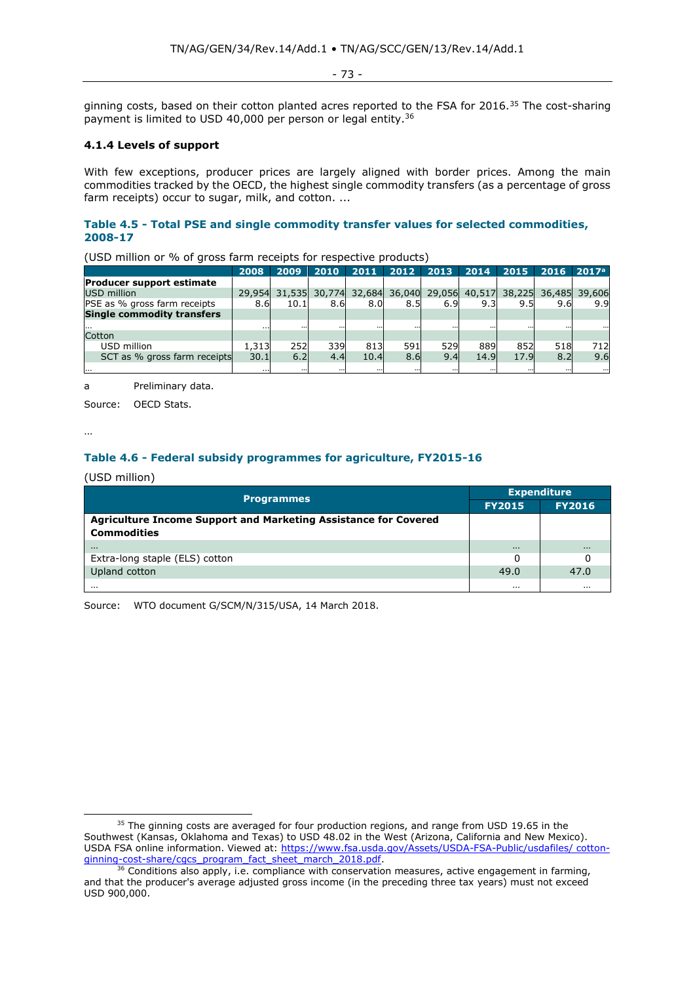- 73 -

ginning costs, based on their cotton planted acres reported to the FSA for 2016.<sup>35</sup> The cost-sharing payment is limited to USD 40,000 per person or legal entity.<sup>36</sup>

# **4.1.4 Levels of support**

With few exceptions, producer prices are largely aligned with border prices. Among the main commodities tracked by the OECD, the highest single commodity transfers (as a percentage of gross farm receipts) occur to sugar, milk, and cotton. ...

# **Table 4.5 - Total PSE and single commodity transfer values for selected commodities, 2008-17**

|                                   | 2008   | 2009   | 2010     | 2011   | 2012   | 2013     | 2014                 | 2015 | 2016 | 2017 <sup>a</sup> |
|-----------------------------------|--------|--------|----------|--------|--------|----------|----------------------|------|------|-------------------|
| <b>Producer support estimate</b>  |        |        |          |        |        |          |                      |      |      |                   |
| USD million                       | 29,954 | 31,535 | 30,774   | 32,684 | 36,040 |          | 29,056 40,517 38,225 |      |      | 36,485 39,606     |
| PSE as % gross farm receipts      | 8.6    | 10.1   | 8.6      | 8.0    | 8.5    | 6.9      | 9.3                  | 9.5  | 9.6  | 9.9               |
| <b>Single commodity transfers</b> |        |        |          |        |        |          |                      |      |      |                   |
|                                   |        |        | $\cdots$ |        |        | $\cdots$ |                      |      |      |                   |
| Cotton                            |        |        |          |        |        |          |                      |      |      |                   |
| USD million                       | 1,313  | 252    | 339      | 813    | 591    | 529      | 889                  | 852  | 518  | 712               |
| SCT as % gross farm receipts      | 30.1   | 6.2    | 4.4      | 10.4   | 8.6    | 9.4      | 14.9                 | 17.9 | 8.2  | 9.6               |
|                                   |        |        | $\cdots$ |        |        | $\cdots$ |                      |      |      | $\cdots$          |

(USD million or % of gross farm receipts for respective products)

a Preliminary data.

Source: OECD Stats.

…

# **Table 4.6 - Federal subsidy programmes for agriculture, FY2015-16**

#### (USD million)

| <b>Programmes</b>                                                      | <b>Expenditure</b> |               |  |  |
|------------------------------------------------------------------------|--------------------|---------------|--|--|
|                                                                        | <b>FY2015</b>      | <b>FY2016</b> |  |  |
| <b>Agriculture Income Support and Marketing Assistance for Covered</b> |                    |               |  |  |
| <b>Commodities</b>                                                     |                    |               |  |  |
| $\cdots$                                                               | $\cdots$           | $\cdots$      |  |  |
| Extra-long staple (ELS) cotton                                         | 0                  |               |  |  |
| Upland cotton                                                          | 49.0               | 47.0          |  |  |
| $\cdots$                                                               | $\cdots$           | $\cdots$      |  |  |

Source: WTO document G/SCM/N/315/USA, 14 March 2018.

 $35$  The ginning costs are averaged for four production regions, and range from USD 19.65 in the Southwest (Kansas, Oklahoma and Texas) to USD 48.02 in the West (Arizona, California and New Mexico). USDA FSA online information. Viewed at: https://www.fsa.usda.gov/Assets/USDA-FSA-Public/usdafiles/ cottonginning-cost-share/cgcs\_program\_fact\_sheet\_march\_2018.pdf.

 $36$  Conditions also apply, i.e. compliance with conservation measures, active engagement in farming, and that the producer's average adjusted gross income (in the preceding three tax years) must not exceed USD 900,000.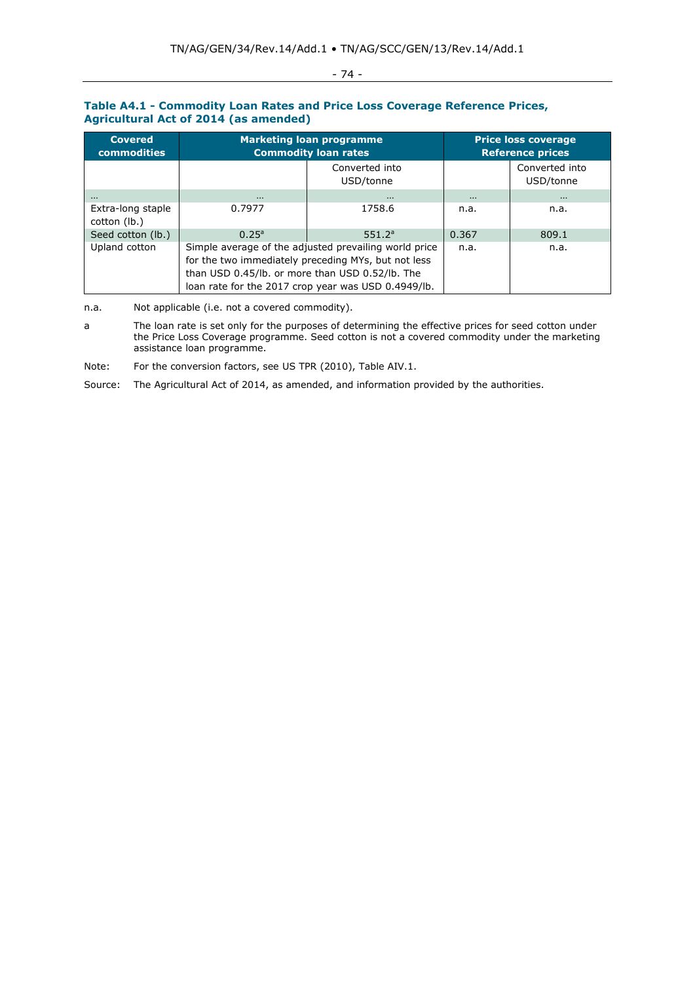# - 74 -

## **Table A4.1 - Commodity Loan Rates and Price Loss Coverage Reference Prices, Agricultural Act of 2014 (as amended)**

| <b>Covered</b><br><b>commodities</b> | <b>Marketing loan programme</b><br><b>Commodity loan rates</b>                                                                                                                                                         | <b>Price loss coverage</b><br><b>Reference prices</b> |          |                             |  |
|--------------------------------------|------------------------------------------------------------------------------------------------------------------------------------------------------------------------------------------------------------------------|-------------------------------------------------------|----------|-----------------------------|--|
|                                      | Converted into<br>USD/tonne                                                                                                                                                                                            |                                                       |          | Converted into<br>USD/tonne |  |
| $\cdots$                             |                                                                                                                                                                                                                        | $\cdots$                                              | $\cdots$ |                             |  |
| Extra-long staple<br>cotton (lb.)    | 0.7977                                                                                                                                                                                                                 | 1758.6                                                | n.a.     | n.a.                        |  |
| Seed cotton (lb.)                    | 0.25 <sup>a</sup>                                                                                                                                                                                                      | 551.2 <sup>a</sup>                                    | 0.367    | 809.1                       |  |
| Upland cotton                        | Simple average of the adjusted prevailing world price<br>for the two immediately preceding MYs, but not less<br>than USD 0.45/lb. or more than USD 0.52/lb. The<br>loan rate for the 2017 crop year was USD 0.4949/lb. | n.a.                                                  | n.a.     |                             |  |

n.a. Not applicable (i.e. not a covered commodity).

a The loan rate is set only for the purposes of determining the effective prices for seed cotton under the Price Loss Coverage programme. Seed cotton is not a covered commodity under the marketing assistance loan programme.

Note: For the conversion factors, see US TPR (2010), Table AIV.1.

Source: The Agricultural Act of 2014, as amended, and information provided by the authorities.